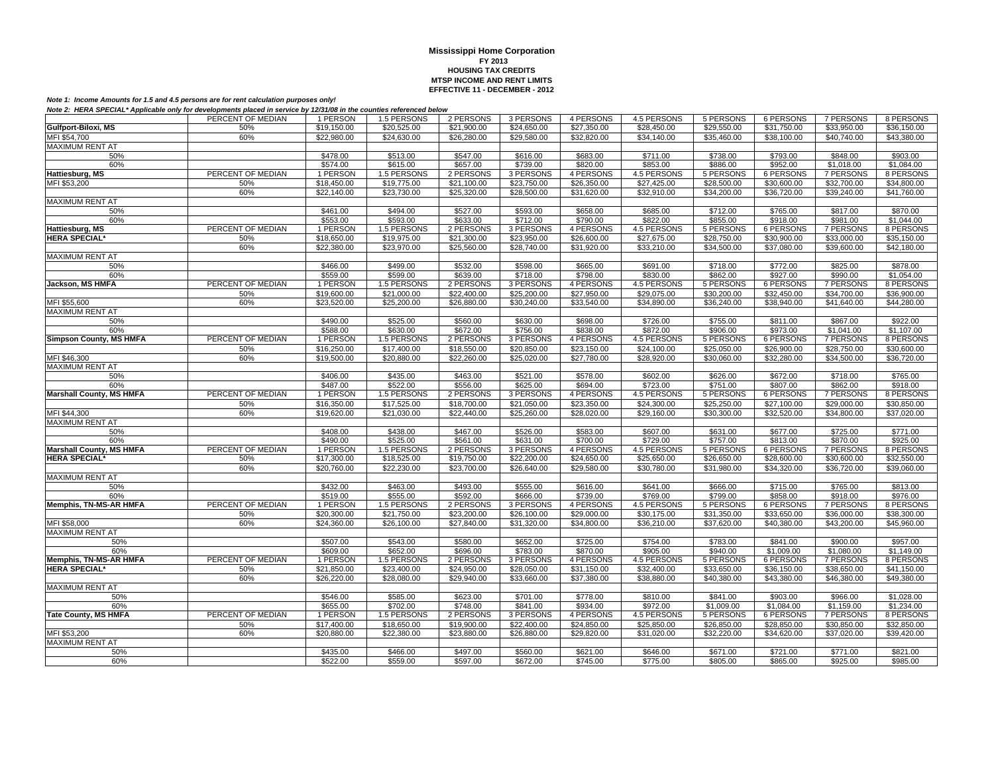|                                 | PERCENT OF MEDIAN | 1 PERSON             | 1.5 PERSONS          | 2 PERSONS            | 3 PERSONS            | 4 PERSONS            | 4.5 PERSONS          | 5 PERSONS            | 6 PERSONS            | 7 PERSONS            | 8 PERSONS               |
|---------------------------------|-------------------|----------------------|----------------------|----------------------|----------------------|----------------------|----------------------|----------------------|----------------------|----------------------|-------------------------|
| Gulfport-Biloxi, MS             | 50%               | \$19,150.00          | \$20,525.00          | \$21,900.00          | \$24,650.00          | \$27,350.00          | \$28,450.00          | \$29,550.00          | \$31,750.00          | \$33,950.00          | \$36,150.00             |
| MFI \$54.700                    | 60%               |                      |                      |                      |                      |                      |                      |                      |                      | \$40.740.00          |                         |
|                                 |                   | \$22,980.00          | \$24,630.00          | \$26,280.00          | \$29,580.00          | \$32,820.00          | \$34,140.00          | \$35,460.00          | \$38,100.00          |                      | \$43,380.00             |
| <b>MAXIMUM RENT AT</b>          |                   |                      |                      |                      |                      |                      |                      |                      |                      |                      |                         |
| 50%                             |                   | \$478.00             | \$513.00             | \$547.00             | \$616.00             | \$683.00             | \$711.00             | \$738.00             | \$793.00             | \$848.00             | \$903.00                |
| 60%                             |                   | \$574.00             | \$615.00             | \$657.00             | \$739.00             | \$820.00             | \$853.00             | \$886.00             | \$952.00             | \$1,018.00           | \$1,084.00              |
| Hattiesburg, MS                 | PERCENT OF MEDIAN | 1 PERSON             | 1.5 PERSONS          | 2 PERSONS            | 3 PERSONS            | 4 PERSONS            | 4.5 PERSONS          | 5 PERSONS            | 6 PERSONS            | <b>7 PERSONS</b>     | 8 PERSONS               |
| MFI \$53,200                    | 50%               | \$18,450.00          | \$19,775.00          | \$21,100.00          | \$23,750.00          | \$26,350.00          | \$27,425.00          | \$28,500.00          | \$30,600.00          | \$32,700.00          | \$34,800.00             |
|                                 | 60%               | \$22,140.00          | \$23,730.00          | \$25,320.00          | \$28,500.00          | \$31,620.00          | \$32,910.00          | \$34,200.00          | \$36,720.00          | \$39,240.00          | \$41,760.00             |
| <b>MAXIMUM RENT AT</b>          |                   |                      |                      |                      |                      |                      |                      |                      |                      |                      |                         |
| 50%                             |                   | \$461.00             | \$494.00             | \$527.00             | \$593.00             | \$658.00             | \$685.00             | \$712.00             | \$765.00             | \$817.00             | \$870.00                |
| 60%                             |                   | \$553.00             | \$593.00             | \$633.00             | \$712.00             | \$790.00             | \$822.00             | \$855.00             | \$918.00             | \$981.00             | \$1,044.00              |
| Hattiesburg, MS                 | PERCENT OF MEDIAN | 1 PERSON             | 1.5 PERSONS          | 2 PERSONS            | 3 PERSONS            | 4 PERSONS            | 4.5 PERSONS          | 5 PERSONS            | <b>6 PERSONS</b>     | <b>7 PERSONS</b>     | 8 PERSONS               |
|                                 |                   |                      |                      |                      |                      |                      |                      |                      |                      |                      |                         |
| <b>HERA SPECIAL*</b>            | 50%               | \$18,650.00          | \$19,975.00          | \$21,300.00          | \$23,950.00          | \$26,600.00          | \$27,675.00          | \$28,750.00          | \$30,900.00          | \$33,000.00          | \$35,150.00             |
|                                 | 60%               | \$22,380.00          | \$23,970.00          | \$25,560.00          | \$28,740.00          | \$31,920.00          | \$33,210.00          | \$34,500.00          | \$37,080.00          | \$39,600.00          | \$42,180.00             |
| <b>MAXIMUM RENT AT</b>          |                   |                      |                      |                      |                      |                      |                      |                      |                      |                      |                         |
| 50%                             |                   | \$466.00             | \$499.00             | \$532.00             | \$598.00             | \$665.00             | \$691.00             | \$718.00             | \$772.00             | \$825.00             | \$878.00                |
| 60%                             |                   | \$559.00             | \$599.00             | \$639.00             | \$718.00             | \$798.00             | \$830.00             | \$862.00             | \$927.00             | \$990.00             | \$1,054.00              |
| Jackson, MS HMFA                | PERCENT OF MEDIAN | 1 PERSON             | 1.5 PERSONS          | 2 PERSONS            | 3 PERSONS            | 4 PERSONS            | 4.5 PERSONS          | 5 PERSONS            | 6 PERSONS            | <b>7 PERSONS</b>     | 8 PERSONS               |
|                                 | 50%               | \$19,600.00          | \$21,000.00          | \$22,400.00          | \$25,200.00          | \$27,950.00          | \$29,075.00          | \$30,200.00          | \$32,450.00          | \$34,700.00          | \$36,900.00             |
| MFI \$55,600                    | 60%               | \$23,520.00          | \$25,200.00          | \$26,880.00          | \$30,240.00          | \$33.540.00          | \$34,890.00          | \$36,240.00          | \$38.940.00          | \$41,640.00          | \$44,280.00             |
| MAXIMUM RENT AT                 |                   |                      |                      |                      |                      |                      |                      |                      |                      |                      |                         |
| 50%                             |                   | \$490.00             | \$525.00             | \$560.00             | \$630.00             | \$698.00             | \$726.00             | \$755.00             | \$811.00             | \$867.00             | \$922.00                |
|                                 |                   |                      |                      |                      |                      |                      |                      |                      |                      |                      |                         |
| 60%                             |                   | \$588.00             | \$630.00             | \$672.00             | \$756.00             | \$838.00             | \$872.00             | \$906.00             | \$973.00             | \$1,041.00           | \$1,107.00              |
| <b>Simpson County, MS HMFA</b>  | PERCENT OF MEDIAN | 1 PERSON             | 1.5 PERSONS          | 2 PERSONS            | 3 PERSONS            | 4 PERSONS            | 4.5 PERSONS          | 5 PERSONS            | 6 PERSONS            | <b>7 PERSONS</b>     | 8 PERSONS               |
|                                 | 50%               | \$16,250.00          | \$17,400.00          | \$18,550.00          | \$20,850.00          | \$23,150.00          | \$24,100.00          | \$25,050.00          | \$26,900.00          | \$28,750.00          | \$30,600.00             |
| MFI \$46,300                    | 60%               | \$19,500.00          | \$20,880.00          | \$22,260.00          | \$25,020.00          | \$27.780.00          | \$28,920.00          | \$30,060.00          | \$32,280.00          | \$34,500.00          | \$36,720.00             |
| MAXIMUM RENT AT                 |                   |                      |                      |                      |                      |                      |                      |                      |                      |                      |                         |
| 50%                             |                   | \$406.00             | \$435.00             | \$463.00             | \$521.00             | \$578.00             | \$602.00             | \$626.00             | \$672.00             | \$718.00             | \$765.00                |
| 60%                             |                   | \$487.00             | \$522.00             | \$556.00             | \$625.00             | \$694.00             | \$723.00             | \$751.00             | \$807.00             | \$862.00             | \$918.00                |
| <b>Marshall County, MS HMFA</b> | PERCENT OF MEDIAN | 1 PERSON             | 1.5 PERSONS          | 2 PERSONS            | 3 PERSONS            | 4 PERSONS            | 4.5 PERSONS          | 5 PERSONS            | 6 PERSONS            | 7 PERSONS            | 8 PERSONS               |
|                                 | 50%               | \$16,350.00          | \$17,525.00          | \$18,700.00          | \$21,050.00          | \$23,350.00          | \$24,300.00          | \$25,250.00          | \$27,100.00          | \$29,000.00          | \$30,850.00             |
|                                 |                   |                      |                      |                      |                      |                      |                      |                      |                      |                      |                         |
|                                 |                   |                      |                      |                      |                      |                      |                      |                      |                      |                      |                         |
| MFI \$44,300                    | 60%               | \$19,620.00          | \$21,030.00          | \$22,440.00          | \$25,260.00          | \$28,020.00          | \$29,160.00          | \$30,300.00          | \$32,520.00          | \$34,800.00          | \$37,020.00             |
| <b>MAXIMUM RENT AT</b>          |                   |                      |                      |                      |                      |                      |                      |                      |                      |                      |                         |
| 50%                             |                   | \$408.00             | \$438.00             | \$467.00             | \$526.00             | \$583.00             | \$607.00             | \$631.00             | \$677.00             | \$725.00             | \$771.00                |
| 60%                             |                   | \$490.00             | \$525.00             | \$561.00             | \$631.00             | \$700.00             | \$729.00             | \$757.00             | \$813.00             | \$870.00             | \$925.00                |
| <b>Marshall County, MS HMFA</b> | PERCENT OF MEDIAN | 1 PERSON             | 1.5 PERSONS          | 2 PERSONS            | 3 PERSONS            | 4 PERSONS            | 4.5 PERSONS          | 5 PERSONS            | 6 PERSONS            | <b>7 PERSONS</b>     | 8 PERSONS               |
| <b>HERA SPECIAL'</b>            | 50%               | \$17,300.00          | \$18,525.00          | \$19,750.00          | \$22,200.00          | \$24,650.00          | \$25,650.00          | \$26,650.00          | \$28,600.00          | \$30,600.00          | \$32,550.00             |
|                                 | 60%               | \$20,760.00          | \$22,230.00          | \$23,700.00          | \$26,640.00          | \$29,580.00          | \$30,780.00          | \$31,980.00          | \$34,320.00          | \$36,720.00          | \$39,060.00             |
| <b>MAXIMUM RENT AT</b>          |                   |                      |                      |                      |                      |                      |                      |                      |                      |                      |                         |
| 50%                             |                   | \$432.00             | \$463.00             | \$493.00             | \$555.00             | \$616.00             | \$641.00             | \$666.00             | \$715.00             | \$765.00             | \$813.00                |
|                                 |                   |                      |                      |                      |                      |                      |                      |                      |                      |                      |                         |
| 60%                             |                   | \$519.00             | \$555.00             | \$592.00             | \$666.00             | \$739.00             | \$769.00             | \$799.00             | \$858.00             | \$918.00             | \$976.00                |
| Memphis, TN-MS-AR HMFA          | PERCENT OF MEDIAN | 1 PERSON             | 1.5 PERSONS          | 2 PERSONS            | 3 PERSONS            | 4 PERSONS            | 4.5 PERSONS          | 5 PERSONS            | <b>6 PERSONS</b>     | <b>7 PERSONS</b>     | 8 PERSONS               |
|                                 | 50%               | \$20,300.00          | \$21,750.00          | \$23,200.00          | \$26,100.00          | \$29,000.00          | \$30,175.00          | \$31,350.00          | \$33,650.00          | \$36,000.00          | \$38,300.00             |
| MFI \$58,000                    | 60%               | \$24,360.00          | \$26,100.00          | \$27,840.00          | \$31,320.00          | \$34,800.00          | \$36,210.00          | \$37,620.00          | \$40,380.00          | \$43,200.00          | \$45,960.00             |
| <b>MAXIMUM RENT AT</b>          |                   |                      |                      |                      |                      |                      |                      |                      |                      |                      |                         |
| 50%                             |                   | \$507.00             | \$543.00             | \$580.00             | \$652.00             | \$725.00             | \$754.00             | \$783.00             | \$841.00             | \$900.00             | \$957.00                |
| 60%                             |                   | \$609.00             | \$652.00             | \$696.00             | \$783.00             | \$870.00             | \$905.00             | \$940.00             | \$1,009.00           | \$1,080.00           | $\overline{\$1,149.00}$ |
| Memphis, TN-MS-AR HMFA          | PERCENT OF MEDIAN | 1 PERSON             | 1.5 PERSONS          | 2 PERSONS            | 3 PERSONS            | 4 PERSONS            | 4.5 PERSONS          | <b>5 PERSONS</b>     | <b>6 PERSONS</b>     | <b>7 PERSONS</b>     | 8 PERSONS               |
| <b>HERA SPECIAL*</b>            | 50%               | \$21,850.00          | \$23,400.00          | \$24,950.00          | \$28,050.00          | \$31,150.00          | \$32,400.00          | \$33,650.00          | \$36,150.00          | \$38,650.00          | \$41,150.00             |
|                                 | 60%               | \$26,220.00          | \$28,080.00          | \$29,940.00          | \$33,660.00          | \$37,380.00          | \$38,880.00          | \$40,380.00          | \$43,380.00          | \$46,380.00          | \$49,380.00             |
| MAXIMUM RENT AT                 |                   |                      |                      |                      |                      |                      |                      |                      |                      |                      |                         |
| 50%                             |                   | \$546.00             | \$585.00             | \$623.00             | \$701.00             | \$778.00             | \$810.00             | \$841.00             | \$903.00             | \$966.00             | \$1,028.00              |
|                                 |                   |                      |                      |                      | \$841.00             |                      |                      |                      |                      |                      |                         |
| 60%                             |                   | \$655.00             | \$702.00             | \$748.00             |                      | \$934.00             | \$972.00             | \$1,009.00           | \$1,084.00           | \$1,159.00           | \$1,234.00              |
| <b>Tate County, MS HMFA</b>     | PERCENT OF MEDIAN | 1 PERSON             | 1.5 PERSONS          | 2 PERSONS            | 3 PERSONS            | 4 PERSONS            | 4.5 PERSONS          | 5 PERSONS            | 6 PERSONS            | <b>7 PERSONS</b>     | 8 PERSONS               |
|                                 | 50%               | \$17,400.00          | \$18,650.00          | \$19,900.00          | \$22,400.00          | \$24,850.00          | \$25,850.00          | \$26,850.00          | \$28,850.00          | \$30,850.00          | \$32,850.00             |
| MFI \$53,200                    | 60%               | \$20,880.00          | \$22,380.00          | \$23,880.00          | \$26,880.00          | \$29,820.00          | \$31,020.00          | \$32,220.00          | \$34,620.00          | \$37,020.00          | \$39,420.00             |
| <b>MAXIMUM RENT AT</b>          |                   |                      |                      |                      |                      |                      |                      |                      |                      |                      |                         |
| 50%<br>60%                      |                   | \$435.00<br>\$522.00 | \$466.00<br>\$559.00 | \$497.00<br>\$597.00 | \$560.00<br>\$672.00 | \$621.00<br>\$745.00 | \$646.00<br>\$775.00 | \$671.00<br>\$805.00 | \$721.00<br>\$865.00 | \$771.00<br>\$925.00 | \$821.00<br>\$985.00    |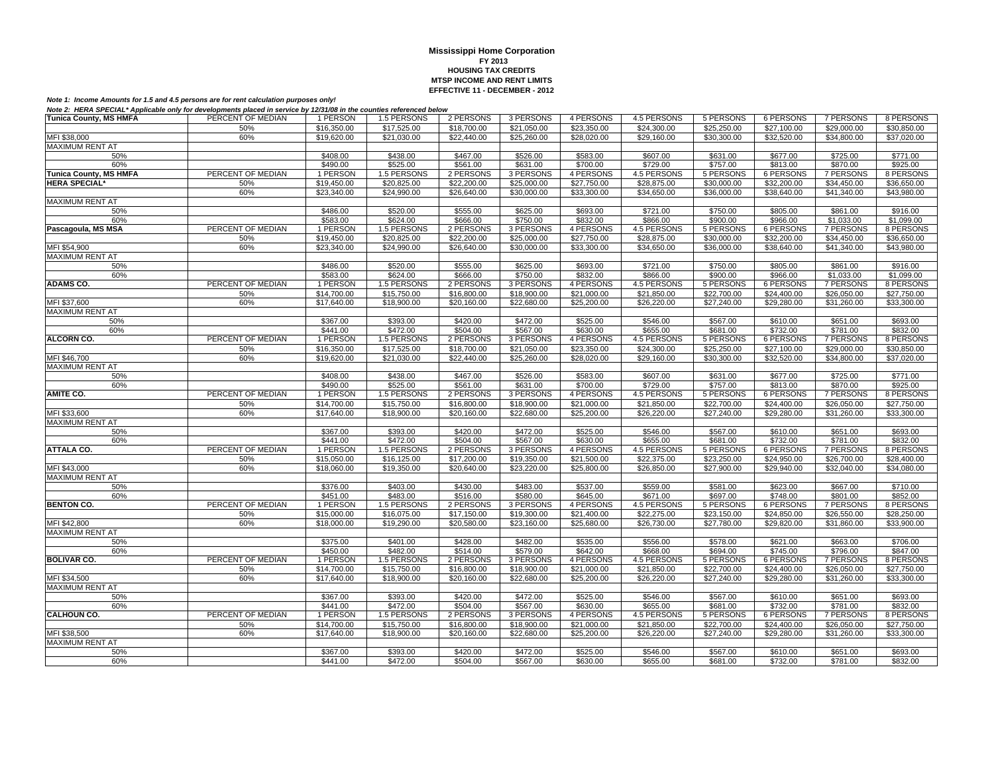| $\frac{1}{2}$ , $\frac{1}{2}$ , $\frac{1}{2}$ , $\frac{1}{2}$ , $\frac{1}{2}$ , $\frac{1}{2}$ , $\frac{1}{2}$ , $\frac{1}{2}$ |                   |             |             |             |             |             |             |             |                  |                  |             |
|-------------------------------------------------------------------------------------------------------------------------------|-------------------|-------------|-------------|-------------|-------------|-------------|-------------|-------------|------------------|------------------|-------------|
| <b>Tunica County, MS HMFA</b>                                                                                                 | PERCENT OF MEDIAN | 1 PERSON    | 1.5 PERSONS | 2 PERSONS   | 3 PERSONS   | 4 PERSONS   | 4.5 PERSONS | 5 PERSONS   | 6 PERSONS        | 7 PERSONS        | 8 PERSONS   |
|                                                                                                                               | 50%               | \$16,350.00 | \$17,525.00 | \$18,700.00 | \$21,050.00 | \$23,350.00 | \$24,300.00 | \$25,250.00 | \$27,100.00      | \$29,000.00      | \$30,850.00 |
| MFI \$38,000                                                                                                                  | 60%               | \$19,620.00 | \$21,030.00 | \$22,440.00 | \$25,260.00 | \$28,020.00 | \$29,160.00 | \$30,300.00 | \$32,520.00      | \$34,800.00      | \$37,020.00 |
| MAXIMUM RENT AT                                                                                                               |                   |             |             |             |             |             |             |             |                  |                  |             |
| 50%                                                                                                                           |                   | \$408.00    | \$438.00    | \$467.00    | \$526.00    | \$583.00    | \$607.00    | \$631.00    | \$677.00         | \$725.00         | \$771.00    |
|                                                                                                                               |                   |             |             |             |             |             |             |             |                  |                  |             |
| 60%                                                                                                                           |                   | \$490.00    | \$525.00    | \$561.00    | \$631.00    | \$700.00    | \$729.00    | \$757.00    | \$813.00         | \$870.00         | \$925.00    |
| <b>Tunica County, MS HMFA</b>                                                                                                 | PERCENT OF MEDIAN | 1 PERSON    | 1.5 PERSONS | 2 PERSONS   | 3 PERSONS   | 4 PERSONS   | 4.5 PERSONS | 5 PERSONS   | 6 PERSONS        | 7 PERSONS        | 8 PERSONS   |
| <b>HERA SPECIAL*</b>                                                                                                          | 50%               | \$19,450.00 | \$20,825.00 | \$22,200.00 | \$25,000.00 | \$27,750.00 | \$28,875.00 | \$30,000.00 | \$32,200.00      | \$34,450.00      | \$36,650.00 |
|                                                                                                                               | 60%               | \$23,340.00 | \$24,990.00 | \$26,640.00 | \$30,000.00 | \$33,300.00 | \$34,650.00 | \$36,000.00 | \$38,640.00      | \$41,340.00      | \$43,980.00 |
| <b>MAXIMUM RENT AT</b>                                                                                                        |                   |             |             |             |             |             |             |             |                  |                  |             |
| 50%                                                                                                                           |                   | \$486.00    | \$520.00    | \$555.00    | \$625.00    | \$693.00    | \$721.00    | \$750.00    | \$805.00         | \$861.00         | \$916.00    |
| 60%                                                                                                                           |                   | \$583.00    | \$624.00    | \$666.00    | \$750.00    | \$832.00    | \$866.00    | \$900.00    | \$966.00         | \$1,033.00       | \$1,099.00  |
|                                                                                                                               | PERCENT OF MEDIAN |             |             |             |             |             |             |             |                  |                  |             |
| Pascagoula, MS MSA                                                                                                            |                   | 1 PERSON    | 1.5 PERSONS | 2 PERSONS   | 3 PERSONS   | 4 PERSONS   | 4.5 PERSONS | 5 PERSONS   | 6 PERSONS        | 7 PERSONS        | 8 PERSONS   |
|                                                                                                                               | 50%               | \$19,450.00 | \$20,825.00 | \$22,200.00 | \$25,000.00 | \$27,750.00 | \$28,875.00 | \$30,000.00 | \$32,200.00      | \$34,450.00      | \$36,650.00 |
| MFI \$54,900                                                                                                                  | 60%               | \$23,340.00 | \$24,990.00 | \$26,640.00 | \$30,000.00 | \$33,300.00 | \$34,650.00 | \$36,000.00 | \$38,640.00      | \$41,340.00      | \$43,980.00 |
| MAXIMUM RENT AT                                                                                                               |                   |             |             |             |             |             |             |             |                  |                  |             |
| 50%                                                                                                                           |                   | \$486.00    | \$520.00    | \$555.00    | \$625.00    | \$693.00    | \$721.00    | \$750.00    | \$805.00         | \$861.00         | \$916.00    |
| 60%                                                                                                                           |                   | \$583.00    | \$624.00    | \$666.00    | \$750.00    | \$832.00    | \$866.00    | \$900.00    | \$966.00         | \$1,033.00       | \$1,099.00  |
| <b>ADAMS CO.</b>                                                                                                              | PERCENT OF MEDIAN | 1 PERSON    | 1.5 PERSONS | 2 PERSONS   | 3 PERSONS   | 4 PERSONS   | 4.5 PERSONS | 5 PERSONS   | <b>6 PERSONS</b> | <b>7 PERSONS</b> | 8 PERSONS   |
|                                                                                                                               |                   |             |             |             |             |             |             |             |                  |                  |             |
|                                                                                                                               | 50%               | \$14,700.00 | \$15,750.00 | \$16,800.00 | \$18,900.00 | \$21,000.00 | \$21,850.00 | \$22,700.00 | \$24,400.00      | \$26,050.00      | \$27,750.00 |
| MFI \$37,600                                                                                                                  | 60%               | \$17,640.00 | \$18,900.00 | \$20,160.00 | \$22,680.00 | \$25,200.00 | \$26,220.00 | \$27,240.00 | \$29,280.00      | \$31,260.00      | \$33,300.00 |
| MAXIMUM RENT AT                                                                                                               |                   |             |             |             |             |             |             |             |                  |                  |             |
| 50%                                                                                                                           |                   | \$367.00    | \$393.00    | \$420.00    | \$472.00    | \$525.00    | \$546.00    | \$567.00    | \$610.00         | \$651.00         | \$693.00    |
| 60%                                                                                                                           |                   | \$441.00    | \$472.00    | \$504.00    | \$567.00    | \$630.00    | \$655.00    | \$681.00    | \$732.00         | \$781.00         | \$832.00    |
| <b>ALCORN CO.</b>                                                                                                             | PERCENT OF MEDIAN | 1 PERSON    | 1.5 PERSONS | 2 PERSONS   | 3 PERSONS   | 4 PERSONS   | 4.5 PERSONS | 5 PERSONS   | 6 PERSONS        | 7 PERSONS        | 8 PERSONS   |
|                                                                                                                               | 50%               | \$16,350.00 | \$17,525.00 | \$18,700.00 | \$21,050.00 | \$23,350.00 | \$24,300.00 | \$25,250.00 | \$27,100.00      | \$29,000.00      | \$30,850.00 |
|                                                                                                                               |                   |             |             |             |             |             |             |             |                  |                  |             |
| MFI \$46,700                                                                                                                  | 60%               | \$19,620.00 | \$21,030.00 | \$22,440.00 | \$25,260.00 | \$28,020.00 | \$29,160.00 | \$30,300.00 | \$32,520.00      | \$34,800.00      | \$37,020.00 |
| MAXIMUM RENT AT                                                                                                               |                   |             |             |             |             |             |             |             |                  |                  |             |
| 50%                                                                                                                           |                   | \$408.00    | \$438.00    | \$467.00    | \$526.00    | \$583.00    | \$607.00    | \$631.00    | \$677.00         | \$725.00         | \$771.00    |
| 60%                                                                                                                           |                   | \$490.00    | \$525.00    | \$561.00    | \$631.00    | \$700.00    | \$729.00    | \$757.00    | \$813.00         | \$870.00         | \$925.00    |
| <b>AMITE CO.</b>                                                                                                              | PERCENT OF MEDIAN | 1 PERSON    | 1.5 PERSONS | 2 PERSONS   | 3 PERSONS   | 4 PERSONS   | 4.5 PERSONS | 5 PERSONS   | 6 PERSONS        | <b>7 PERSONS</b> | 8 PERSONS   |
|                                                                                                                               | 50%               | \$14,700.00 | \$15,750.00 | \$16,800.00 | \$18,900.00 | \$21,000.00 | \$21,850.00 | \$22,700.00 | \$24,400.00      | \$26,050.00      | \$27,750.00 |
| MFI \$33,600                                                                                                                  | 60%               | \$17,640.00 | \$18,900.00 | \$20,160.00 | \$22,680.00 | \$25,200.00 | \$26,220.00 | \$27,240.00 | \$29,280.00      | \$31,260.00      | \$33,300.00 |
| MAXIMUM RENT AT                                                                                                               |                   |             |             |             |             |             |             |             |                  |                  |             |
|                                                                                                                               |                   |             |             |             |             |             |             |             |                  |                  |             |
| 50%                                                                                                                           |                   | \$367.00    | \$393.00    | \$420.00    | \$472.00    | \$525.00    | \$546.00    | \$567.00    | \$610.00         | \$651.00         | \$693.00    |
| 60%                                                                                                                           |                   | \$441.00    | \$472.00    | \$504.00    | \$567.00    | \$630.00    | \$655.00    | \$681.00    | \$732.00         | \$781.00         | \$832.00    |
| <b>ATTALA CO.</b>                                                                                                             | PERCENT OF MEDIAN | 1 PERSON    | 1.5 PERSONS | 2 PERSONS   | 3 PERSONS   | 4 PERSONS   | 4.5 PERSONS | 5 PERSONS   | 6 PERSONS        | 7 PERSONS        | 8 PERSONS   |
|                                                                                                                               | 50%               | \$15,050.00 | \$16,125.00 | \$17,200.00 | \$19,350.00 | \$21,500.00 | \$22,375.00 | \$23,250.00 | \$24,950.00      | \$26,700.00      | \$28,400.00 |
| MFI \$43,000                                                                                                                  | 60%               | \$18,060.00 | \$19,350.00 | \$20,640.00 | \$23,220.00 | \$25,800.00 | \$26,850.00 | \$27,900.00 | \$29,940.00      | \$32,040.00      | \$34,080.00 |
| MAXIMUM RENT AT                                                                                                               |                   |             |             |             |             |             |             |             |                  |                  |             |
| 50%                                                                                                                           |                   | \$376.00    | \$403.00    | \$430.00    | \$483.00    | \$537.00    | \$559.00    | \$581.00    | \$623.00         | \$667.00         | \$710.00    |
|                                                                                                                               |                   | \$451.00    | \$483.00    |             | \$580.00    | \$645.00    |             |             | \$748.00         |                  | \$852.00    |
| 60%                                                                                                                           |                   |             |             | \$516.00    |             |             | \$671.00    | \$697.00    |                  | \$801.00         |             |
| <b>BENTON CO.</b>                                                                                                             | PERCENT OF MEDIAN | 1 PERSON    | 1.5 PERSONS | 2 PERSONS   | 3 PERSONS   | 4 PERSONS   | 4.5 PERSONS | 5 PERSONS   | 6 PERSONS        | 7 PERSONS        | 8 PERSONS   |
|                                                                                                                               | 50%               | \$15,000.00 | \$16,075.00 | \$17,150.00 | \$19,300.00 | \$21,400.00 | \$22,275.00 | \$23,150.00 | \$24,850.00      | \$26,550.00      | \$28,250.00 |
| MFI \$42,800                                                                                                                  | 60%               | \$18,000.00 | \$19,290.00 | \$20,580.00 | \$23,160.00 | \$25,680.00 | \$26,730.00 | \$27,780.00 | \$29,820.00      | \$31,860.00      | \$33,900.00 |
| MAXIMUM RENT AT                                                                                                               |                   |             |             |             |             |             |             |             |                  |                  |             |
| 50%                                                                                                                           |                   | \$375.00    | \$401.00    | \$428.00    | \$482.00    | \$535.00    | \$556.00    | \$578.00    | \$621.00         | \$663.00         | \$706.00    |
| 60%                                                                                                                           |                   | \$450.00    | \$482.00    | \$514.00    | \$579.00    | \$642.00    | \$668.00    | \$694.00    | \$745.00         | \$796.00         | \$847.00    |
| <b>BOLIVAR CO.</b>                                                                                                            | PERCENT OF MEDIAN | 1 PERSON    | 1.5 PERSONS | 2 PERSONS   | 3 PERSONS   | 4 PERSONS   | 4.5 PERSONS | 5 PERSONS   | 6 PERSONS        | <b>7 PERSONS</b> | 8 PERSONS   |
|                                                                                                                               |                   |             |             |             |             |             |             |             |                  |                  |             |
|                                                                                                                               | 50%               | \$14,700.00 | \$15,750.00 | \$16,800.00 | \$18,900.00 | \$21,000.00 | \$21,850.00 | \$22,700.00 | \$24,400.00      | \$26,050.00      | \$27,750.00 |
| MFI \$34,500                                                                                                                  | 60%               | \$17,640.00 | \$18,900.00 | \$20,160.00 | \$22,680.00 | \$25,200.00 | \$26,220.00 | \$27,240.00 | \$29,280.00      | \$31,260.00      | \$33,300.00 |
| MAXIMUM RENT AT                                                                                                               |                   |             |             |             |             |             |             |             |                  |                  |             |
| 50%                                                                                                                           |                   | \$367.00    | \$393.00    | \$420.00    | \$472.00    | \$525.00    | \$546.00    | \$567.00    | \$610.00         | \$651.00         | \$693.00    |
| 60%                                                                                                                           |                   | \$441.00    | \$472.00    | \$504.00    | \$567.00    | \$630.00    | \$655.00    | \$681.00    | \$732.00         | \$781.00         | \$832.00    |
| <b>CALHOUN CO.</b>                                                                                                            | PERCENT OF MEDIAN | 1 PERSON    | 1.5 PERSONS | 2 PERSONS   | 3 PERSONS   | 4 PERSONS   | 4.5 PERSONS | 5 PERSONS   | <b>6 PERSONS</b> | 7 PERSONS        | 8 PERSONS   |
|                                                                                                                               | 50%               | \$14,700.00 | \$15,750.00 | \$16,800.00 | \$18,900.00 | \$21,000.00 | \$21,850.00 | \$22,700.00 | \$24,400.00      | \$26,050.00      | \$27,750.00 |
|                                                                                                                               |                   |             |             |             |             |             |             |             |                  |                  |             |
| MFI \$38,500                                                                                                                  | 60%               | \$17,640.00 | \$18,900.00 | \$20,160.00 | \$22,680.00 | \$25,200.00 | \$26,220.00 | \$27,240.00 | \$29,280.00      | \$31,260.00      | \$33,300.00 |
| <b>MAXIMUM RENT AT</b>                                                                                                        |                   |             |             |             |             |             |             |             |                  |                  |             |
| 50%                                                                                                                           |                   | \$367.00    | \$393.00    | \$420.00    | \$472.00    | \$525.00    | \$546.00    | \$567.00    | \$610.00         | \$651.00         | \$693.00    |
| 60%                                                                                                                           |                   | \$441.00    | \$472.00    | \$504.00    | \$567.00    | \$630.00    | \$655.00    | \$681.00    | \$732.00         | \$781.00         | \$832.00    |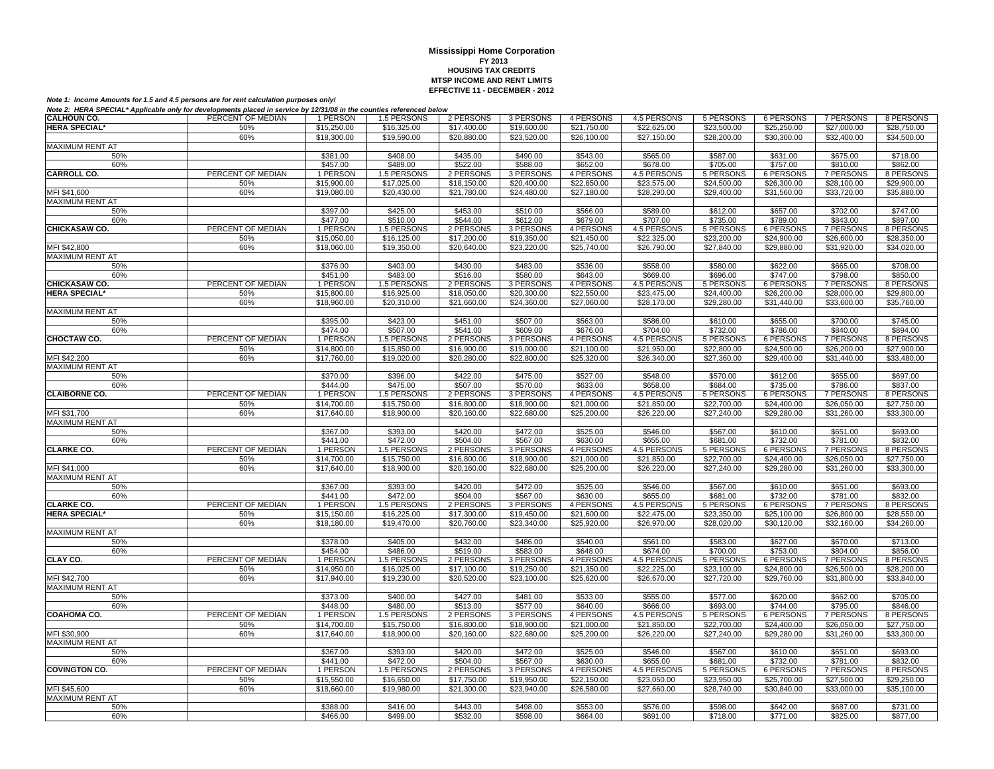| <b>HERA SPECIAL*</b><br>50%<br>\$15,250.00<br>\$16,325.00<br>\$17,400.00<br>\$19,600.00<br>\$21,750.00<br>\$22,625.00<br>\$23,500.00<br>\$25,250.00<br>\$27,000.00<br>\$28,750.00<br>60%<br>\$18,300.00<br>\$19,590.00<br>\$20,880.00<br>\$23,520.00<br>\$26,100.00<br>\$27,150.00<br>\$28,200.00<br>\$30,300.00<br>\$32,400.00<br>\$34,500.00<br><b>MAXIMUM RENT AT</b><br>\$408.00<br>\$543.00<br>\$587.00<br>50%<br>\$381.00<br>\$435.00<br>\$490.00<br>\$565.00<br>\$631.00<br>\$675.00<br>\$718.00<br>60%<br>\$457.00<br>\$489.00<br>\$522.00<br>\$588.00<br>\$652.00<br>\$678.00<br>\$705.00<br>\$757.00<br>\$810.00<br>\$862.00<br><b>CARROLL CO.</b><br>PERCENT OF MEDIAN<br>4 PERSONS<br>4.5 PERSONS<br>5 PERSONS<br>6 PERSONS<br><b>7 PERSONS</b><br>1 PERSON<br>1.5 PERSONS<br>2 PERSONS<br>3 PERSONS<br>8 PERSONS<br>\$15,900.00<br>\$17,025.00<br>\$18,150.00<br>\$20,400.00<br>\$22,650.00<br>\$23,575.00<br>\$24,500.00<br>\$26,300.00<br>\$28,100.00<br>\$29,900.00<br>50%<br>MFI \$41,600<br>60%<br>\$19,080.00<br>\$20,430.00<br>\$21,780.00<br>\$24,480.00<br>\$27,180.00<br>\$28,290.00<br>\$29,400.00<br>\$31,560.00<br>\$33,720.00<br>\$35,880.00<br><b>MAXIMUM RENT AT</b><br>50%<br>\$397.00<br>\$425.00<br>\$453.00<br>\$510.00<br>\$566.00<br>\$589.00<br>\$612.00<br>\$657.00<br>\$702.00<br>\$747.00<br>60%<br>\$477.00<br>\$510.00<br>\$544.00<br>\$612.00<br>\$679.00<br>\$707.00<br>\$735.00<br>\$789.00<br>\$843.00<br>\$897.00<br>CHICKASAW CO.<br>PERCENT OF MEDIAN<br>1 PERSON<br>1.5 PERSONS<br>2 PERSONS<br>3 PERSONS<br>4 PERSONS<br>4.5 PERSONS<br>5 PERSONS<br>6 PERSONS<br>7 PERSONS<br>8 PERSONS<br>\$22,325.00<br>50%<br>\$15,050.00<br>\$16,125.00<br>\$17,200.00<br>\$19,350.00<br>\$21,450.00<br>\$23,200.00<br>\$24,900.00<br>\$26,600.00<br>\$28,350.00<br>MFI \$42,800<br>60%<br>\$18,060.00<br>\$19,350.00<br>\$20,640.00<br>\$23,220.00<br>\$25,740.00<br>\$26,790.00<br>\$27,840.00<br>\$29,880.00<br>\$31,920.00<br>\$34,020.00<br><b>MAXIMUM RENT AT</b><br>50%<br>\$376.00<br>\$403.00<br>\$430.00<br>\$483.00<br>\$536.00<br>\$558.00<br>\$580.00<br>\$622.00<br>\$665.00<br>\$708.00<br>\$451.00<br>\$483.00<br>\$580.00<br>\$643.00<br>\$669.00<br>\$696.00<br>\$798.00<br>\$850.00<br>60%<br>\$516.00<br>\$747.00<br>PERCENT OF MEDIAN<br>4.5 PERSONS<br><b>7 PERSONS</b><br><b>CHICKASAW CO.</b><br>1 PERSON<br>1.5 PERSONS<br>2 PERSONS<br>3 PERSONS<br>4 PERSONS<br>5 PERSONS<br><b>6 PERSONS</b><br>8 PERSONS<br><b>HERA SPECIAL*</b><br>\$23,475.00<br>\$24,400.00<br>\$28,000.00<br>50%<br>\$15,800.00<br>\$16,925.00<br>\$18,050.00<br>\$20,300.00<br>\$22,550.00<br>\$26,200.00<br>\$29,800.00<br>60%<br>\$18,960.00<br>\$20,310.00<br>\$21,660.00<br>\$24,360.00<br>\$27,060.00<br>\$28,170.00<br>\$29,280.00<br>\$31,440.00<br>\$33,600.00<br>\$35,760.00<br><b>MAXIMUM RENT AT</b><br>\$395.00<br>\$423.00<br>\$451.00<br>\$507.00<br>\$563.00<br>\$586.00<br>\$610.00<br>\$655.00<br>\$700.00<br>\$745.00<br>50%<br>\$507.00<br>\$541.00<br>\$732.00<br>\$786.00<br>\$894.00<br>60%<br>\$474.00<br>\$609.00<br>\$676.00<br>\$704.00<br>\$840.00<br>CHOCTAW CO.<br>PERCENT OF MEDIAN<br>1 PERSON<br>1.5 PERSONS<br>2 PERSONS<br>3 PERSONS<br>4 PERSONS<br>4.5 PERSONS<br>5 PERSONS<br>6 PERSONS<br>7 PERSONS<br>8 PERSONS<br>\$14,800.00<br>\$15,850.00<br>\$21,950.00<br>\$26,200.00<br>$\overline{$27,900.00}$<br>50%<br>\$16,900.00<br>\$19,000.00<br>\$21,100.00<br>\$22,800.00<br>\$24,500.00<br>MFI \$42,200<br>\$20,280.00<br>\$31,440.00<br>60%<br>\$17,760.00<br>\$19,020.00<br>\$22,800.00<br>\$25,320.00<br>\$26,340.00<br>\$27,360.00<br>\$29,400.00<br>\$33,480.00<br><b>MAXIMUM RENT AT</b><br>\$370.00<br>\$396.00<br>\$422.00<br>\$475.00<br>\$527.00<br>\$548.00<br>\$570.00<br>\$612.00<br>\$655.00<br>\$697.00<br>50%<br>\$633.00<br>60%<br>\$444.00<br>\$475.00<br>\$507.00<br>\$570.00<br>\$658.00<br>\$684.00<br>\$735.00<br>\$786.00<br>\$837.00<br>PERCENT OF MEDIAN<br><b>CLAIBORNE CO.</b><br>1 PERSON<br>1.5 PERSONS<br>2 PERSONS<br>3 PERSONS<br>4 PERSONS<br>4.5 PERSONS<br>5 PERSONS<br>6 PERSONS<br>7 PERSONS<br>8 PERSONS<br>50%<br>\$14,700.00<br>\$21,000.00<br>\$21.850.00<br>\$22,700.00<br>\$24,400.00<br>\$26,050.00<br>\$27,750.00<br>\$15,750.00<br>\$16,800.00<br>\$18,900.00<br>\$17,640.00<br>\$33,300.00<br>MFI \$31,700<br>60%<br>\$18,900.00<br>\$20,160.00<br>\$22,680.00<br>\$25,200.00<br>\$26,220.00<br>\$27,240.00<br>\$29,280.00<br>\$31,260.00<br>MAXIMUM RENT AT<br>\$367.00<br>\$393.00<br>\$420.00<br>\$472.00<br>\$525.00<br>\$546.00<br>\$567.00<br>\$610.00<br>\$651.00<br>\$693.00<br>50%<br>60%<br>\$441.00<br>\$472.00<br>\$504.00<br>\$567.00<br>\$630.00<br>\$655.00<br>\$681.00<br>\$732.00<br>\$781.00<br>\$832.00<br><b>CLARKE CO.</b><br>PERCENT OF MEDIAN<br>1 PERSON<br>1.5 PERSONS<br>2 PERSONS<br>3 PERSONS<br>4 PERSONS<br>4.5 PERSONS<br>5 PERSONS<br><b>6 PERSONS</b><br><b>7 PERSONS</b><br>8 PERSONS<br>50%<br>\$14,700.00<br>\$15,750.00<br>\$21,000.00<br>\$21,850.00<br>\$22,700.00<br>\$26,050.00<br>\$27,750.00<br>\$16,800.00<br>\$18,900.00<br>\$24,400.00<br>MFI \$41,000<br>\$22,680.00<br>\$33,300.00<br>60%<br>\$17,640.00<br>\$18,900.00<br>\$20,160.00<br>\$25,200.00<br>\$26,220.00<br>\$27,240.00<br>\$29,280.00<br>\$31,260.00<br><b>MAXIMUM RENT AT</b><br>\$420.00<br>\$651.00<br>\$693.00<br>50%<br>\$367.00<br>\$393.00<br>\$472.00<br>\$525.00<br>\$546.00<br>\$567.00<br>\$610.00<br>\$441.00<br>\$472.00<br>\$504.00<br>\$567.00<br>\$630.00<br>\$655.00<br>\$681.00<br>\$732.00<br>\$832.00<br>60%<br>\$781.00<br>PERCENT OF MEDIAN<br><b>CLARKE CO.</b><br>1 PERSON<br>1.5 PERSONS<br>2 PERSONS<br>3 PERSONS<br>4 PERSONS<br>4.5 PERSONS<br>5 PERSONS<br>6 PERSONS<br>7 PERSONS<br>8 PERSONS<br><b>HERA SPECIAL*</b><br>50%<br>\$15,150.00<br>\$16,225.00<br>\$17,300.00<br>\$19,450.00<br>\$21,600.00<br>\$22,475.00<br>\$23,350.00<br>\$25,100.00<br>\$26,800.00<br>\$28,550.00<br>60%<br>\$19,470.00<br>\$20,760.00<br>\$23,340.00<br>\$25,920.00<br>\$26,970.00<br>\$28,020.00<br>\$34,260.00<br>\$18,180.00<br>\$30,120.00<br>\$32,160.00<br><b>MAXIMUM RENT AT</b><br>\$378.00<br>\$405.00<br>\$432.00<br>\$486.00<br>\$540.00<br>\$561.00<br>\$583.00<br>\$713.00<br>50%<br>\$627.00<br>\$670.00<br>\$519.00<br>60%<br>\$454.00<br>\$486.00<br>\$583.00<br>\$648.00<br>\$674.00<br>\$700.00<br>\$753.00<br>\$804.00<br>\$856.00<br>CLAY CO.<br>PERCENT OF MEDIAN<br>1 PERSON<br>1.5 PERSONS<br>4 PERSONS<br>4.5 PERSONS<br>5 PERSONS<br>6 PERSONS<br>7 PERSONS<br>8 PERSONS<br>2 PERSONS<br>3 PERSONS<br>\$17,100.00<br>\$22,225.00<br>\$23,100.00<br>\$26,500.00<br>\$28,200.00<br>50%<br>\$14,950.00<br>\$16,025.00<br>\$19,250.00<br>\$21,350.00<br>\$24,800.00<br>MFI \$42,700<br>60%<br>\$17,940.00<br>\$20,520.00<br>\$23,100.00<br>\$26,670.00<br>\$27,720.00<br>\$29,760.00<br>\$31,800.00<br>\$33,840.00<br>\$19,230.00<br>\$25,620.00<br><b>MAXIMUM RENT AT</b><br>50%<br>\$373.00<br>\$400.00<br>\$427.00<br>\$481.00<br>\$533.00<br>\$555.00<br>\$577.00<br>\$620.00<br>\$662.00<br>\$705.00<br>\$513.00<br>\$480.00<br>\$577.00<br>\$640.00<br>\$666.00<br>\$693.00<br>\$744.00<br>\$795.00<br>\$846.00<br>\$448.00<br>60%<br>COAHOMA CO.<br>PERCENT OF MEDIAN<br>4 PERSONS<br>6 PERSONS<br>8 PERSONS<br>1 PERSON<br>1.5 PERSONS<br>2 PERSONS<br>3 PERSONS<br>4.5 PERSONS<br>5 PERSONS<br><b>7 PERSONS</b><br>50%<br>\$14,700.00<br>\$15,750.00<br>\$16,800.00<br>\$18,900.00<br>\$21,000.00<br>\$21,850.00<br>\$22,700.00<br>\$24,400.00<br>\$26,050.00<br>\$27,750.00<br>60%<br>\$17,640.00<br>\$18,900.00<br>\$20,160.00<br>\$22,680.00<br>\$25,200.00<br>\$26,220.00<br>\$27,240.00<br>\$29,280.00<br>\$31,260.00<br>\$33,300.00<br>MFI \$30,900<br>MAXIMUM RENT AT<br>\$393.00<br>\$525.00<br>\$610.00<br>\$693.00<br>50%<br>\$367.00<br>\$420.00<br>\$472.00<br>\$546.00<br>\$567.00<br>\$651.00<br>60%<br>\$441.00<br>\$472.00<br>\$504.00<br>\$567.00<br>\$630.00<br>\$655.00<br>\$681.00<br>\$732.00<br>\$781.00<br>\$832.00<br>PERCENT OF MEDIAN<br><b>COVINGTON CO.</b><br>1 PERSON<br>1.5 PERSONS<br>2 PERSONS<br>3 PERSONS<br>4 PERSONS<br>4.5 PERSONS<br>5 PERSONS<br><b>6 PERSONS</b><br><b>7 PERSONS</b><br>8 PERSONS<br>\$25,700.00<br>50%<br>\$15,550.00<br>\$16,650.00<br>\$17,750.00<br>\$19,950.00<br>\$22,150.00<br>\$23,050.00<br>\$23,950.00<br>\$27,500.00<br>\$29,250.00<br>MFI \$45,600<br>60%<br>\$21,300.00<br>\$27,660.00<br>\$35,100.00<br>\$18,660.00<br>\$19,980.00<br>\$23,940.00<br>\$26,580.00<br>\$28,740.00<br>\$30,840.00<br>\$33,000.00<br><b>MAXIMUM RENT AT</b><br>50%<br>\$416.00<br>\$443.00<br>\$553.00<br>\$576.00<br>\$598.00<br>\$642.00<br>\$687.00<br>\$388.00<br>\$498.00<br>\$731.00<br>\$499.00<br>\$532.00<br>\$598.00<br>60%<br>\$466.00<br>\$664.00<br>\$691.00<br>\$718.00<br>\$771.00<br>\$825.00<br>\$877.00 | <b>CALHOUN CO.</b> | PERCENT OF MEDIAN | 1 PERSON | 1.5 PERSONS | 2 PERSONS | 3 PERSONS | 4 PERSONS | 4.5 PERSONS | 5 PERSONS | 6 PERSONS | 7 PERSONS | 8 PERSONS |
|-------------------------------------------------------------------------------------------------------------------------------------------------------------------------------------------------------------------------------------------------------------------------------------------------------------------------------------------------------------------------------------------------------------------------------------------------------------------------------------------------------------------------------------------------------------------------------------------------------------------------------------------------------------------------------------------------------------------------------------------------------------------------------------------------------------------------------------------------------------------------------------------------------------------------------------------------------------------------------------------------------------------------------------------------------------------------------------------------------------------------------------------------------------------------------------------------------------------------------------------------------------------------------------------------------------------------------------------------------------------------------------------------------------------------------------------------------------------------------------------------------------------------------------------------------------------------------------------------------------------------------------------------------------------------------------------------------------------------------------------------------------------------------------------------------------------------------------------------------------------------------------------------------------------------------------------------------------------------------------------------------------------------------------------------------------------------------------------------------------------------------------------------------------------------------------------------------------------------------------------------------------------------------------------------------------------------------------------------------------------------------------------------------------------------------------------------------------------------------------------------------------------------------------------------------------------------------------------------------------------------------------------------------------------------------------------------------------------------------------------------------------------------------------------------------------------------------------------------------------------------------------------------------------------------------------------------------------------------------------------------------------------------------------------------------------------------------------------------------------------------------------------------------------------------------------------------------------------------------------------------------------------------------------------------------------------------------------------------------------------------------------------------------------------------------------------------------------------------------------------------------------------------------------------------------------------------------------------------------------------------------------------------------------------------------------------------------------------------------------------------------------------------------------------------------------------------------------------------------------------------------------------------------------------------------------------------------------------------------------------------------------------------------------------------------------------------------------------------------------------------------------------------------------------------------------------------------------------------------------------------------------------------------------------------------------------------------------------------------------------------------------------------------------------------------------------------------------------------------------------------------------------------------------------------------------------------------------------------------------------------------------------------------------------------------------------------------------------------------------------------------------------------------------------------------------------------------------------------------------------------------------------------------------------------------------------------------------------------------------------------------------------------------------------------------------------------------------------------------------------------------------------------------------------------------------------------------------------------------------------------------------------------------------------------------------------------------------------------------------------------------------------------------------------------------------------------------------------------------------------------------------------------------------------------------------------------------------------------------------------------------------------------------------------------------------------------------------------------------------------------------------------------------------------------------------------------------------------------------------------------------------------------------------------------------------------------------------------------------------------------------------------------------------------------------------------------------------------------------------------------------------------------------------------------------------------------------------------------------------------------------------------------------------------------------------------------------------------------------------------------------------------------------------------------------------------------------------------------------------------------------------------------------------------------------------------------------------------------------------------------------------------------------------------------------------------------------------------------------------------------------------------------------------------------------------------------------------------------------------------------------------------------------------------------------------------------------------------------------------------------------------------------------------------------------------------------------------------------------------------------------------------------------------------------------------------------------------------------------------------------------------------------------------------------------------------------------------------------------------------------------------------------------------------------------------------------------------------------------------------------------------------------------------------------------------------------------------------------------------------------------------------------------------------------------------------------------------------------------------------------------------------------------------------------------------------------------------------------------------------------------------------------------------------------------------------------------------------------------------------------------------------------------------------------------------------------------------------------------------------------------------------------------------------------------------------------------------------------------------------------------------------------------------------------------------------------------------------------------------------------------------------------------------------------------------------------------------------------------------------------------------------------------------------------------------------------------------------------------------------------------------------------------------------------------------------------------------------------------------------------------------------------------------------------------------------------------------------------------------------------|--------------------|-------------------|----------|-------------|-----------|-----------|-----------|-------------|-----------|-----------|-----------|-----------|
|                                                                                                                                                                                                                                                                                                                                                                                                                                                                                                                                                                                                                                                                                                                                                                                                                                                                                                                                                                                                                                                                                                                                                                                                                                                                                                                                                                                                                                                                                                                                                                                                                                                                                                                                                                                                                                                                                                                                                                                                                                                                                                                                                                                                                                                                                                                                                                                                                                                                                                                                                                                                                                                                                                                                                                                                                                                                                                                                                                                                                                                                                                                                                                                                                                                                                                                                                                                                                                                                                                                                                                                                                                                                                                                                                                                                                                                                                                                                                                                                                                                                                                                                                                                                                                                                                                                                                                                                                                                                                                                                                                                                                                                                                                                                                                                                                                                                                                                                                                                                                                                                                                                                                                                                                                                                                                                                                                                                                                                                                                                                                                                                                                                                                                                                                                                                                                                                                                                                                                                                                                                                                                                                                                                                                                                                                                                                                                                                                                                                                                                                                                                                                                                                                                                                                                                                                                                                                                                                                                                                                                                                                                                                                                                                                                                                                                                                                                                                                                                                                                                                                                                                                                                                                                                                                                                                                                                                                                                                                                                                                                                                                                                                                                                                                                                                                                                                                                                                                                                                                                                                                                                                                                                                                                                                                                                                                                                                         |                    |                   |          |             |           |           |           |             |           |           |           |           |
|                                                                                                                                                                                                                                                                                                                                                                                                                                                                                                                                                                                                                                                                                                                                                                                                                                                                                                                                                                                                                                                                                                                                                                                                                                                                                                                                                                                                                                                                                                                                                                                                                                                                                                                                                                                                                                                                                                                                                                                                                                                                                                                                                                                                                                                                                                                                                                                                                                                                                                                                                                                                                                                                                                                                                                                                                                                                                                                                                                                                                                                                                                                                                                                                                                                                                                                                                                                                                                                                                                                                                                                                                                                                                                                                                                                                                                                                                                                                                                                                                                                                                                                                                                                                                                                                                                                                                                                                                                                                                                                                                                                                                                                                                                                                                                                                                                                                                                                                                                                                                                                                                                                                                                                                                                                                                                                                                                                                                                                                                                                                                                                                                                                                                                                                                                                                                                                                                                                                                                                                                                                                                                                                                                                                                                                                                                                                                                                                                                                                                                                                                                                                                                                                                                                                                                                                                                                                                                                                                                                                                                                                                                                                                                                                                                                                                                                                                                                                                                                                                                                                                                                                                                                                                                                                                                                                                                                                                                                                                                                                                                                                                                                                                                                                                                                                                                                                                                                                                                                                                                                                                                                                                                                                                                                                                                                                                                                                         |                    |                   |          |             |           |           |           |             |           |           |           |           |
|                                                                                                                                                                                                                                                                                                                                                                                                                                                                                                                                                                                                                                                                                                                                                                                                                                                                                                                                                                                                                                                                                                                                                                                                                                                                                                                                                                                                                                                                                                                                                                                                                                                                                                                                                                                                                                                                                                                                                                                                                                                                                                                                                                                                                                                                                                                                                                                                                                                                                                                                                                                                                                                                                                                                                                                                                                                                                                                                                                                                                                                                                                                                                                                                                                                                                                                                                                                                                                                                                                                                                                                                                                                                                                                                                                                                                                                                                                                                                                                                                                                                                                                                                                                                                                                                                                                                                                                                                                                                                                                                                                                                                                                                                                                                                                                                                                                                                                                                                                                                                                                                                                                                                                                                                                                                                                                                                                                                                                                                                                                                                                                                                                                                                                                                                                                                                                                                                                                                                                                                                                                                                                                                                                                                                                                                                                                                                                                                                                                                                                                                                                                                                                                                                                                                                                                                                                                                                                                                                                                                                                                                                                                                                                                                                                                                                                                                                                                                                                                                                                                                                                                                                                                                                                                                                                                                                                                                                                                                                                                                                                                                                                                                                                                                                                                                                                                                                                                                                                                                                                                                                                                                                                                                                                                                                                                                                                                                         |                    |                   |          |             |           |           |           |             |           |           |           |           |
|                                                                                                                                                                                                                                                                                                                                                                                                                                                                                                                                                                                                                                                                                                                                                                                                                                                                                                                                                                                                                                                                                                                                                                                                                                                                                                                                                                                                                                                                                                                                                                                                                                                                                                                                                                                                                                                                                                                                                                                                                                                                                                                                                                                                                                                                                                                                                                                                                                                                                                                                                                                                                                                                                                                                                                                                                                                                                                                                                                                                                                                                                                                                                                                                                                                                                                                                                                                                                                                                                                                                                                                                                                                                                                                                                                                                                                                                                                                                                                                                                                                                                                                                                                                                                                                                                                                                                                                                                                                                                                                                                                                                                                                                                                                                                                                                                                                                                                                                                                                                                                                                                                                                                                                                                                                                                                                                                                                                                                                                                                                                                                                                                                                                                                                                                                                                                                                                                                                                                                                                                                                                                                                                                                                                                                                                                                                                                                                                                                                                                                                                                                                                                                                                                                                                                                                                                                                                                                                                                                                                                                                                                                                                                                                                                                                                                                                                                                                                                                                                                                                                                                                                                                                                                                                                                                                                                                                                                                                                                                                                                                                                                                                                                                                                                                                                                                                                                                                                                                                                                                                                                                                                                                                                                                                                                                                                                                                                         |                    |                   |          |             |           |           |           |             |           |           |           |           |
|                                                                                                                                                                                                                                                                                                                                                                                                                                                                                                                                                                                                                                                                                                                                                                                                                                                                                                                                                                                                                                                                                                                                                                                                                                                                                                                                                                                                                                                                                                                                                                                                                                                                                                                                                                                                                                                                                                                                                                                                                                                                                                                                                                                                                                                                                                                                                                                                                                                                                                                                                                                                                                                                                                                                                                                                                                                                                                                                                                                                                                                                                                                                                                                                                                                                                                                                                                                                                                                                                                                                                                                                                                                                                                                                                                                                                                                                                                                                                                                                                                                                                                                                                                                                                                                                                                                                                                                                                                                                                                                                                                                                                                                                                                                                                                                                                                                                                                                                                                                                                                                                                                                                                                                                                                                                                                                                                                                                                                                                                                                                                                                                                                                                                                                                                                                                                                                                                                                                                                                                                                                                                                                                                                                                                                                                                                                                                                                                                                                                                                                                                                                                                                                                                                                                                                                                                                                                                                                                                                                                                                                                                                                                                                                                                                                                                                                                                                                                                                                                                                                                                                                                                                                                                                                                                                                                                                                                                                                                                                                                                                                                                                                                                                                                                                                                                                                                                                                                                                                                                                                                                                                                                                                                                                                                                                                                                                                                         |                    |                   |          |             |           |           |           |             |           |           |           |           |
|                                                                                                                                                                                                                                                                                                                                                                                                                                                                                                                                                                                                                                                                                                                                                                                                                                                                                                                                                                                                                                                                                                                                                                                                                                                                                                                                                                                                                                                                                                                                                                                                                                                                                                                                                                                                                                                                                                                                                                                                                                                                                                                                                                                                                                                                                                                                                                                                                                                                                                                                                                                                                                                                                                                                                                                                                                                                                                                                                                                                                                                                                                                                                                                                                                                                                                                                                                                                                                                                                                                                                                                                                                                                                                                                                                                                                                                                                                                                                                                                                                                                                                                                                                                                                                                                                                                                                                                                                                                                                                                                                                                                                                                                                                                                                                                                                                                                                                                                                                                                                                                                                                                                                                                                                                                                                                                                                                                                                                                                                                                                                                                                                                                                                                                                                                                                                                                                                                                                                                                                                                                                                                                                                                                                                                                                                                                                                                                                                                                                                                                                                                                                                                                                                                                                                                                                                                                                                                                                                                                                                                                                                                                                                                                                                                                                                                                                                                                                                                                                                                                                                                                                                                                                                                                                                                                                                                                                                                                                                                                                                                                                                                                                                                                                                                                                                                                                                                                                                                                                                                                                                                                                                                                                                                                                                                                                                                                                         |                    |                   |          |             |           |           |           |             |           |           |           |           |
|                                                                                                                                                                                                                                                                                                                                                                                                                                                                                                                                                                                                                                                                                                                                                                                                                                                                                                                                                                                                                                                                                                                                                                                                                                                                                                                                                                                                                                                                                                                                                                                                                                                                                                                                                                                                                                                                                                                                                                                                                                                                                                                                                                                                                                                                                                                                                                                                                                                                                                                                                                                                                                                                                                                                                                                                                                                                                                                                                                                                                                                                                                                                                                                                                                                                                                                                                                                                                                                                                                                                                                                                                                                                                                                                                                                                                                                                                                                                                                                                                                                                                                                                                                                                                                                                                                                                                                                                                                                                                                                                                                                                                                                                                                                                                                                                                                                                                                                                                                                                                                                                                                                                                                                                                                                                                                                                                                                                                                                                                                                                                                                                                                                                                                                                                                                                                                                                                                                                                                                                                                                                                                                                                                                                                                                                                                                                                                                                                                                                                                                                                                                                                                                                                                                                                                                                                                                                                                                                                                                                                                                                                                                                                                                                                                                                                                                                                                                                                                                                                                                                                                                                                                                                                                                                                                                                                                                                                                                                                                                                                                                                                                                                                                                                                                                                                                                                                                                                                                                                                                                                                                                                                                                                                                                                                                                                                                                                         |                    |                   |          |             |           |           |           |             |           |           |           |           |
|                                                                                                                                                                                                                                                                                                                                                                                                                                                                                                                                                                                                                                                                                                                                                                                                                                                                                                                                                                                                                                                                                                                                                                                                                                                                                                                                                                                                                                                                                                                                                                                                                                                                                                                                                                                                                                                                                                                                                                                                                                                                                                                                                                                                                                                                                                                                                                                                                                                                                                                                                                                                                                                                                                                                                                                                                                                                                                                                                                                                                                                                                                                                                                                                                                                                                                                                                                                                                                                                                                                                                                                                                                                                                                                                                                                                                                                                                                                                                                                                                                                                                                                                                                                                                                                                                                                                                                                                                                                                                                                                                                                                                                                                                                                                                                                                                                                                                                                                                                                                                                                                                                                                                                                                                                                                                                                                                                                                                                                                                                                                                                                                                                                                                                                                                                                                                                                                                                                                                                                                                                                                                                                                                                                                                                                                                                                                                                                                                                                                                                                                                                                                                                                                                                                                                                                                                                                                                                                                                                                                                                                                                                                                                                                                                                                                                                                                                                                                                                                                                                                                                                                                                                                                                                                                                                                                                                                                                                                                                                                                                                                                                                                                                                                                                                                                                                                                                                                                                                                                                                                                                                                                                                                                                                                                                                                                                                                                         |                    |                   |          |             |           |           |           |             |           |           |           |           |
|                                                                                                                                                                                                                                                                                                                                                                                                                                                                                                                                                                                                                                                                                                                                                                                                                                                                                                                                                                                                                                                                                                                                                                                                                                                                                                                                                                                                                                                                                                                                                                                                                                                                                                                                                                                                                                                                                                                                                                                                                                                                                                                                                                                                                                                                                                                                                                                                                                                                                                                                                                                                                                                                                                                                                                                                                                                                                                                                                                                                                                                                                                                                                                                                                                                                                                                                                                                                                                                                                                                                                                                                                                                                                                                                                                                                                                                                                                                                                                                                                                                                                                                                                                                                                                                                                                                                                                                                                                                                                                                                                                                                                                                                                                                                                                                                                                                                                                                                                                                                                                                                                                                                                                                                                                                                                                                                                                                                                                                                                                                                                                                                                                                                                                                                                                                                                                                                                                                                                                                                                                                                                                                                                                                                                                                                                                                                                                                                                                                                                                                                                                                                                                                                                                                                                                                                                                                                                                                                                                                                                                                                                                                                                                                                                                                                                                                                                                                                                                                                                                                                                                                                                                                                                                                                                                                                                                                                                                                                                                                                                                                                                                                                                                                                                                                                                                                                                                                                                                                                                                                                                                                                                                                                                                                                                                                                                                                                         |                    |                   |          |             |           |           |           |             |           |           |           |           |
|                                                                                                                                                                                                                                                                                                                                                                                                                                                                                                                                                                                                                                                                                                                                                                                                                                                                                                                                                                                                                                                                                                                                                                                                                                                                                                                                                                                                                                                                                                                                                                                                                                                                                                                                                                                                                                                                                                                                                                                                                                                                                                                                                                                                                                                                                                                                                                                                                                                                                                                                                                                                                                                                                                                                                                                                                                                                                                                                                                                                                                                                                                                                                                                                                                                                                                                                                                                                                                                                                                                                                                                                                                                                                                                                                                                                                                                                                                                                                                                                                                                                                                                                                                                                                                                                                                                                                                                                                                                                                                                                                                                                                                                                                                                                                                                                                                                                                                                                                                                                                                                                                                                                                                                                                                                                                                                                                                                                                                                                                                                                                                                                                                                                                                                                                                                                                                                                                                                                                                                                                                                                                                                                                                                                                                                                                                                                                                                                                                                                                                                                                                                                                                                                                                                                                                                                                                                                                                                                                                                                                                                                                                                                                                                                                                                                                                                                                                                                                                                                                                                                                                                                                                                                                                                                                                                                                                                                                                                                                                                                                                                                                                                                                                                                                                                                                                                                                                                                                                                                                                                                                                                                                                                                                                                                                                                                                                                                         |                    |                   |          |             |           |           |           |             |           |           |           |           |
|                                                                                                                                                                                                                                                                                                                                                                                                                                                                                                                                                                                                                                                                                                                                                                                                                                                                                                                                                                                                                                                                                                                                                                                                                                                                                                                                                                                                                                                                                                                                                                                                                                                                                                                                                                                                                                                                                                                                                                                                                                                                                                                                                                                                                                                                                                                                                                                                                                                                                                                                                                                                                                                                                                                                                                                                                                                                                                                                                                                                                                                                                                                                                                                                                                                                                                                                                                                                                                                                                                                                                                                                                                                                                                                                                                                                                                                                                                                                                                                                                                                                                                                                                                                                                                                                                                                                                                                                                                                                                                                                                                                                                                                                                                                                                                                                                                                                                                                                                                                                                                                                                                                                                                                                                                                                                                                                                                                                                                                                                                                                                                                                                                                                                                                                                                                                                                                                                                                                                                                                                                                                                                                                                                                                                                                                                                                                                                                                                                                                                                                                                                                                                                                                                                                                                                                                                                                                                                                                                                                                                                                                                                                                                                                                                                                                                                                                                                                                                                                                                                                                                                                                                                                                                                                                                                                                                                                                                                                                                                                                                                                                                                                                                                                                                                                                                                                                                                                                                                                                                                                                                                                                                                                                                                                                                                                                                                                                         |                    |                   |          |             |           |           |           |             |           |           |           |           |
|                                                                                                                                                                                                                                                                                                                                                                                                                                                                                                                                                                                                                                                                                                                                                                                                                                                                                                                                                                                                                                                                                                                                                                                                                                                                                                                                                                                                                                                                                                                                                                                                                                                                                                                                                                                                                                                                                                                                                                                                                                                                                                                                                                                                                                                                                                                                                                                                                                                                                                                                                                                                                                                                                                                                                                                                                                                                                                                                                                                                                                                                                                                                                                                                                                                                                                                                                                                                                                                                                                                                                                                                                                                                                                                                                                                                                                                                                                                                                                                                                                                                                                                                                                                                                                                                                                                                                                                                                                                                                                                                                                                                                                                                                                                                                                                                                                                                                                                                                                                                                                                                                                                                                                                                                                                                                                                                                                                                                                                                                                                                                                                                                                                                                                                                                                                                                                                                                                                                                                                                                                                                                                                                                                                                                                                                                                                                                                                                                                                                                                                                                                                                                                                                                                                                                                                                                                                                                                                                                                                                                                                                                                                                                                                                                                                                                                                                                                                                                                                                                                                                                                                                                                                                                                                                                                                                                                                                                                                                                                                                                                                                                                                                                                                                                                                                                                                                                                                                                                                                                                                                                                                                                                                                                                                                                                                                                                                                         |                    |                   |          |             |           |           |           |             |           |           |           |           |
|                                                                                                                                                                                                                                                                                                                                                                                                                                                                                                                                                                                                                                                                                                                                                                                                                                                                                                                                                                                                                                                                                                                                                                                                                                                                                                                                                                                                                                                                                                                                                                                                                                                                                                                                                                                                                                                                                                                                                                                                                                                                                                                                                                                                                                                                                                                                                                                                                                                                                                                                                                                                                                                                                                                                                                                                                                                                                                                                                                                                                                                                                                                                                                                                                                                                                                                                                                                                                                                                                                                                                                                                                                                                                                                                                                                                                                                                                                                                                                                                                                                                                                                                                                                                                                                                                                                                                                                                                                                                                                                                                                                                                                                                                                                                                                                                                                                                                                                                                                                                                                                                                                                                                                                                                                                                                                                                                                                                                                                                                                                                                                                                                                                                                                                                                                                                                                                                                                                                                                                                                                                                                                                                                                                                                                                                                                                                                                                                                                                                                                                                                                                                                                                                                                                                                                                                                                                                                                                                                                                                                                                                                                                                                                                                                                                                                                                                                                                                                                                                                                                                                                                                                                                                                                                                                                                                                                                                                                                                                                                                                                                                                                                                                                                                                                                                                                                                                                                                                                                                                                                                                                                                                                                                                                                                                                                                                                                                         |                    |                   |          |             |           |           |           |             |           |           |           |           |
|                                                                                                                                                                                                                                                                                                                                                                                                                                                                                                                                                                                                                                                                                                                                                                                                                                                                                                                                                                                                                                                                                                                                                                                                                                                                                                                                                                                                                                                                                                                                                                                                                                                                                                                                                                                                                                                                                                                                                                                                                                                                                                                                                                                                                                                                                                                                                                                                                                                                                                                                                                                                                                                                                                                                                                                                                                                                                                                                                                                                                                                                                                                                                                                                                                                                                                                                                                                                                                                                                                                                                                                                                                                                                                                                                                                                                                                                                                                                                                                                                                                                                                                                                                                                                                                                                                                                                                                                                                                                                                                                                                                                                                                                                                                                                                                                                                                                                                                                                                                                                                                                                                                                                                                                                                                                                                                                                                                                                                                                                                                                                                                                                                                                                                                                                                                                                                                                                                                                                                                                                                                                                                                                                                                                                                                                                                                                                                                                                                                                                                                                                                                                                                                                                                                                                                                                                                                                                                                                                                                                                                                                                                                                                                                                                                                                                                                                                                                                                                                                                                                                                                                                                                                                                                                                                                                                                                                                                                                                                                                                                                                                                                                                                                                                                                                                                                                                                                                                                                                                                                                                                                                                                                                                                                                                                                                                                                                                         |                    |                   |          |             |           |           |           |             |           |           |           |           |
|                                                                                                                                                                                                                                                                                                                                                                                                                                                                                                                                                                                                                                                                                                                                                                                                                                                                                                                                                                                                                                                                                                                                                                                                                                                                                                                                                                                                                                                                                                                                                                                                                                                                                                                                                                                                                                                                                                                                                                                                                                                                                                                                                                                                                                                                                                                                                                                                                                                                                                                                                                                                                                                                                                                                                                                                                                                                                                                                                                                                                                                                                                                                                                                                                                                                                                                                                                                                                                                                                                                                                                                                                                                                                                                                                                                                                                                                                                                                                                                                                                                                                                                                                                                                                                                                                                                                                                                                                                                                                                                                                                                                                                                                                                                                                                                                                                                                                                                                                                                                                                                                                                                                                                                                                                                                                                                                                                                                                                                                                                                                                                                                                                                                                                                                                                                                                                                                                                                                                                                                                                                                                                                                                                                                                                                                                                                                                                                                                                                                                                                                                                                                                                                                                                                                                                                                                                                                                                                                                                                                                                                                                                                                                                                                                                                                                                                                                                                                                                                                                                                                                                                                                                                                                                                                                                                                                                                                                                                                                                                                                                                                                                                                                                                                                                                                                                                                                                                                                                                                                                                                                                                                                                                                                                                                                                                                                                                                         |                    |                   |          |             |           |           |           |             |           |           |           |           |
|                                                                                                                                                                                                                                                                                                                                                                                                                                                                                                                                                                                                                                                                                                                                                                                                                                                                                                                                                                                                                                                                                                                                                                                                                                                                                                                                                                                                                                                                                                                                                                                                                                                                                                                                                                                                                                                                                                                                                                                                                                                                                                                                                                                                                                                                                                                                                                                                                                                                                                                                                                                                                                                                                                                                                                                                                                                                                                                                                                                                                                                                                                                                                                                                                                                                                                                                                                                                                                                                                                                                                                                                                                                                                                                                                                                                                                                                                                                                                                                                                                                                                                                                                                                                                                                                                                                                                                                                                                                                                                                                                                                                                                                                                                                                                                                                                                                                                                                                                                                                                                                                                                                                                                                                                                                                                                                                                                                                                                                                                                                                                                                                                                                                                                                                                                                                                                                                                                                                                                                                                                                                                                                                                                                                                                                                                                                                                                                                                                                                                                                                                                                                                                                                                                                                                                                                                                                                                                                                                                                                                                                                                                                                                                                                                                                                                                                                                                                                                                                                                                                                                                                                                                                                                                                                                                                                                                                                                                                                                                                                                                                                                                                                                                                                                                                                                                                                                                                                                                                                                                                                                                                                                                                                                                                                                                                                                                                                         |                    |                   |          |             |           |           |           |             |           |           |           |           |
|                                                                                                                                                                                                                                                                                                                                                                                                                                                                                                                                                                                                                                                                                                                                                                                                                                                                                                                                                                                                                                                                                                                                                                                                                                                                                                                                                                                                                                                                                                                                                                                                                                                                                                                                                                                                                                                                                                                                                                                                                                                                                                                                                                                                                                                                                                                                                                                                                                                                                                                                                                                                                                                                                                                                                                                                                                                                                                                                                                                                                                                                                                                                                                                                                                                                                                                                                                                                                                                                                                                                                                                                                                                                                                                                                                                                                                                                                                                                                                                                                                                                                                                                                                                                                                                                                                                                                                                                                                                                                                                                                                                                                                                                                                                                                                                                                                                                                                                                                                                                                                                                                                                                                                                                                                                                                                                                                                                                                                                                                                                                                                                                                                                                                                                                                                                                                                                                                                                                                                                                                                                                                                                                                                                                                                                                                                                                                                                                                                                                                                                                                                                                                                                                                                                                                                                                                                                                                                                                                                                                                                                                                                                                                                                                                                                                                                                                                                                                                                                                                                                                                                                                                                                                                                                                                                                                                                                                                                                                                                                                                                                                                                                                                                                                                                                                                                                                                                                                                                                                                                                                                                                                                                                                                                                                                                                                                                                                         |                    |                   |          |             |           |           |           |             |           |           |           |           |
|                                                                                                                                                                                                                                                                                                                                                                                                                                                                                                                                                                                                                                                                                                                                                                                                                                                                                                                                                                                                                                                                                                                                                                                                                                                                                                                                                                                                                                                                                                                                                                                                                                                                                                                                                                                                                                                                                                                                                                                                                                                                                                                                                                                                                                                                                                                                                                                                                                                                                                                                                                                                                                                                                                                                                                                                                                                                                                                                                                                                                                                                                                                                                                                                                                                                                                                                                                                                                                                                                                                                                                                                                                                                                                                                                                                                                                                                                                                                                                                                                                                                                                                                                                                                                                                                                                                                                                                                                                                                                                                                                                                                                                                                                                                                                                                                                                                                                                                                                                                                                                                                                                                                                                                                                                                                                                                                                                                                                                                                                                                                                                                                                                                                                                                                                                                                                                                                                                                                                                                                                                                                                                                                                                                                                                                                                                                                                                                                                                                                                                                                                                                                                                                                                                                                                                                                                                                                                                                                                                                                                                                                                                                                                                                                                                                                                                                                                                                                                                                                                                                                                                                                                                                                                                                                                                                                                                                                                                                                                                                                                                                                                                                                                                                                                                                                                                                                                                                                                                                                                                                                                                                                                                                                                                                                                                                                                                                                         |                    |                   |          |             |           |           |           |             |           |           |           |           |
|                                                                                                                                                                                                                                                                                                                                                                                                                                                                                                                                                                                                                                                                                                                                                                                                                                                                                                                                                                                                                                                                                                                                                                                                                                                                                                                                                                                                                                                                                                                                                                                                                                                                                                                                                                                                                                                                                                                                                                                                                                                                                                                                                                                                                                                                                                                                                                                                                                                                                                                                                                                                                                                                                                                                                                                                                                                                                                                                                                                                                                                                                                                                                                                                                                                                                                                                                                                                                                                                                                                                                                                                                                                                                                                                                                                                                                                                                                                                                                                                                                                                                                                                                                                                                                                                                                                                                                                                                                                                                                                                                                                                                                                                                                                                                                                                                                                                                                                                                                                                                                                                                                                                                                                                                                                                                                                                                                                                                                                                                                                                                                                                                                                                                                                                                                                                                                                                                                                                                                                                                                                                                                                                                                                                                                                                                                                                                                                                                                                                                                                                                                                                                                                                                                                                                                                                                                                                                                                                                                                                                                                                                                                                                                                                                                                                                                                                                                                                                                                                                                                                                                                                                                                                                                                                                                                                                                                                                                                                                                                                                                                                                                                                                                                                                                                                                                                                                                                                                                                                                                                                                                                                                                                                                                                                                                                                                                                                         |                    |                   |          |             |           |           |           |             |           |           |           |           |
|                                                                                                                                                                                                                                                                                                                                                                                                                                                                                                                                                                                                                                                                                                                                                                                                                                                                                                                                                                                                                                                                                                                                                                                                                                                                                                                                                                                                                                                                                                                                                                                                                                                                                                                                                                                                                                                                                                                                                                                                                                                                                                                                                                                                                                                                                                                                                                                                                                                                                                                                                                                                                                                                                                                                                                                                                                                                                                                                                                                                                                                                                                                                                                                                                                                                                                                                                                                                                                                                                                                                                                                                                                                                                                                                                                                                                                                                                                                                                                                                                                                                                                                                                                                                                                                                                                                                                                                                                                                                                                                                                                                                                                                                                                                                                                                                                                                                                                                                                                                                                                                                                                                                                                                                                                                                                                                                                                                                                                                                                                                                                                                                                                                                                                                                                                                                                                                                                                                                                                                                                                                                                                                                                                                                                                                                                                                                                                                                                                                                                                                                                                                                                                                                                                                                                                                                                                                                                                                                                                                                                                                                                                                                                                                                                                                                                                                                                                                                                                                                                                                                                                                                                                                                                                                                                                                                                                                                                                                                                                                                                                                                                                                                                                                                                                                                                                                                                                                                                                                                                                                                                                                                                                                                                                                                                                                                                                                                         |                    |                   |          |             |           |           |           |             |           |           |           |           |
|                                                                                                                                                                                                                                                                                                                                                                                                                                                                                                                                                                                                                                                                                                                                                                                                                                                                                                                                                                                                                                                                                                                                                                                                                                                                                                                                                                                                                                                                                                                                                                                                                                                                                                                                                                                                                                                                                                                                                                                                                                                                                                                                                                                                                                                                                                                                                                                                                                                                                                                                                                                                                                                                                                                                                                                                                                                                                                                                                                                                                                                                                                                                                                                                                                                                                                                                                                                                                                                                                                                                                                                                                                                                                                                                                                                                                                                                                                                                                                                                                                                                                                                                                                                                                                                                                                                                                                                                                                                                                                                                                                                                                                                                                                                                                                                                                                                                                                                                                                                                                                                                                                                                                                                                                                                                                                                                                                                                                                                                                                                                                                                                                                                                                                                                                                                                                                                                                                                                                                                                                                                                                                                                                                                                                                                                                                                                                                                                                                                                                                                                                                                                                                                                                                                                                                                                                                                                                                                                                                                                                                                                                                                                                                                                                                                                                                                                                                                                                                                                                                                                                                                                                                                                                                                                                                                                                                                                                                                                                                                                                                                                                                                                                                                                                                                                                                                                                                                                                                                                                                                                                                                                                                                                                                                                                                                                                                                                         |                    |                   |          |             |           |           |           |             |           |           |           |           |
|                                                                                                                                                                                                                                                                                                                                                                                                                                                                                                                                                                                                                                                                                                                                                                                                                                                                                                                                                                                                                                                                                                                                                                                                                                                                                                                                                                                                                                                                                                                                                                                                                                                                                                                                                                                                                                                                                                                                                                                                                                                                                                                                                                                                                                                                                                                                                                                                                                                                                                                                                                                                                                                                                                                                                                                                                                                                                                                                                                                                                                                                                                                                                                                                                                                                                                                                                                                                                                                                                                                                                                                                                                                                                                                                                                                                                                                                                                                                                                                                                                                                                                                                                                                                                                                                                                                                                                                                                                                                                                                                                                                                                                                                                                                                                                                                                                                                                                                                                                                                                                                                                                                                                                                                                                                                                                                                                                                                                                                                                                                                                                                                                                                                                                                                                                                                                                                                                                                                                                                                                                                                                                                                                                                                                                                                                                                                                                                                                                                                                                                                                                                                                                                                                                                                                                                                                                                                                                                                                                                                                                                                                                                                                                                                                                                                                                                                                                                                                                                                                                                                                                                                                                                                                                                                                                                                                                                                                                                                                                                                                                                                                                                                                                                                                                                                                                                                                                                                                                                                                                                                                                                                                                                                                                                                                                                                                                                                         |                    |                   |          |             |           |           |           |             |           |           |           |           |
|                                                                                                                                                                                                                                                                                                                                                                                                                                                                                                                                                                                                                                                                                                                                                                                                                                                                                                                                                                                                                                                                                                                                                                                                                                                                                                                                                                                                                                                                                                                                                                                                                                                                                                                                                                                                                                                                                                                                                                                                                                                                                                                                                                                                                                                                                                                                                                                                                                                                                                                                                                                                                                                                                                                                                                                                                                                                                                                                                                                                                                                                                                                                                                                                                                                                                                                                                                                                                                                                                                                                                                                                                                                                                                                                                                                                                                                                                                                                                                                                                                                                                                                                                                                                                                                                                                                                                                                                                                                                                                                                                                                                                                                                                                                                                                                                                                                                                                                                                                                                                                                                                                                                                                                                                                                                                                                                                                                                                                                                                                                                                                                                                                                                                                                                                                                                                                                                                                                                                                                                                                                                                                                                                                                                                                                                                                                                                                                                                                                                                                                                                                                                                                                                                                                                                                                                                                                                                                                                                                                                                                                                                                                                                                                                                                                                                                                                                                                                                                                                                                                                                                                                                                                                                                                                                                                                                                                                                                                                                                                                                                                                                                                                                                                                                                                                                                                                                                                                                                                                                                                                                                                                                                                                                                                                                                                                                                                                         |                    |                   |          |             |           |           |           |             |           |           |           |           |
|                                                                                                                                                                                                                                                                                                                                                                                                                                                                                                                                                                                                                                                                                                                                                                                                                                                                                                                                                                                                                                                                                                                                                                                                                                                                                                                                                                                                                                                                                                                                                                                                                                                                                                                                                                                                                                                                                                                                                                                                                                                                                                                                                                                                                                                                                                                                                                                                                                                                                                                                                                                                                                                                                                                                                                                                                                                                                                                                                                                                                                                                                                                                                                                                                                                                                                                                                                                                                                                                                                                                                                                                                                                                                                                                                                                                                                                                                                                                                                                                                                                                                                                                                                                                                                                                                                                                                                                                                                                                                                                                                                                                                                                                                                                                                                                                                                                                                                                                                                                                                                                                                                                                                                                                                                                                                                                                                                                                                                                                                                                                                                                                                                                                                                                                                                                                                                                                                                                                                                                                                                                                                                                                                                                                                                                                                                                                                                                                                                                                                                                                                                                                                                                                                                                                                                                                                                                                                                                                                                                                                                                                                                                                                                                                                                                                                                                                                                                                                                                                                                                                                                                                                                                                                                                                                                                                                                                                                                                                                                                                                                                                                                                                                                                                                                                                                                                                                                                                                                                                                                                                                                                                                                                                                                                                                                                                                                                                         |                    |                   |          |             |           |           |           |             |           |           |           |           |
|                                                                                                                                                                                                                                                                                                                                                                                                                                                                                                                                                                                                                                                                                                                                                                                                                                                                                                                                                                                                                                                                                                                                                                                                                                                                                                                                                                                                                                                                                                                                                                                                                                                                                                                                                                                                                                                                                                                                                                                                                                                                                                                                                                                                                                                                                                                                                                                                                                                                                                                                                                                                                                                                                                                                                                                                                                                                                                                                                                                                                                                                                                                                                                                                                                                                                                                                                                                                                                                                                                                                                                                                                                                                                                                                                                                                                                                                                                                                                                                                                                                                                                                                                                                                                                                                                                                                                                                                                                                                                                                                                                                                                                                                                                                                                                                                                                                                                                                                                                                                                                                                                                                                                                                                                                                                                                                                                                                                                                                                                                                                                                                                                                                                                                                                                                                                                                                                                                                                                                                                                                                                                                                                                                                                                                                                                                                                                                                                                                                                                                                                                                                                                                                                                                                                                                                                                                                                                                                                                                                                                                                                                                                                                                                                                                                                                                                                                                                                                                                                                                                                                                                                                                                                                                                                                                                                                                                                                                                                                                                                                                                                                                                                                                                                                                                                                                                                                                                                                                                                                                                                                                                                                                                                                                                                                                                                                                                                         |                    |                   |          |             |           |           |           |             |           |           |           |           |
|                                                                                                                                                                                                                                                                                                                                                                                                                                                                                                                                                                                                                                                                                                                                                                                                                                                                                                                                                                                                                                                                                                                                                                                                                                                                                                                                                                                                                                                                                                                                                                                                                                                                                                                                                                                                                                                                                                                                                                                                                                                                                                                                                                                                                                                                                                                                                                                                                                                                                                                                                                                                                                                                                                                                                                                                                                                                                                                                                                                                                                                                                                                                                                                                                                                                                                                                                                                                                                                                                                                                                                                                                                                                                                                                                                                                                                                                                                                                                                                                                                                                                                                                                                                                                                                                                                                                                                                                                                                                                                                                                                                                                                                                                                                                                                                                                                                                                                                                                                                                                                                                                                                                                                                                                                                                                                                                                                                                                                                                                                                                                                                                                                                                                                                                                                                                                                                                                                                                                                                                                                                                                                                                                                                                                                                                                                                                                                                                                                                                                                                                                                                                                                                                                                                                                                                                                                                                                                                                                                                                                                                                                                                                                                                                                                                                                                                                                                                                                                                                                                                                                                                                                                                                                                                                                                                                                                                                                                                                                                                                                                                                                                                                                                                                                                                                                                                                                                                                                                                                                                                                                                                                                                                                                                                                                                                                                                                                         |                    |                   |          |             |           |           |           |             |           |           |           |           |
|                                                                                                                                                                                                                                                                                                                                                                                                                                                                                                                                                                                                                                                                                                                                                                                                                                                                                                                                                                                                                                                                                                                                                                                                                                                                                                                                                                                                                                                                                                                                                                                                                                                                                                                                                                                                                                                                                                                                                                                                                                                                                                                                                                                                                                                                                                                                                                                                                                                                                                                                                                                                                                                                                                                                                                                                                                                                                                                                                                                                                                                                                                                                                                                                                                                                                                                                                                                                                                                                                                                                                                                                                                                                                                                                                                                                                                                                                                                                                                                                                                                                                                                                                                                                                                                                                                                                                                                                                                                                                                                                                                                                                                                                                                                                                                                                                                                                                                                                                                                                                                                                                                                                                                                                                                                                                                                                                                                                                                                                                                                                                                                                                                                                                                                                                                                                                                                                                                                                                                                                                                                                                                                                                                                                                                                                                                                                                                                                                                                                                                                                                                                                                                                                                                                                                                                                                                                                                                                                                                                                                                                                                                                                                                                                                                                                                                                                                                                                                                                                                                                                                                                                                                                                                                                                                                                                                                                                                                                                                                                                                                                                                                                                                                                                                                                                                                                                                                                                                                                                                                                                                                                                                                                                                                                                                                                                                                                                         |                    |                   |          |             |           |           |           |             |           |           |           |           |
|                                                                                                                                                                                                                                                                                                                                                                                                                                                                                                                                                                                                                                                                                                                                                                                                                                                                                                                                                                                                                                                                                                                                                                                                                                                                                                                                                                                                                                                                                                                                                                                                                                                                                                                                                                                                                                                                                                                                                                                                                                                                                                                                                                                                                                                                                                                                                                                                                                                                                                                                                                                                                                                                                                                                                                                                                                                                                                                                                                                                                                                                                                                                                                                                                                                                                                                                                                                                                                                                                                                                                                                                                                                                                                                                                                                                                                                                                                                                                                                                                                                                                                                                                                                                                                                                                                                                                                                                                                                                                                                                                                                                                                                                                                                                                                                                                                                                                                                                                                                                                                                                                                                                                                                                                                                                                                                                                                                                                                                                                                                                                                                                                                                                                                                                                                                                                                                                                                                                                                                                                                                                                                                                                                                                                                                                                                                                                                                                                                                                                                                                                                                                                                                                                                                                                                                                                                                                                                                                                                                                                                                                                                                                                                                                                                                                                                                                                                                                                                                                                                                                                                                                                                                                                                                                                                                                                                                                                                                                                                                                                                                                                                                                                                                                                                                                                                                                                                                                                                                                                                                                                                                                                                                                                                                                                                                                                                                                         |                    |                   |          |             |           |           |           |             |           |           |           |           |
|                                                                                                                                                                                                                                                                                                                                                                                                                                                                                                                                                                                                                                                                                                                                                                                                                                                                                                                                                                                                                                                                                                                                                                                                                                                                                                                                                                                                                                                                                                                                                                                                                                                                                                                                                                                                                                                                                                                                                                                                                                                                                                                                                                                                                                                                                                                                                                                                                                                                                                                                                                                                                                                                                                                                                                                                                                                                                                                                                                                                                                                                                                                                                                                                                                                                                                                                                                                                                                                                                                                                                                                                                                                                                                                                                                                                                                                                                                                                                                                                                                                                                                                                                                                                                                                                                                                                                                                                                                                                                                                                                                                                                                                                                                                                                                                                                                                                                                                                                                                                                                                                                                                                                                                                                                                                                                                                                                                                                                                                                                                                                                                                                                                                                                                                                                                                                                                                                                                                                                                                                                                                                                                                                                                                                                                                                                                                                                                                                                                                                                                                                                                                                                                                                                                                                                                                                                                                                                                                                                                                                                                                                                                                                                                                                                                                                                                                                                                                                                                                                                                                                                                                                                                                                                                                                                                                                                                                                                                                                                                                                                                                                                                                                                                                                                                                                                                                                                                                                                                                                                                                                                                                                                                                                                                                                                                                                                                                         |                    |                   |          |             |           |           |           |             |           |           |           |           |
|                                                                                                                                                                                                                                                                                                                                                                                                                                                                                                                                                                                                                                                                                                                                                                                                                                                                                                                                                                                                                                                                                                                                                                                                                                                                                                                                                                                                                                                                                                                                                                                                                                                                                                                                                                                                                                                                                                                                                                                                                                                                                                                                                                                                                                                                                                                                                                                                                                                                                                                                                                                                                                                                                                                                                                                                                                                                                                                                                                                                                                                                                                                                                                                                                                                                                                                                                                                                                                                                                                                                                                                                                                                                                                                                                                                                                                                                                                                                                                                                                                                                                                                                                                                                                                                                                                                                                                                                                                                                                                                                                                                                                                                                                                                                                                                                                                                                                                                                                                                                                                                                                                                                                                                                                                                                                                                                                                                                                                                                                                                                                                                                                                                                                                                                                                                                                                                                                                                                                                                                                                                                                                                                                                                                                                                                                                                                                                                                                                                                                                                                                                                                                                                                                                                                                                                                                                                                                                                                                                                                                                                                                                                                                                                                                                                                                                                                                                                                                                                                                                                                                                                                                                                                                                                                                                                                                                                                                                                                                                                                                                                                                                                                                                                                                                                                                                                                                                                                                                                                                                                                                                                                                                                                                                                                                                                                                                                                         |                    |                   |          |             |           |           |           |             |           |           |           |           |
|                                                                                                                                                                                                                                                                                                                                                                                                                                                                                                                                                                                                                                                                                                                                                                                                                                                                                                                                                                                                                                                                                                                                                                                                                                                                                                                                                                                                                                                                                                                                                                                                                                                                                                                                                                                                                                                                                                                                                                                                                                                                                                                                                                                                                                                                                                                                                                                                                                                                                                                                                                                                                                                                                                                                                                                                                                                                                                                                                                                                                                                                                                                                                                                                                                                                                                                                                                                                                                                                                                                                                                                                                                                                                                                                                                                                                                                                                                                                                                                                                                                                                                                                                                                                                                                                                                                                                                                                                                                                                                                                                                                                                                                                                                                                                                                                                                                                                                                                                                                                                                                                                                                                                                                                                                                                                                                                                                                                                                                                                                                                                                                                                                                                                                                                                                                                                                                                                                                                                                                                                                                                                                                                                                                                                                                                                                                                                                                                                                                                                                                                                                                                                                                                                                                                                                                                                                                                                                                                                                                                                                                                                                                                                                                                                                                                                                                                                                                                                                                                                                                                                                                                                                                                                                                                                                                                                                                                                                                                                                                                                                                                                                                                                                                                                                                                                                                                                                                                                                                                                                                                                                                                                                                                                                                                                                                                                                                                         |                    |                   |          |             |           |           |           |             |           |           |           |           |
|                                                                                                                                                                                                                                                                                                                                                                                                                                                                                                                                                                                                                                                                                                                                                                                                                                                                                                                                                                                                                                                                                                                                                                                                                                                                                                                                                                                                                                                                                                                                                                                                                                                                                                                                                                                                                                                                                                                                                                                                                                                                                                                                                                                                                                                                                                                                                                                                                                                                                                                                                                                                                                                                                                                                                                                                                                                                                                                                                                                                                                                                                                                                                                                                                                                                                                                                                                                                                                                                                                                                                                                                                                                                                                                                                                                                                                                                                                                                                                                                                                                                                                                                                                                                                                                                                                                                                                                                                                                                                                                                                                                                                                                                                                                                                                                                                                                                                                                                                                                                                                                                                                                                                                                                                                                                                                                                                                                                                                                                                                                                                                                                                                                                                                                                                                                                                                                                                                                                                                                                                                                                                                                                                                                                                                                                                                                                                                                                                                                                                                                                                                                                                                                                                                                                                                                                                                                                                                                                                                                                                                                                                                                                                                                                                                                                                                                                                                                                                                                                                                                                                                                                                                                                                                                                                                                                                                                                                                                                                                                                                                                                                                                                                                                                                                                                                                                                                                                                                                                                                                                                                                                                                                                                                                                                                                                                                                                                         |                    |                   |          |             |           |           |           |             |           |           |           |           |
|                                                                                                                                                                                                                                                                                                                                                                                                                                                                                                                                                                                                                                                                                                                                                                                                                                                                                                                                                                                                                                                                                                                                                                                                                                                                                                                                                                                                                                                                                                                                                                                                                                                                                                                                                                                                                                                                                                                                                                                                                                                                                                                                                                                                                                                                                                                                                                                                                                                                                                                                                                                                                                                                                                                                                                                                                                                                                                                                                                                                                                                                                                                                                                                                                                                                                                                                                                                                                                                                                                                                                                                                                                                                                                                                                                                                                                                                                                                                                                                                                                                                                                                                                                                                                                                                                                                                                                                                                                                                                                                                                                                                                                                                                                                                                                                                                                                                                                                                                                                                                                                                                                                                                                                                                                                                                                                                                                                                                                                                                                                                                                                                                                                                                                                                                                                                                                                                                                                                                                                                                                                                                                                                                                                                                                                                                                                                                                                                                                                                                                                                                                                                                                                                                                                                                                                                                                                                                                                                                                                                                                                                                                                                                                                                                                                                                                                                                                                                                                                                                                                                                                                                                                                                                                                                                                                                                                                                                                                                                                                                                                                                                                                                                                                                                                                                                                                                                                                                                                                                                                                                                                                                                                                                                                                                                                                                                                                                         |                    |                   |          |             |           |           |           |             |           |           |           |           |
|                                                                                                                                                                                                                                                                                                                                                                                                                                                                                                                                                                                                                                                                                                                                                                                                                                                                                                                                                                                                                                                                                                                                                                                                                                                                                                                                                                                                                                                                                                                                                                                                                                                                                                                                                                                                                                                                                                                                                                                                                                                                                                                                                                                                                                                                                                                                                                                                                                                                                                                                                                                                                                                                                                                                                                                                                                                                                                                                                                                                                                                                                                                                                                                                                                                                                                                                                                                                                                                                                                                                                                                                                                                                                                                                                                                                                                                                                                                                                                                                                                                                                                                                                                                                                                                                                                                                                                                                                                                                                                                                                                                                                                                                                                                                                                                                                                                                                                                                                                                                                                                                                                                                                                                                                                                                                                                                                                                                                                                                                                                                                                                                                                                                                                                                                                                                                                                                                                                                                                                                                                                                                                                                                                                                                                                                                                                                                                                                                                                                                                                                                                                                                                                                                                                                                                                                                                                                                                                                                                                                                                                                                                                                                                                                                                                                                                                                                                                                                                                                                                                                                                                                                                                                                                                                                                                                                                                                                                                                                                                                                                                                                                                                                                                                                                                                                                                                                                                                                                                                                                                                                                                                                                                                                                                                                                                                                                                                         |                    |                   |          |             |           |           |           |             |           |           |           |           |
|                                                                                                                                                                                                                                                                                                                                                                                                                                                                                                                                                                                                                                                                                                                                                                                                                                                                                                                                                                                                                                                                                                                                                                                                                                                                                                                                                                                                                                                                                                                                                                                                                                                                                                                                                                                                                                                                                                                                                                                                                                                                                                                                                                                                                                                                                                                                                                                                                                                                                                                                                                                                                                                                                                                                                                                                                                                                                                                                                                                                                                                                                                                                                                                                                                                                                                                                                                                                                                                                                                                                                                                                                                                                                                                                                                                                                                                                                                                                                                                                                                                                                                                                                                                                                                                                                                                                                                                                                                                                                                                                                                                                                                                                                                                                                                                                                                                                                                                                                                                                                                                                                                                                                                                                                                                                                                                                                                                                                                                                                                                                                                                                                                                                                                                                                                                                                                                                                                                                                                                                                                                                                                                                                                                                                                                                                                                                                                                                                                                                                                                                                                                                                                                                                                                                                                                                                                                                                                                                                                                                                                                                                                                                                                                                                                                                                                                                                                                                                                                                                                                                                                                                                                                                                                                                                                                                                                                                                                                                                                                                                                                                                                                                                                                                                                                                                                                                                                                                                                                                                                                                                                                                                                                                                                                                                                                                                                                                         |                    |                   |          |             |           |           |           |             |           |           |           |           |
|                                                                                                                                                                                                                                                                                                                                                                                                                                                                                                                                                                                                                                                                                                                                                                                                                                                                                                                                                                                                                                                                                                                                                                                                                                                                                                                                                                                                                                                                                                                                                                                                                                                                                                                                                                                                                                                                                                                                                                                                                                                                                                                                                                                                                                                                                                                                                                                                                                                                                                                                                                                                                                                                                                                                                                                                                                                                                                                                                                                                                                                                                                                                                                                                                                                                                                                                                                                                                                                                                                                                                                                                                                                                                                                                                                                                                                                                                                                                                                                                                                                                                                                                                                                                                                                                                                                                                                                                                                                                                                                                                                                                                                                                                                                                                                                                                                                                                                                                                                                                                                                                                                                                                                                                                                                                                                                                                                                                                                                                                                                                                                                                                                                                                                                                                                                                                                                                                                                                                                                                                                                                                                                                                                                                                                                                                                                                                                                                                                                                                                                                                                                                                                                                                                                                                                                                                                                                                                                                                                                                                                                                                                                                                                                                                                                                                                                                                                                                                                                                                                                                                                                                                                                                                                                                                                                                                                                                                                                                                                                                                                                                                                                                                                                                                                                                                                                                                                                                                                                                                                                                                                                                                                                                                                                                                                                                                                                                         |                    |                   |          |             |           |           |           |             |           |           |           |           |
|                                                                                                                                                                                                                                                                                                                                                                                                                                                                                                                                                                                                                                                                                                                                                                                                                                                                                                                                                                                                                                                                                                                                                                                                                                                                                                                                                                                                                                                                                                                                                                                                                                                                                                                                                                                                                                                                                                                                                                                                                                                                                                                                                                                                                                                                                                                                                                                                                                                                                                                                                                                                                                                                                                                                                                                                                                                                                                                                                                                                                                                                                                                                                                                                                                                                                                                                                                                                                                                                                                                                                                                                                                                                                                                                                                                                                                                                                                                                                                                                                                                                                                                                                                                                                                                                                                                                                                                                                                                                                                                                                                                                                                                                                                                                                                                                                                                                                                                                                                                                                                                                                                                                                                                                                                                                                                                                                                                                                                                                                                                                                                                                                                                                                                                                                                                                                                                                                                                                                                                                                                                                                                                                                                                                                                                                                                                                                                                                                                                                                                                                                                                                                                                                                                                                                                                                                                                                                                                                                                                                                                                                                                                                                                                                                                                                                                                                                                                                                                                                                                                                                                                                                                                                                                                                                                                                                                                                                                                                                                                                                                                                                                                                                                                                                                                                                                                                                                                                                                                                                                                                                                                                                                                                                                                                                                                                                                                                         |                    |                   |          |             |           |           |           |             |           |           |           |           |
|                                                                                                                                                                                                                                                                                                                                                                                                                                                                                                                                                                                                                                                                                                                                                                                                                                                                                                                                                                                                                                                                                                                                                                                                                                                                                                                                                                                                                                                                                                                                                                                                                                                                                                                                                                                                                                                                                                                                                                                                                                                                                                                                                                                                                                                                                                                                                                                                                                                                                                                                                                                                                                                                                                                                                                                                                                                                                                                                                                                                                                                                                                                                                                                                                                                                                                                                                                                                                                                                                                                                                                                                                                                                                                                                                                                                                                                                                                                                                                                                                                                                                                                                                                                                                                                                                                                                                                                                                                                                                                                                                                                                                                                                                                                                                                                                                                                                                                                                                                                                                                                                                                                                                                                                                                                                                                                                                                                                                                                                                                                                                                                                                                                                                                                                                                                                                                                                                                                                                                                                                                                                                                                                                                                                                                                                                                                                                                                                                                                                                                                                                                                                                                                                                                                                                                                                                                                                                                                                                                                                                                                                                                                                                                                                                                                                                                                                                                                                                                                                                                                                                                                                                                                                                                                                                                                                                                                                                                                                                                                                                                                                                                                                                                                                                                                                                                                                                                                                                                                                                                                                                                                                                                                                                                                                                                                                                                                                         |                    |                   |          |             |           |           |           |             |           |           |           |           |
|                                                                                                                                                                                                                                                                                                                                                                                                                                                                                                                                                                                                                                                                                                                                                                                                                                                                                                                                                                                                                                                                                                                                                                                                                                                                                                                                                                                                                                                                                                                                                                                                                                                                                                                                                                                                                                                                                                                                                                                                                                                                                                                                                                                                                                                                                                                                                                                                                                                                                                                                                                                                                                                                                                                                                                                                                                                                                                                                                                                                                                                                                                                                                                                                                                                                                                                                                                                                                                                                                                                                                                                                                                                                                                                                                                                                                                                                                                                                                                                                                                                                                                                                                                                                                                                                                                                                                                                                                                                                                                                                                                                                                                                                                                                                                                                                                                                                                                                                                                                                                                                                                                                                                                                                                                                                                                                                                                                                                                                                                                                                                                                                                                                                                                                                                                                                                                                                                                                                                                                                                                                                                                                                                                                                                                                                                                                                                                                                                                                                                                                                                                                                                                                                                                                                                                                                                                                                                                                                                                                                                                                                                                                                                                                                                                                                                                                                                                                                                                                                                                                                                                                                                                                                                                                                                                                                                                                                                                                                                                                                                                                                                                                                                                                                                                                                                                                                                                                                                                                                                                                                                                                                                                                                                                                                                                                                                                                                         |                    |                   |          |             |           |           |           |             |           |           |           |           |
|                                                                                                                                                                                                                                                                                                                                                                                                                                                                                                                                                                                                                                                                                                                                                                                                                                                                                                                                                                                                                                                                                                                                                                                                                                                                                                                                                                                                                                                                                                                                                                                                                                                                                                                                                                                                                                                                                                                                                                                                                                                                                                                                                                                                                                                                                                                                                                                                                                                                                                                                                                                                                                                                                                                                                                                                                                                                                                                                                                                                                                                                                                                                                                                                                                                                                                                                                                                                                                                                                                                                                                                                                                                                                                                                                                                                                                                                                                                                                                                                                                                                                                                                                                                                                                                                                                                                                                                                                                                                                                                                                                                                                                                                                                                                                                                                                                                                                                                                                                                                                                                                                                                                                                                                                                                                                                                                                                                                                                                                                                                                                                                                                                                                                                                                                                                                                                                                                                                                                                                                                                                                                                                                                                                                                                                                                                                                                                                                                                                                                                                                                                                                                                                                                                                                                                                                                                                                                                                                                                                                                                                                                                                                                                                                                                                                                                                                                                                                                                                                                                                                                                                                                                                                                                                                                                                                                                                                                                                                                                                                                                                                                                                                                                                                                                                                                                                                                                                                                                                                                                                                                                                                                                                                                                                                                                                                                                                                         |                    |                   |          |             |           |           |           |             |           |           |           |           |
|                                                                                                                                                                                                                                                                                                                                                                                                                                                                                                                                                                                                                                                                                                                                                                                                                                                                                                                                                                                                                                                                                                                                                                                                                                                                                                                                                                                                                                                                                                                                                                                                                                                                                                                                                                                                                                                                                                                                                                                                                                                                                                                                                                                                                                                                                                                                                                                                                                                                                                                                                                                                                                                                                                                                                                                                                                                                                                                                                                                                                                                                                                                                                                                                                                                                                                                                                                                                                                                                                                                                                                                                                                                                                                                                                                                                                                                                                                                                                                                                                                                                                                                                                                                                                                                                                                                                                                                                                                                                                                                                                                                                                                                                                                                                                                                                                                                                                                                                                                                                                                                                                                                                                                                                                                                                                                                                                                                                                                                                                                                                                                                                                                                                                                                                                                                                                                                                                                                                                                                                                                                                                                                                                                                                                                                                                                                                                                                                                                                                                                                                                                                                                                                                                                                                                                                                                                                                                                                                                                                                                                                                                                                                                                                                                                                                                                                                                                                                                                                                                                                                                                                                                                                                                                                                                                                                                                                                                                                                                                                                                                                                                                                                                                                                                                                                                                                                                                                                                                                                                                                                                                                                                                                                                                                                                                                                                                                                         |                    |                   |          |             |           |           |           |             |           |           |           |           |
|                                                                                                                                                                                                                                                                                                                                                                                                                                                                                                                                                                                                                                                                                                                                                                                                                                                                                                                                                                                                                                                                                                                                                                                                                                                                                                                                                                                                                                                                                                                                                                                                                                                                                                                                                                                                                                                                                                                                                                                                                                                                                                                                                                                                                                                                                                                                                                                                                                                                                                                                                                                                                                                                                                                                                                                                                                                                                                                                                                                                                                                                                                                                                                                                                                                                                                                                                                                                                                                                                                                                                                                                                                                                                                                                                                                                                                                                                                                                                                                                                                                                                                                                                                                                                                                                                                                                                                                                                                                                                                                                                                                                                                                                                                                                                                                                                                                                                                                                                                                                                                                                                                                                                                                                                                                                                                                                                                                                                                                                                                                                                                                                                                                                                                                                                                                                                                                                                                                                                                                                                                                                                                                                                                                                                                                                                                                                                                                                                                                                                                                                                                                                                                                                                                                                                                                                                                                                                                                                                                                                                                                                                                                                                                                                                                                                                                                                                                                                                                                                                                                                                                                                                                                                                                                                                                                                                                                                                                                                                                                                                                                                                                                                                                                                                                                                                                                                                                                                                                                                                                                                                                                                                                                                                                                                                                                                                                                                         |                    |                   |          |             |           |           |           |             |           |           |           |           |
|                                                                                                                                                                                                                                                                                                                                                                                                                                                                                                                                                                                                                                                                                                                                                                                                                                                                                                                                                                                                                                                                                                                                                                                                                                                                                                                                                                                                                                                                                                                                                                                                                                                                                                                                                                                                                                                                                                                                                                                                                                                                                                                                                                                                                                                                                                                                                                                                                                                                                                                                                                                                                                                                                                                                                                                                                                                                                                                                                                                                                                                                                                                                                                                                                                                                                                                                                                                                                                                                                                                                                                                                                                                                                                                                                                                                                                                                                                                                                                                                                                                                                                                                                                                                                                                                                                                                                                                                                                                                                                                                                                                                                                                                                                                                                                                                                                                                                                                                                                                                                                                                                                                                                                                                                                                                                                                                                                                                                                                                                                                                                                                                                                                                                                                                                                                                                                                                                                                                                                                                                                                                                                                                                                                                                                                                                                                                                                                                                                                                                                                                                                                                                                                                                                                                                                                                                                                                                                                                                                                                                                                                                                                                                                                                                                                                                                                                                                                                                                                                                                                                                                                                                                                                                                                                                                                                                                                                                                                                                                                                                                                                                                                                                                                                                                                                                                                                                                                                                                                                                                                                                                                                                                                                                                                                                                                                                                                                         |                    |                   |          |             |           |           |           |             |           |           |           |           |
|                                                                                                                                                                                                                                                                                                                                                                                                                                                                                                                                                                                                                                                                                                                                                                                                                                                                                                                                                                                                                                                                                                                                                                                                                                                                                                                                                                                                                                                                                                                                                                                                                                                                                                                                                                                                                                                                                                                                                                                                                                                                                                                                                                                                                                                                                                                                                                                                                                                                                                                                                                                                                                                                                                                                                                                                                                                                                                                                                                                                                                                                                                                                                                                                                                                                                                                                                                                                                                                                                                                                                                                                                                                                                                                                                                                                                                                                                                                                                                                                                                                                                                                                                                                                                                                                                                                                                                                                                                                                                                                                                                                                                                                                                                                                                                                                                                                                                                                                                                                                                                                                                                                                                                                                                                                                                                                                                                                                                                                                                                                                                                                                                                                                                                                                                                                                                                                                                                                                                                                                                                                                                                                                                                                                                                                                                                                                                                                                                                                                                                                                                                                                                                                                                                                                                                                                                                                                                                                                                                                                                                                                                                                                                                                                                                                                                                                                                                                                                                                                                                                                                                                                                                                                                                                                                                                                                                                                                                                                                                                                                                                                                                                                                                                                                                                                                                                                                                                                                                                                                                                                                                                                                                                                                                                                                                                                                                                                         |                    |                   |          |             |           |           |           |             |           |           |           |           |
|                                                                                                                                                                                                                                                                                                                                                                                                                                                                                                                                                                                                                                                                                                                                                                                                                                                                                                                                                                                                                                                                                                                                                                                                                                                                                                                                                                                                                                                                                                                                                                                                                                                                                                                                                                                                                                                                                                                                                                                                                                                                                                                                                                                                                                                                                                                                                                                                                                                                                                                                                                                                                                                                                                                                                                                                                                                                                                                                                                                                                                                                                                                                                                                                                                                                                                                                                                                                                                                                                                                                                                                                                                                                                                                                                                                                                                                                                                                                                                                                                                                                                                                                                                                                                                                                                                                                                                                                                                                                                                                                                                                                                                                                                                                                                                                                                                                                                                                                                                                                                                                                                                                                                                                                                                                                                                                                                                                                                                                                                                                                                                                                                                                                                                                                                                                                                                                                                                                                                                                                                                                                                                                                                                                                                                                                                                                                                                                                                                                                                                                                                                                                                                                                                                                                                                                                                                                                                                                                                                                                                                                                                                                                                                                                                                                                                                                                                                                                                                                                                                                                                                                                                                                                                                                                                                                                                                                                                                                                                                                                                                                                                                                                                                                                                                                                                                                                                                                                                                                                                                                                                                                                                                                                                                                                                                                                                                                                         |                    |                   |          |             |           |           |           |             |           |           |           |           |
|                                                                                                                                                                                                                                                                                                                                                                                                                                                                                                                                                                                                                                                                                                                                                                                                                                                                                                                                                                                                                                                                                                                                                                                                                                                                                                                                                                                                                                                                                                                                                                                                                                                                                                                                                                                                                                                                                                                                                                                                                                                                                                                                                                                                                                                                                                                                                                                                                                                                                                                                                                                                                                                                                                                                                                                                                                                                                                                                                                                                                                                                                                                                                                                                                                                                                                                                                                                                                                                                                                                                                                                                                                                                                                                                                                                                                                                                                                                                                                                                                                                                                                                                                                                                                                                                                                                                                                                                                                                                                                                                                                                                                                                                                                                                                                                                                                                                                                                                                                                                                                                                                                                                                                                                                                                                                                                                                                                                                                                                                                                                                                                                                                                                                                                                                                                                                                                                                                                                                                                                                                                                                                                                                                                                                                                                                                                                                                                                                                                                                                                                                                                                                                                                                                                                                                                                                                                                                                                                                                                                                                                                                                                                                                                                                                                                                                                                                                                                                                                                                                                                                                                                                                                                                                                                                                                                                                                                                                                                                                                                                                                                                                                                                                                                                                                                                                                                                                                                                                                                                                                                                                                                                                                                                                                                                                                                                                                                         |                    |                   |          |             |           |           |           |             |           |           |           |           |
|                                                                                                                                                                                                                                                                                                                                                                                                                                                                                                                                                                                                                                                                                                                                                                                                                                                                                                                                                                                                                                                                                                                                                                                                                                                                                                                                                                                                                                                                                                                                                                                                                                                                                                                                                                                                                                                                                                                                                                                                                                                                                                                                                                                                                                                                                                                                                                                                                                                                                                                                                                                                                                                                                                                                                                                                                                                                                                                                                                                                                                                                                                                                                                                                                                                                                                                                                                                                                                                                                                                                                                                                                                                                                                                                                                                                                                                                                                                                                                                                                                                                                                                                                                                                                                                                                                                                                                                                                                                                                                                                                                                                                                                                                                                                                                                                                                                                                                                                                                                                                                                                                                                                                                                                                                                                                                                                                                                                                                                                                                                                                                                                                                                                                                                                                                                                                                                                                                                                                                                                                                                                                                                                                                                                                                                                                                                                                                                                                                                                                                                                                                                                                                                                                                                                                                                                                                                                                                                                                                                                                                                                                                                                                                                                                                                                                                                                                                                                                                                                                                                                                                                                                                                                                                                                                                                                                                                                                                                                                                                                                                                                                                                                                                                                                                                                                                                                                                                                                                                                                                                                                                                                                                                                                                                                                                                                                                                                         |                    |                   |          |             |           |           |           |             |           |           |           |           |
|                                                                                                                                                                                                                                                                                                                                                                                                                                                                                                                                                                                                                                                                                                                                                                                                                                                                                                                                                                                                                                                                                                                                                                                                                                                                                                                                                                                                                                                                                                                                                                                                                                                                                                                                                                                                                                                                                                                                                                                                                                                                                                                                                                                                                                                                                                                                                                                                                                                                                                                                                                                                                                                                                                                                                                                                                                                                                                                                                                                                                                                                                                                                                                                                                                                                                                                                                                                                                                                                                                                                                                                                                                                                                                                                                                                                                                                                                                                                                                                                                                                                                                                                                                                                                                                                                                                                                                                                                                                                                                                                                                                                                                                                                                                                                                                                                                                                                                                                                                                                                                                                                                                                                                                                                                                                                                                                                                                                                                                                                                                                                                                                                                                                                                                                                                                                                                                                                                                                                                                                                                                                                                                                                                                                                                                                                                                                                                                                                                                                                                                                                                                                                                                                                                                                                                                                                                                                                                                                                                                                                                                                                                                                                                                                                                                                                                                                                                                                                                                                                                                                                                                                                                                                                                                                                                                                                                                                                                                                                                                                                                                                                                                                                                                                                                                                                                                                                                                                                                                                                                                                                                                                                                                                                                                                                                                                                                                                         |                    |                   |          |             |           |           |           |             |           |           |           |           |
|                                                                                                                                                                                                                                                                                                                                                                                                                                                                                                                                                                                                                                                                                                                                                                                                                                                                                                                                                                                                                                                                                                                                                                                                                                                                                                                                                                                                                                                                                                                                                                                                                                                                                                                                                                                                                                                                                                                                                                                                                                                                                                                                                                                                                                                                                                                                                                                                                                                                                                                                                                                                                                                                                                                                                                                                                                                                                                                                                                                                                                                                                                                                                                                                                                                                                                                                                                                                                                                                                                                                                                                                                                                                                                                                                                                                                                                                                                                                                                                                                                                                                                                                                                                                                                                                                                                                                                                                                                                                                                                                                                                                                                                                                                                                                                                                                                                                                                                                                                                                                                                                                                                                                                                                                                                                                                                                                                                                                                                                                                                                                                                                                                                                                                                                                                                                                                                                                                                                                                                                                                                                                                                                                                                                                                                                                                                                                                                                                                                                                                                                                                                                                                                                                                                                                                                                                                                                                                                                                                                                                                                                                                                                                                                                                                                                                                                                                                                                                                                                                                                                                                                                                                                                                                                                                                                                                                                                                                                                                                                                                                                                                                                                                                                                                                                                                                                                                                                                                                                                                                                                                                                                                                                                                                                                                                                                                                                                         |                    |                   |          |             |           |           |           |             |           |           |           |           |
|                                                                                                                                                                                                                                                                                                                                                                                                                                                                                                                                                                                                                                                                                                                                                                                                                                                                                                                                                                                                                                                                                                                                                                                                                                                                                                                                                                                                                                                                                                                                                                                                                                                                                                                                                                                                                                                                                                                                                                                                                                                                                                                                                                                                                                                                                                                                                                                                                                                                                                                                                                                                                                                                                                                                                                                                                                                                                                                                                                                                                                                                                                                                                                                                                                                                                                                                                                                                                                                                                                                                                                                                                                                                                                                                                                                                                                                                                                                                                                                                                                                                                                                                                                                                                                                                                                                                                                                                                                                                                                                                                                                                                                                                                                                                                                                                                                                                                                                                                                                                                                                                                                                                                                                                                                                                                                                                                                                                                                                                                                                                                                                                                                                                                                                                                                                                                                                                                                                                                                                                                                                                                                                                                                                                                                                                                                                                                                                                                                                                                                                                                                                                                                                                                                                                                                                                                                                                                                                                                                                                                                                                                                                                                                                                                                                                                                                                                                                                                                                                                                                                                                                                                                                                                                                                                                                                                                                                                                                                                                                                                                                                                                                                                                                                                                                                                                                                                                                                                                                                                                                                                                                                                                                                                                                                                                                                                                                                         |                    |                   |          |             |           |           |           |             |           |           |           |           |
|                                                                                                                                                                                                                                                                                                                                                                                                                                                                                                                                                                                                                                                                                                                                                                                                                                                                                                                                                                                                                                                                                                                                                                                                                                                                                                                                                                                                                                                                                                                                                                                                                                                                                                                                                                                                                                                                                                                                                                                                                                                                                                                                                                                                                                                                                                                                                                                                                                                                                                                                                                                                                                                                                                                                                                                                                                                                                                                                                                                                                                                                                                                                                                                                                                                                                                                                                                                                                                                                                                                                                                                                                                                                                                                                                                                                                                                                                                                                                                                                                                                                                                                                                                                                                                                                                                                                                                                                                                                                                                                                                                                                                                                                                                                                                                                                                                                                                                                                                                                                                                                                                                                                                                                                                                                                                                                                                                                                                                                                                                                                                                                                                                                                                                                                                                                                                                                                                                                                                                                                                                                                                                                                                                                                                                                                                                                                                                                                                                                                                                                                                                                                                                                                                                                                                                                                                                                                                                                                                                                                                                                                                                                                                                                                                                                                                                                                                                                                                                                                                                                                                                                                                                                                                                                                                                                                                                                                                                                                                                                                                                                                                                                                                                                                                                                                                                                                                                                                                                                                                                                                                                                                                                                                                                                                                                                                                                                                         |                    |                   |          |             |           |           |           |             |           |           |           |           |
|                                                                                                                                                                                                                                                                                                                                                                                                                                                                                                                                                                                                                                                                                                                                                                                                                                                                                                                                                                                                                                                                                                                                                                                                                                                                                                                                                                                                                                                                                                                                                                                                                                                                                                                                                                                                                                                                                                                                                                                                                                                                                                                                                                                                                                                                                                                                                                                                                                                                                                                                                                                                                                                                                                                                                                                                                                                                                                                                                                                                                                                                                                                                                                                                                                                                                                                                                                                                                                                                                                                                                                                                                                                                                                                                                                                                                                                                                                                                                                                                                                                                                                                                                                                                                                                                                                                                                                                                                                                                                                                                                                                                                                                                                                                                                                                                                                                                                                                                                                                                                                                                                                                                                                                                                                                                                                                                                                                                                                                                                                                                                                                                                                                                                                                                                                                                                                                                                                                                                                                                                                                                                                                                                                                                                                                                                                                                                                                                                                                                                                                                                                                                                                                                                                                                                                                                                                                                                                                                                                                                                                                                                                                                                                                                                                                                                                                                                                                                                                                                                                                                                                                                                                                                                                                                                                                                                                                                                                                                                                                                                                                                                                                                                                                                                                                                                                                                                                                                                                                                                                                                                                                                                                                                                                                                                                                                                                                                         |                    |                   |          |             |           |           |           |             |           |           |           |           |
|                                                                                                                                                                                                                                                                                                                                                                                                                                                                                                                                                                                                                                                                                                                                                                                                                                                                                                                                                                                                                                                                                                                                                                                                                                                                                                                                                                                                                                                                                                                                                                                                                                                                                                                                                                                                                                                                                                                                                                                                                                                                                                                                                                                                                                                                                                                                                                                                                                                                                                                                                                                                                                                                                                                                                                                                                                                                                                                                                                                                                                                                                                                                                                                                                                                                                                                                                                                                                                                                                                                                                                                                                                                                                                                                                                                                                                                                                                                                                                                                                                                                                                                                                                                                                                                                                                                                                                                                                                                                                                                                                                                                                                                                                                                                                                                                                                                                                                                                                                                                                                                                                                                                                                                                                                                                                                                                                                                                                                                                                                                                                                                                                                                                                                                                                                                                                                                                                                                                                                                                                                                                                                                                                                                                                                                                                                                                                                                                                                                                                                                                                                                                                                                                                                                                                                                                                                                                                                                                                                                                                                                                                                                                                                                                                                                                                                                                                                                                                                                                                                                                                                                                                                                                                                                                                                                                                                                                                                                                                                                                                                                                                                                                                                                                                                                                                                                                                                                                                                                                                                                                                                                                                                                                                                                                                                                                                                                                         |                    |                   |          |             |           |           |           |             |           |           |           |           |
|                                                                                                                                                                                                                                                                                                                                                                                                                                                                                                                                                                                                                                                                                                                                                                                                                                                                                                                                                                                                                                                                                                                                                                                                                                                                                                                                                                                                                                                                                                                                                                                                                                                                                                                                                                                                                                                                                                                                                                                                                                                                                                                                                                                                                                                                                                                                                                                                                                                                                                                                                                                                                                                                                                                                                                                                                                                                                                                                                                                                                                                                                                                                                                                                                                                                                                                                                                                                                                                                                                                                                                                                                                                                                                                                                                                                                                                                                                                                                                                                                                                                                                                                                                                                                                                                                                                                                                                                                                                                                                                                                                                                                                                                                                                                                                                                                                                                                                                                                                                                                                                                                                                                                                                                                                                                                                                                                                                                                                                                                                                                                                                                                                                                                                                                                                                                                                                                                                                                                                                                                                                                                                                                                                                                                                                                                                                                                                                                                                                                                                                                                                                                                                                                                                                                                                                                                                                                                                                                                                                                                                                                                                                                                                                                                                                                                                                                                                                                                                                                                                                                                                                                                                                                                                                                                                                                                                                                                                                                                                                                                                                                                                                                                                                                                                                                                                                                                                                                                                                                                                                                                                                                                                                                                                                                                                                                                                                                         |                    |                   |          |             |           |           |           |             |           |           |           |           |
|                                                                                                                                                                                                                                                                                                                                                                                                                                                                                                                                                                                                                                                                                                                                                                                                                                                                                                                                                                                                                                                                                                                                                                                                                                                                                                                                                                                                                                                                                                                                                                                                                                                                                                                                                                                                                                                                                                                                                                                                                                                                                                                                                                                                                                                                                                                                                                                                                                                                                                                                                                                                                                                                                                                                                                                                                                                                                                                                                                                                                                                                                                                                                                                                                                                                                                                                                                                                                                                                                                                                                                                                                                                                                                                                                                                                                                                                                                                                                                                                                                                                                                                                                                                                                                                                                                                                                                                                                                                                                                                                                                                                                                                                                                                                                                                                                                                                                                                                                                                                                                                                                                                                                                                                                                                                                                                                                                                                                                                                                                                                                                                                                                                                                                                                                                                                                                                                                                                                                                                                                                                                                                                                                                                                                                                                                                                                                                                                                                                                                                                                                                                                                                                                                                                                                                                                                                                                                                                                                                                                                                                                                                                                                                                                                                                                                                                                                                                                                                                                                                                                                                                                                                                                                                                                                                                                                                                                                                                                                                                                                                                                                                                                                                                                                                                                                                                                                                                                                                                                                                                                                                                                                                                                                                                                                                                                                                                                         |                    |                   |          |             |           |           |           |             |           |           |           |           |
|                                                                                                                                                                                                                                                                                                                                                                                                                                                                                                                                                                                                                                                                                                                                                                                                                                                                                                                                                                                                                                                                                                                                                                                                                                                                                                                                                                                                                                                                                                                                                                                                                                                                                                                                                                                                                                                                                                                                                                                                                                                                                                                                                                                                                                                                                                                                                                                                                                                                                                                                                                                                                                                                                                                                                                                                                                                                                                                                                                                                                                                                                                                                                                                                                                                                                                                                                                                                                                                                                                                                                                                                                                                                                                                                                                                                                                                                                                                                                                                                                                                                                                                                                                                                                                                                                                                                                                                                                                                                                                                                                                                                                                                                                                                                                                                                                                                                                                                                                                                                                                                                                                                                                                                                                                                                                                                                                                                                                                                                                                                                                                                                                                                                                                                                                                                                                                                                                                                                                                                                                                                                                                                                                                                                                                                                                                                                                                                                                                                                                                                                                                                                                                                                                                                                                                                                                                                                                                                                                                                                                                                                                                                                                                                                                                                                                                                                                                                                                                                                                                                                                                                                                                                                                                                                                                                                                                                                                                                                                                                                                                                                                                                                                                                                                                                                                                                                                                                                                                                                                                                                                                                                                                                                                                                                                                                                                                                                         |                    |                   |          |             |           |           |           |             |           |           |           |           |
|                                                                                                                                                                                                                                                                                                                                                                                                                                                                                                                                                                                                                                                                                                                                                                                                                                                                                                                                                                                                                                                                                                                                                                                                                                                                                                                                                                                                                                                                                                                                                                                                                                                                                                                                                                                                                                                                                                                                                                                                                                                                                                                                                                                                                                                                                                                                                                                                                                                                                                                                                                                                                                                                                                                                                                                                                                                                                                                                                                                                                                                                                                                                                                                                                                                                                                                                                                                                                                                                                                                                                                                                                                                                                                                                                                                                                                                                                                                                                                                                                                                                                                                                                                                                                                                                                                                                                                                                                                                                                                                                                                                                                                                                                                                                                                                                                                                                                                                                                                                                                                                                                                                                                                                                                                                                                                                                                                                                                                                                                                                                                                                                                                                                                                                                                                                                                                                                                                                                                                                                                                                                                                                                                                                                                                                                                                                                                                                                                                                                                                                                                                                                                                                                                                                                                                                                                                                                                                                                                                                                                                                                                                                                                                                                                                                                                                                                                                                                                                                                                                                                                                                                                                                                                                                                                                                                                                                                                                                                                                                                                                                                                                                                                                                                                                                                                                                                                                                                                                                                                                                                                                                                                                                                                                                                                                                                                                                                         |                    |                   |          |             |           |           |           |             |           |           |           |           |
|                                                                                                                                                                                                                                                                                                                                                                                                                                                                                                                                                                                                                                                                                                                                                                                                                                                                                                                                                                                                                                                                                                                                                                                                                                                                                                                                                                                                                                                                                                                                                                                                                                                                                                                                                                                                                                                                                                                                                                                                                                                                                                                                                                                                                                                                                                                                                                                                                                                                                                                                                                                                                                                                                                                                                                                                                                                                                                                                                                                                                                                                                                                                                                                                                                                                                                                                                                                                                                                                                                                                                                                                                                                                                                                                                                                                                                                                                                                                                                                                                                                                                                                                                                                                                                                                                                                                                                                                                                                                                                                                                                                                                                                                                                                                                                                                                                                                                                                                                                                                                                                                                                                                                                                                                                                                                                                                                                                                                                                                                                                                                                                                                                                                                                                                                                                                                                                                                                                                                                                                                                                                                                                                                                                                                                                                                                                                                                                                                                                                                                                                                                                                                                                                                                                                                                                                                                                                                                                                                                                                                                                                                                                                                                                                                                                                                                                                                                                                                                                                                                                                                                                                                                                                                                                                                                                                                                                                                                                                                                                                                                                                                                                                                                                                                                                                                                                                                                                                                                                                                                                                                                                                                                                                                                                                                                                                                                                                         |                    |                   |          |             |           |           |           |             |           |           |           |           |
|                                                                                                                                                                                                                                                                                                                                                                                                                                                                                                                                                                                                                                                                                                                                                                                                                                                                                                                                                                                                                                                                                                                                                                                                                                                                                                                                                                                                                                                                                                                                                                                                                                                                                                                                                                                                                                                                                                                                                                                                                                                                                                                                                                                                                                                                                                                                                                                                                                                                                                                                                                                                                                                                                                                                                                                                                                                                                                                                                                                                                                                                                                                                                                                                                                                                                                                                                                                                                                                                                                                                                                                                                                                                                                                                                                                                                                                                                                                                                                                                                                                                                                                                                                                                                                                                                                                                                                                                                                                                                                                                                                                                                                                                                                                                                                                                                                                                                                                                                                                                                                                                                                                                                                                                                                                                                                                                                                                                                                                                                                                                                                                                                                                                                                                                                                                                                                                                                                                                                                                                                                                                                                                                                                                                                                                                                                                                                                                                                                                                                                                                                                                                                                                                                                                                                                                                                                                                                                                                                                                                                                                                                                                                                                                                                                                                                                                                                                                                                                                                                                                                                                                                                                                                                                                                                                                                                                                                                                                                                                                                                                                                                                                                                                                                                                                                                                                                                                                                                                                                                                                                                                                                                                                                                                                                                                                                                                                                         |                    |                   |          |             |           |           |           |             |           |           |           |           |
|                                                                                                                                                                                                                                                                                                                                                                                                                                                                                                                                                                                                                                                                                                                                                                                                                                                                                                                                                                                                                                                                                                                                                                                                                                                                                                                                                                                                                                                                                                                                                                                                                                                                                                                                                                                                                                                                                                                                                                                                                                                                                                                                                                                                                                                                                                                                                                                                                                                                                                                                                                                                                                                                                                                                                                                                                                                                                                                                                                                                                                                                                                                                                                                                                                                                                                                                                                                                                                                                                                                                                                                                                                                                                                                                                                                                                                                                                                                                                                                                                                                                                                                                                                                                                                                                                                                                                                                                                                                                                                                                                                                                                                                                                                                                                                                                                                                                                                                                                                                                                                                                                                                                                                                                                                                                                                                                                                                                                                                                                                                                                                                                                                                                                                                                                                                                                                                                                                                                                                                                                                                                                                                                                                                                                                                                                                                                                                                                                                                                                                                                                                                                                                                                                                                                                                                                                                                                                                                                                                                                                                                                                                                                                                                                                                                                                                                                                                                                                                                                                                                                                                                                                                                                                                                                                                                                                                                                                                                                                                                                                                                                                                                                                                                                                                                                                                                                                                                                                                                                                                                                                                                                                                                                                                                                                                                                                                                                         |                    |                   |          |             |           |           |           |             |           |           |           |           |
|                                                                                                                                                                                                                                                                                                                                                                                                                                                                                                                                                                                                                                                                                                                                                                                                                                                                                                                                                                                                                                                                                                                                                                                                                                                                                                                                                                                                                                                                                                                                                                                                                                                                                                                                                                                                                                                                                                                                                                                                                                                                                                                                                                                                                                                                                                                                                                                                                                                                                                                                                                                                                                                                                                                                                                                                                                                                                                                                                                                                                                                                                                                                                                                                                                                                                                                                                                                                                                                                                                                                                                                                                                                                                                                                                                                                                                                                                                                                                                                                                                                                                                                                                                                                                                                                                                                                                                                                                                                                                                                                                                                                                                                                                                                                                                                                                                                                                                                                                                                                                                                                                                                                                                                                                                                                                                                                                                                                                                                                                                                                                                                                                                                                                                                                                                                                                                                                                                                                                                                                                                                                                                                                                                                                                                                                                                                                                                                                                                                                                                                                                                                                                                                                                                                                                                                                                                                                                                                                                                                                                                                                                                                                                                                                                                                                                                                                                                                                                                                                                                                                                                                                                                                                                                                                                                                                                                                                                                                                                                                                                                                                                                                                                                                                                                                                                                                                                                                                                                                                                                                                                                                                                                                                                                                                                                                                                                                                         |                    |                   |          |             |           |           |           |             |           |           |           |           |
|                                                                                                                                                                                                                                                                                                                                                                                                                                                                                                                                                                                                                                                                                                                                                                                                                                                                                                                                                                                                                                                                                                                                                                                                                                                                                                                                                                                                                                                                                                                                                                                                                                                                                                                                                                                                                                                                                                                                                                                                                                                                                                                                                                                                                                                                                                                                                                                                                                                                                                                                                                                                                                                                                                                                                                                                                                                                                                                                                                                                                                                                                                                                                                                                                                                                                                                                                                                                                                                                                                                                                                                                                                                                                                                                                                                                                                                                                                                                                                                                                                                                                                                                                                                                                                                                                                                                                                                                                                                                                                                                                                                                                                                                                                                                                                                                                                                                                                                                                                                                                                                                                                                                                                                                                                                                                                                                                                                                                                                                                                                                                                                                                                                                                                                                                                                                                                                                                                                                                                                                                                                                                                                                                                                                                                                                                                                                                                                                                                                                                                                                                                                                                                                                                                                                                                                                                                                                                                                                                                                                                                                                                                                                                                                                                                                                                                                                                                                                                                                                                                                                                                                                                                                                                                                                                                                                                                                                                                                                                                                                                                                                                                                                                                                                                                                                                                                                                                                                                                                                                                                                                                                                                                                                                                                                                                                                                                                                         |                    |                   |          |             |           |           |           |             |           |           |           |           |
|                                                                                                                                                                                                                                                                                                                                                                                                                                                                                                                                                                                                                                                                                                                                                                                                                                                                                                                                                                                                                                                                                                                                                                                                                                                                                                                                                                                                                                                                                                                                                                                                                                                                                                                                                                                                                                                                                                                                                                                                                                                                                                                                                                                                                                                                                                                                                                                                                                                                                                                                                                                                                                                                                                                                                                                                                                                                                                                                                                                                                                                                                                                                                                                                                                                                                                                                                                                                                                                                                                                                                                                                                                                                                                                                                                                                                                                                                                                                                                                                                                                                                                                                                                                                                                                                                                                                                                                                                                                                                                                                                                                                                                                                                                                                                                                                                                                                                                                                                                                                                                                                                                                                                                                                                                                                                                                                                                                                                                                                                                                                                                                                                                                                                                                                                                                                                                                                                                                                                                                                                                                                                                                                                                                                                                                                                                                                                                                                                                                                                                                                                                                                                                                                                                                                                                                                                                                                                                                                                                                                                                                                                                                                                                                                                                                                                                                                                                                                                                                                                                                                                                                                                                                                                                                                                                                                                                                                                                                                                                                                                                                                                                                                                                                                                                                                                                                                                                                                                                                                                                                                                                                                                                                                                                                                                                                                                                                                         |                    |                   |          |             |           |           |           |             |           |           |           |           |
|                                                                                                                                                                                                                                                                                                                                                                                                                                                                                                                                                                                                                                                                                                                                                                                                                                                                                                                                                                                                                                                                                                                                                                                                                                                                                                                                                                                                                                                                                                                                                                                                                                                                                                                                                                                                                                                                                                                                                                                                                                                                                                                                                                                                                                                                                                                                                                                                                                                                                                                                                                                                                                                                                                                                                                                                                                                                                                                                                                                                                                                                                                                                                                                                                                                                                                                                                                                                                                                                                                                                                                                                                                                                                                                                                                                                                                                                                                                                                                                                                                                                                                                                                                                                                                                                                                                                                                                                                                                                                                                                                                                                                                                                                                                                                                                                                                                                                                                                                                                                                                                                                                                                                                                                                                                                                                                                                                                                                                                                                                                                                                                                                                                                                                                                                                                                                                                                                                                                                                                                                                                                                                                                                                                                                                                                                                                                                                                                                                                                                                                                                                                                                                                                                                                                                                                                                                                                                                                                                                                                                                                                                                                                                                                                                                                                                                                                                                                                                                                                                                                                                                                                                                                                                                                                                                                                                                                                                                                                                                                                                                                                                                                                                                                                                                                                                                                                                                                                                                                                                                                                                                                                                                                                                                                                                                                                                                                                         |                    |                   |          |             |           |           |           |             |           |           |           |           |
|                                                                                                                                                                                                                                                                                                                                                                                                                                                                                                                                                                                                                                                                                                                                                                                                                                                                                                                                                                                                                                                                                                                                                                                                                                                                                                                                                                                                                                                                                                                                                                                                                                                                                                                                                                                                                                                                                                                                                                                                                                                                                                                                                                                                                                                                                                                                                                                                                                                                                                                                                                                                                                                                                                                                                                                                                                                                                                                                                                                                                                                                                                                                                                                                                                                                                                                                                                                                                                                                                                                                                                                                                                                                                                                                                                                                                                                                                                                                                                                                                                                                                                                                                                                                                                                                                                                                                                                                                                                                                                                                                                                                                                                                                                                                                                                                                                                                                                                                                                                                                                                                                                                                                                                                                                                                                                                                                                                                                                                                                                                                                                                                                                                                                                                                                                                                                                                                                                                                                                                                                                                                                                                                                                                                                                                                                                                                                                                                                                                                                                                                                                                                                                                                                                                                                                                                                                                                                                                                                                                                                                                                                                                                                                                                                                                                                                                                                                                                                                                                                                                                                                                                                                                                                                                                                                                                                                                                                                                                                                                                                                                                                                                                                                                                                                                                                                                                                                                                                                                                                                                                                                                                                                                                                                                                                                                                                                                                         |                    |                   |          |             |           |           |           |             |           |           |           |           |
|                                                                                                                                                                                                                                                                                                                                                                                                                                                                                                                                                                                                                                                                                                                                                                                                                                                                                                                                                                                                                                                                                                                                                                                                                                                                                                                                                                                                                                                                                                                                                                                                                                                                                                                                                                                                                                                                                                                                                                                                                                                                                                                                                                                                                                                                                                                                                                                                                                                                                                                                                                                                                                                                                                                                                                                                                                                                                                                                                                                                                                                                                                                                                                                                                                                                                                                                                                                                                                                                                                                                                                                                                                                                                                                                                                                                                                                                                                                                                                                                                                                                                                                                                                                                                                                                                                                                                                                                                                                                                                                                                                                                                                                                                                                                                                                                                                                                                                                                                                                                                                                                                                                                                                                                                                                                                                                                                                                                                                                                                                                                                                                                                                                                                                                                                                                                                                                                                                                                                                                                                                                                                                                                                                                                                                                                                                                                                                                                                                                                                                                                                                                                                                                                                                                                                                                                                                                                                                                                                                                                                                                                                                                                                                                                                                                                                                                                                                                                                                                                                                                                                                                                                                                                                                                                                                                                                                                                                                                                                                                                                                                                                                                                                                                                                                                                                                                                                                                                                                                                                                                                                                                                                                                                                                                                                                                                                                                                         |                    |                   |          |             |           |           |           |             |           |           |           |           |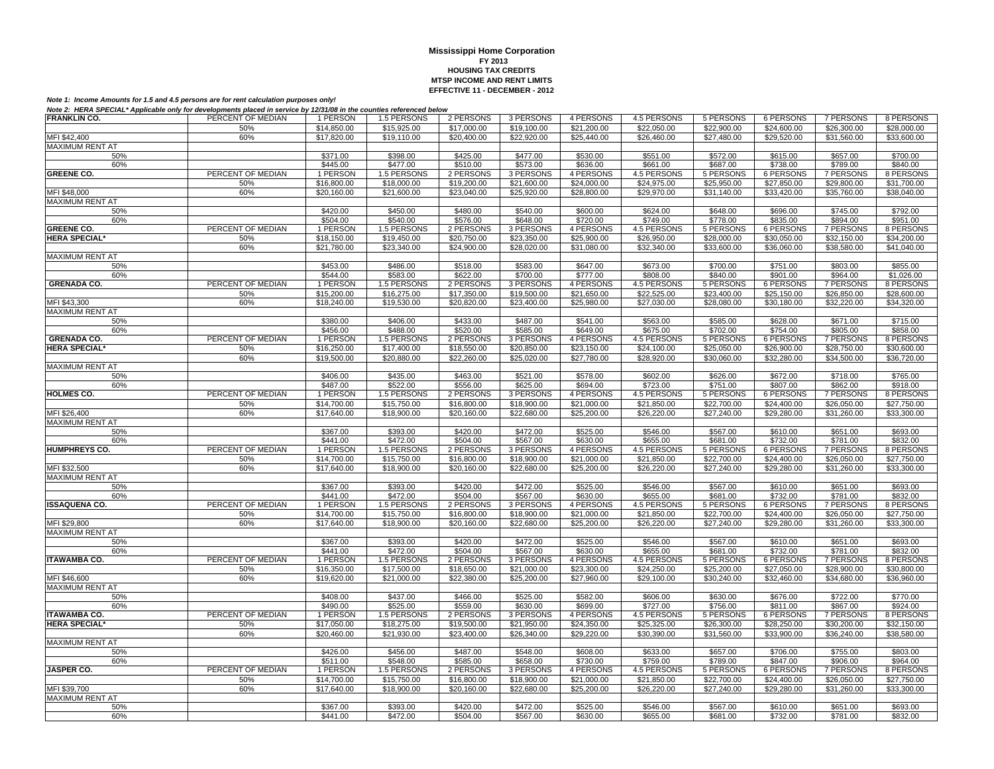| Note 2. TIERA OF EURE Applicable Only for developments placed in service by 12/31/00 in the countries referenced below |                   |                      |             |             |             |             |             |             |                  |                  |                         |
|------------------------------------------------------------------------------------------------------------------------|-------------------|----------------------|-------------|-------------|-------------|-------------|-------------|-------------|------------------|------------------|-------------------------|
| <b>FRANKLIN CO.</b>                                                                                                    | PERCENT OF MEDIAN | 1 PERSON             | 1.5 PERSONS | 2 PERSONS   | 3 PERSONS   | 4 PERSONS   | 4.5 PERSONS | 5 PERSONS   | 6 PERSONS        | 7 PERSONS        | 8 PERSONS               |
|                                                                                                                        | 50%               | \$14,850.00          | \$15,925.00 | \$17,000.00 | \$19,100.00 | \$21,200.00 | \$22,050.00 | \$22,900.00 | \$24,600.00      | \$26,300.00      | \$28,000.00             |
| MFI \$42,400                                                                                                           | 60%               | \$17,820.00          | \$19,110.00 | \$20,400.00 | \$22,920.00 | \$25,440.00 | \$26,460.00 | \$27,480.00 | \$29.520.00      | \$31.560.00      | \$33,600.00             |
|                                                                                                                        |                   |                      |             |             |             |             |             |             |                  |                  |                         |
| MAXIMUM RENT AT                                                                                                        |                   |                      |             |             |             |             |             |             |                  |                  |                         |
| 50%                                                                                                                    |                   | \$371.00             | \$398.00    | \$425.00    | \$477.00    | \$530.00    | \$551.00    | \$572.00    | \$615.00         | \$657.00         | \$700.00                |
| 60%                                                                                                                    |                   | \$445.00             | \$477.00    | \$510.00    | \$573.00    | \$636.00    | \$661.00    | \$687.00    | \$738.00         | \$789.00         | \$840.00                |
| <b>GREENE CO.</b>                                                                                                      | PERCENT OF MEDIAN | 1 PERSON             | 1.5 PERSONS | 2 PERSONS   | 3 PERSONS   | 4 PERSONS   | 4.5 PERSONS | 5 PERSONS   | <b>6 PERSONS</b> | 7 PERSONS        | 8 PERSONS               |
|                                                                                                                        |                   |                      |             |             |             |             |             |             |                  |                  |                         |
|                                                                                                                        | 50%               | \$16,800.00          | \$18,000.00 | \$19,200.00 | \$21,600.00 | \$24,000.00 | \$24,975.00 | \$25,950.00 | \$27,850.00      | \$29,800.00      | \$31,700.00             |
| MFI \$48,000                                                                                                           | 60%               | \$20,160.00          | \$21,600.00 | \$23,040.00 | \$25,920.00 | \$28,800.00 | \$29,970.00 | \$31,140.00 | \$33,420.00      | \$35,760.00      | \$38,040.00             |
| <b>MAXIMUM RENT AT</b>                                                                                                 |                   |                      |             |             |             |             |             |             |                  |                  |                         |
| 50%                                                                                                                    |                   | \$420.00             | \$450.00    | \$480.00    | \$540.00    | \$600.00    | \$624.00    | \$648.00    | \$696.00         | \$745.00         | \$792.00                |
|                                                                                                                        |                   |                      |             |             |             |             |             |             |                  |                  |                         |
| 60%                                                                                                                    |                   | \$504.00             | \$540.00    | \$576.00    | \$648.00    | \$720.00    | \$749.00    | \$778.00    | \$835.00         | \$894.00         | \$951.00                |
| <b>GREENE CO.</b>                                                                                                      | PERCENT OF MEDIAN | 1 PERSON             | 1.5 PERSONS | 2 PERSONS   | 3 PERSONS   | 4 PERSONS   | 4.5 PERSONS | 5 PERSONS   | 6 PERSONS        | 7 PERSONS        | 8 PERSONS               |
| <b>HERA SPECIAL*</b>                                                                                                   | 50%               | \$18,150.00          | \$19,450.00 | \$20,750.00 | \$23,350.00 | \$25,900.00 | \$26,950.00 | \$28,000.00 | \$30,050.00      | \$32,150.00      | \$34,200.00             |
|                                                                                                                        | 60%               | \$21,780.00          | \$23,340.00 | \$24,900.00 | \$28,020.00 | \$31,080.00 | \$32,340.00 | \$33,600.00 | \$36,060.00      | \$38,580.00      | \$41,040.00             |
|                                                                                                                        |                   |                      |             |             |             |             |             |             |                  |                  |                         |
| <b>MAXIMUM RENT AT</b>                                                                                                 |                   |                      |             |             |             |             |             |             |                  |                  |                         |
| 50%                                                                                                                    |                   | \$453.00             | \$486.00    | \$518.00    | \$583.00    | \$647.00    | \$673.00    | \$700.00    | \$751.00         | \$803.00         | \$855.00                |
| 60%                                                                                                                    |                   | \$544.00             | \$583.00    | \$622.00    | \$700.00    | \$777.00    | \$808.00    | \$840.00    | \$901.00         | \$964.00         | \$1,026.00              |
| <b>GRENADA CO.</b>                                                                                                     | PERCENT OF MEDIAN | 1 PERSON             | 1.5 PERSONS | 2 PERSONS   | 3 PERSONS   | 4 PERSONS   | 4.5 PERSONS | 5 PERSONS   | <b>6 PERSONS</b> | <b>7 PERSONS</b> | 8 PERSONS               |
|                                                                                                                        |                   |                      |             |             |             |             | \$22,525.00 |             |                  |                  |                         |
|                                                                                                                        | 50%               | \$15,200.00          | \$16,275.00 | \$17,350.00 | \$19,500.00 | \$21,650.00 |             | \$23,400.00 | \$25,150.00      | \$26,850.00      | \$28,600.00             |
| MFI \$43,300                                                                                                           | 60%               | \$18,240.00          | \$19,530.00 | \$20,820.00 | \$23,400.00 | \$25,980.00 | \$27,030.00 | \$28,080.00 | \$30,180.00      | \$32,220.00      | $\overline{$34,320.00}$ |
| MAXIMUM RENT AT                                                                                                        |                   |                      |             |             |             |             |             |             |                  |                  |                         |
| 50%                                                                                                                    |                   | \$380.00             | \$406.00    | \$433.00    | \$487.00    | \$541.00    | \$563.00    | \$585.00    | \$628.00         | \$671.00         | \$715.00                |
| 60%                                                                                                                    |                   | \$456.00             | \$488.00    | \$520.00    | \$585.00    | \$649.00    | \$675.00    | \$702.00    | \$754.00         | \$805.00         | \$858.00                |
|                                                                                                                        |                   |                      |             |             |             |             |             |             |                  |                  |                         |
| <b>GRENADA CO.</b>                                                                                                     | PERCENT OF MEDIAN | 1 PERSON             | 1.5 PERSONS | 2 PERSONS   | 3 PERSONS   | 4 PERSONS   | 4.5 PERSONS | 5 PERSONS   | 6 PERSONS        | 7 PERSONS        | 8 PERSONS               |
| <b>HERA SPECIAL*</b>                                                                                                   | 50%               | \$16,250.00          | \$17,400.00 | \$18,550.00 | \$20,850.00 | \$23,150.00 | \$24,100.00 | \$25,050.00 | \$26,900.00      | \$28,750.00      | \$30,600.00             |
|                                                                                                                        | 60%               | \$19,500.00          | \$20,880.00 | \$22,260.00 | \$25,020.00 | \$27,780.00 | \$28,920.00 | \$30,060.00 | \$32,280.00      | \$34,500.00      | \$36,720.00             |
| MAXIMUM RENT AT                                                                                                        |                   |                      |             |             |             |             |             |             |                  |                  |                         |
|                                                                                                                        |                   |                      |             |             |             |             |             |             |                  |                  |                         |
| 50%                                                                                                                    |                   | \$406.00             | \$435.00    | \$463.00    | \$521.00    | \$578.00    | \$602.00    | \$626.00    | \$672.00         | \$718.00         | \$765.00                |
| 60%                                                                                                                    |                   | \$487.00             | \$522.00    | \$556.00    | \$625.00    | \$694.00    | \$723.00    | \$751.00    | \$807.00         | \$862.00         | \$918.00                |
| <b>HOLMES CO.</b>                                                                                                      | PERCENT OF MEDIAN | 1 PERSON             | 1.5 PERSONS | 2 PERSONS   | 3 PERSONS   | 4 PERSONS   | 4.5 PERSONS | 5 PERSONS   | <b>6 PERSONS</b> | 7 PERSONS        | 8 PERSONS               |
|                                                                                                                        |                   | \$14,700.00          | \$15,750.00 | \$16,800.00 | \$18,900.00 | \$21,000.00 | \$21,850.00 |             |                  | \$26,050.00      | \$27,750.00             |
|                                                                                                                        | 50%               |                      |             |             |             |             |             | \$22,700.00 | \$24,400.00      |                  |                         |
| MFI \$26,400                                                                                                           | 60%               | \$17,640.00          | \$18,900.00 | \$20,160.00 | \$22,680.00 | \$25,200.00 | \$26,220.00 | \$27,240.00 | \$29,280.00      | \$31,260.00      | \$33,300.00             |
| MAXIMUM RENT AT                                                                                                        |                   |                      |             |             |             |             |             |             |                  |                  |                         |
| 50%                                                                                                                    |                   | \$367.00             | \$393.00    | \$420.00    | \$472.00    | \$525.00    | \$546.00    | \$567.00    | \$610.00         | \$651.00         | \$693.00                |
| 60%                                                                                                                    |                   | \$441.00             | \$472.00    | \$504.00    | \$567.00    | \$630.00    | \$655.00    | \$681.00    | \$732.00         | \$781.00         | \$832.00                |
|                                                                                                                        |                   |                      |             |             |             |             |             |             |                  |                  |                         |
| <b>HUMPHREYS CO.</b>                                                                                                   | PERCENT OF MEDIAN | 1 PERSON             | 1.5 PERSONS | 2 PERSONS   | 3 PERSONS   | 4 PERSONS   | 4.5 PERSONS | 5 PERSONS   | 6 PERSONS        | 7 PERSONS        | 8 PERSONS               |
|                                                                                                                        | 50%               | \$14,700.00          | \$15,750.00 | \$16,800.00 | \$18,900.00 | \$21,000.00 | \$21,850.00 | \$22,700.00 | \$24,400.00      | \$26,050.00      | \$27,750.00             |
| MFI \$32,500                                                                                                           | 60%               | \$17,640.00          | \$18,900.00 | \$20,160.00 | \$22,680.00 | \$25,200.00 | \$26,220.00 | \$27,240.00 | \$29,280.00      | \$31,260.00      | \$33,300.00             |
| <b>MAXIMUM RENT AT</b>                                                                                                 |                   |                      |             |             |             |             |             |             |                  |                  |                         |
| 50%                                                                                                                    |                   | \$367.00             | \$393.00    | \$420.00    | \$472.00    | \$525.00    | \$546.00    | \$567.00    | \$610.00         |                  | \$693.00                |
|                                                                                                                        |                   |                      |             |             |             |             |             |             |                  | \$651.00         |                         |
| 60%                                                                                                                    |                   | $\overline{$}441.00$ | \$472.00    | \$504.00    | \$567.00    | \$630.00    | \$655.00    | \$681.00    | \$732.00         | \$781.00         | \$832.00                |
| <b>ISSAQUENA CO.</b>                                                                                                   | PERCENT OF MEDIAN | 1 PERSON             | 1.5 PERSONS | 2 PERSONS   | 3 PERSONS   | 4 PERSONS   | 4.5 PERSONS | 5 PERSONS   | 6 PERSONS        | <b>7 PERSONS</b> | 8 PERSONS               |
|                                                                                                                        | 50%               | \$14,700.00          | \$15,750.00 | \$16,800.00 | \$18,900.00 | \$21,000.00 | \$21,850.00 | \$22,700.00 | \$24,400.00      | \$26,050.00      | \$27,750.00             |
| MFI \$29,800                                                                                                           | 60%               | \$17,640.00          | \$18,900.00 | \$20,160.00 | \$22,680.00 | \$25,200.00 | \$26,220.00 | \$27,240.00 | \$29,280.00      | \$31,260.00      | \$33,300.00             |
|                                                                                                                        |                   |                      |             |             |             |             |             |             |                  |                  |                         |
| MAXIMUM RENT AT                                                                                                        |                   |                      |             |             |             |             |             |             |                  |                  |                         |
| 50%                                                                                                                    |                   | \$367.00             | \$393.00    | \$420.00    | \$472.00    | \$525.00    | \$546.00    | \$567.00    | \$610.00         | \$651.00         | \$693.00                |
| 60%                                                                                                                    |                   | \$441.00             | \$472.00    | \$504.00    | \$567.00    | \$630.00    | \$655.00    | \$681.00    | \$732.00         | \$781.00         | \$832.00                |
| <b>ITAWAMBA CO.</b>                                                                                                    | PERCENT OF MEDIAN | 1 PERSON             | 1.5 PERSONS | 2 PERSONS   | 3 PERSONS   | 4 PERSONS   | 4.5 PERSONS | 5 PERSONS   | 6 PERSONS        | 7 PERSONS        | 8 PERSONS               |
|                                                                                                                        |                   |                      |             |             |             |             |             |             |                  |                  |                         |
|                                                                                                                        | 50%               | \$16,350.00          | \$17,500.00 | \$18,650.00 | \$21,000.00 | \$23,300.00 | \$24,250.00 | \$25,200.00 | \$27,050.00      | \$28,900.00      | \$30,800.00             |
| MFI \$46,600                                                                                                           | 60%               | \$19,620.00          | \$21,000.00 | \$22,380.00 | \$25,200.00 | \$27,960.00 | \$29,100.00 | \$30,240.00 | \$32,460.00      | \$34,680.00      | \$36,960.00             |
| <b>MAXIMUM RENT AT</b>                                                                                                 |                   |                      |             |             |             |             |             |             |                  |                  |                         |
| 50%                                                                                                                    |                   | \$408.00             | \$437.00    | \$466.00    | \$525.00    | \$582.00    | \$606.00    | \$630.00    | \$676.00         | \$722.00         | \$770.00                |
| 60%                                                                                                                    |                   | \$490.00             | \$525.00    | \$559.00    | \$630.00    | \$699.00    | \$727.00    | \$756.00    | \$811.00         | \$867.00         | \$924.00                |
|                                                                                                                        |                   |                      |             |             |             |             |             |             |                  |                  |                         |
| <b>ITAWAMBA CO.</b>                                                                                                    | PERCENT OF MEDIAN | 1 PERSON             | 1.5 PERSONS | 2 PERSONS   | 3 PERSONS   | 4 PERSONS   | 4.5 PERSONS | 5 PERSONS   | <b>6 PERSONS</b> | <b>7 PERSONS</b> | 8 PERSONS               |
| <b>HERA SPECIAL*</b>                                                                                                   | 50%               | \$17,050.00          | \$18,275.00 | \$19,500.00 | \$21,950.00 | \$24,350.00 | \$25,325.00 | \$26,300.00 | \$28,250.00      | \$30,200.00      | \$32,150.00             |
|                                                                                                                        | 60%               | \$20,460.00          | \$21,930.00 | \$23,400.00 | \$26,340.00 | \$29,220.00 | \$30,390.00 | \$31,560.00 | \$33,900.00      | \$36,240.00      | \$38,580.00             |
| MAXIMUM RENT AT                                                                                                        |                   |                      |             |             |             |             |             |             |                  |                  |                         |
|                                                                                                                        |                   |                      |             |             |             |             |             |             |                  |                  |                         |
| 50%                                                                                                                    |                   | \$426.00             | \$456.00    | \$487.00    | \$548.00    | \$608.00    | \$633.00    | \$657.00    | \$706.00         | \$755.00         | \$803.00                |
| 60%                                                                                                                    |                   | \$511.00             | \$548.00    | \$585.00    | \$658.00    | \$730.00    | \$759.00    | \$789.00    | \$847.00         | \$906.00         | \$964.00                |
| <b>JASPER CO.</b>                                                                                                      | PERCENT OF MEDIAN | 1 PERSON             | 1.5 PERSONS | 2 PERSONS   | 3 PERSONS   | 4 PERSONS   | 4.5 PERSONS | 5 PERSONS   | 6 PERSONS        | 7 PERSONS        | 8 PERSONS               |
|                                                                                                                        | 50%               | \$14,700.00          | \$15,750.00 | \$16,800.00 | \$18,900.00 | \$21,000.00 | \$21,850.00 | \$22,700.00 | \$24,400.00      | \$26,050.00      | \$27,750.00             |
|                                                                                                                        |                   |                      |             |             |             |             |             |             |                  |                  |                         |
| MFI \$39,700                                                                                                           | 60%               | \$17,640.00          | \$18,900.00 | \$20,160.00 | \$22,680.00 | \$25,200.00 | \$26,220.00 | \$27,240.00 | \$29,280.00      | \$31,260.00      | \$33,300.00             |
| <b>MAXIMUM RENT AT</b>                                                                                                 |                   |                      |             |             |             |             |             |             |                  |                  |                         |
| 50%                                                                                                                    |                   | \$367.00             | \$393.00    | \$420.00    | \$472.00    | \$525.00    | \$546.00    | \$567.00    | \$610.00         | \$651.00         | \$693.00                |
| 60%                                                                                                                    |                   | \$441.00             | \$472.00    | \$504.00    | \$567.00    | \$630.00    | \$655.00    | \$681.00    | \$732.00         | \$781.00         | \$832.00                |
|                                                                                                                        |                   |                      |             |             |             |             |             |             |                  |                  |                         |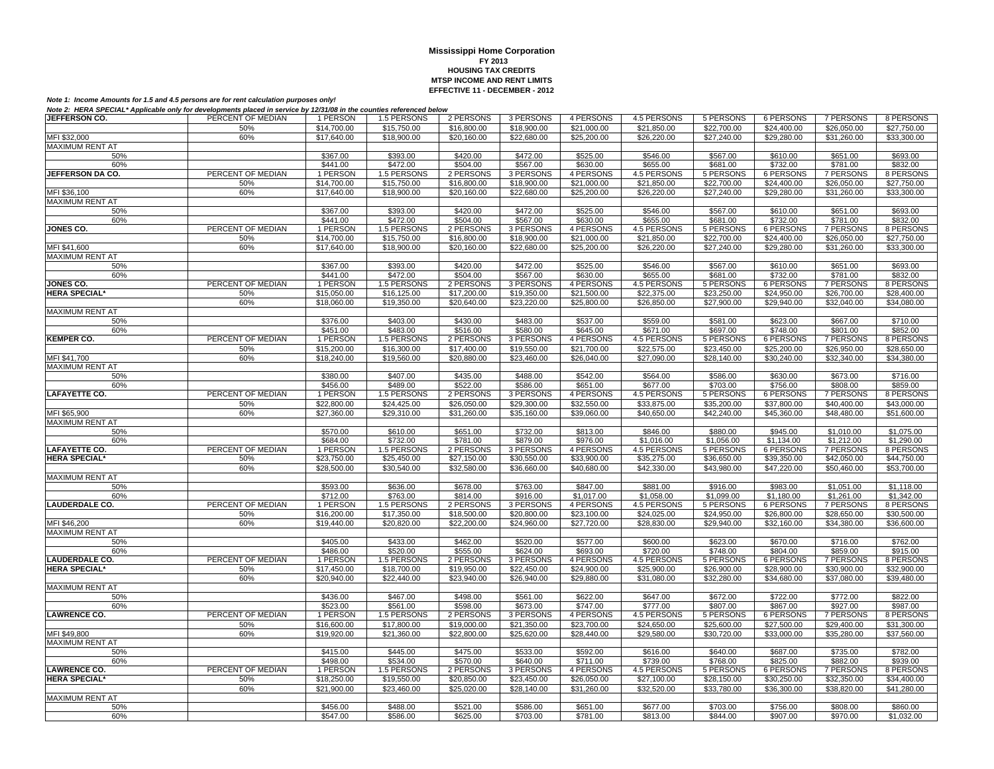| JEFFERSON CO.          | PERCENT OF MEDIAN | 1 PERSON                | 1.5 PERSONS                | 2 PERSONS                | 3 PERSONS           | 4 PERSONS   | 4.5 PERSONS | 5 PERSONS                | 6 PERSONS                | 7 PERSONS                | 8 PERSONS                |
|------------------------|-------------------|-------------------------|----------------------------|--------------------------|---------------------|-------------|-------------|--------------------------|--------------------------|--------------------------|--------------------------|
|                        | 50%               | \$14,700.00             | \$15,750.00                | \$16,800.00              | \$18,900.00         | \$21,000.00 | \$21,850.00 | \$22,700.00              | \$24,400.00              | \$26,050.00              | \$27,750.00              |
| MFI \$32,000           | 60%               | \$17,640.00             | \$18,900.00                | \$20,160.00              | \$22,680.00         | \$25,200.00 | \$26,220.00 | \$27,240.00              | \$29,280.00              | \$31,260.00              | \$33,300.00              |
| <b>MAXIMUM RENT AT</b> |                   |                         |                            |                          |                     |             |             |                          |                          |                          |                          |
| 50%                    |                   | \$367.00                | \$393.00                   | \$420.00                 | \$472.00            | \$525.00    | \$546.00    | \$567.00                 | \$610.00                 | \$651.00                 | \$693.00                 |
| 60%                    |                   | \$441.00                | \$472.00                   | \$504.00                 | \$567.00            | \$630.00    | \$655.00    | \$681.00                 | \$732.00                 | \$781.00                 | \$832.00                 |
| JEFFERSON DA CO.       | PERCENT OF MEDIAN | 1 PERSON                | 1.5 PERSONS                | 2 PERSONS                | 3 PERSONS           | 4 PERSONS   | 4.5 PERSONS | 5 PERSONS                | 6 PERSONS                | <b>7 PERSONS</b>         | 8 PERSONS                |
|                        | 50%               | \$14,700.00             | \$15,750.00                | \$16,800.00              | $\sqrt{$18,900.00}$ | \$21,000.00 | \$21.850.00 | \$22,700.00              | \$24,400.00              | \$26,050.00              | \$27,750.00              |
| MFI \$36,100           | 60%               | \$17,640.00             | \$18,900.00                | \$20,160.00              | \$22,680.00         | \$25,200.00 | \$26,220.00 | \$27,240.00              | \$29,280.00              | \$31,260.00              | \$33,300.00              |
| MAXIMUM RENT AT        |                   |                         |                            |                          |                     |             |             |                          |                          |                          |                          |
| 50%                    |                   | \$367.00                | \$393.00                   | \$420.00                 | \$472.00            | \$525.00    | \$546.00    | \$567.00                 | \$610.00                 | \$651.00                 | \$693.00                 |
| 60%                    |                   | \$441.00                | \$472.00                   | \$504.00                 | \$567.00            | \$630.00    | \$655.00    | \$681.00                 | \$732.00                 | \$781.00                 | \$832.00                 |
| <b>JONES CO.</b>       | PERCENT OF MEDIAN |                         |                            |                          | 3 PERSONS           | 4 PERSONS   | 4.5 PERSONS |                          |                          |                          |                          |
|                        | 50%               | 1 PERSON<br>\$14,700.00 | 1.5 PERSONS<br>\$15,750.00 | 2 PERSONS<br>\$16,800.00 | \$18,900.00         | \$21,000.00 | \$21,850.00 | 5 PERSONS<br>\$22,700.00 | 6 PERSONS<br>\$24,400.00 | 7 PERSONS<br>\$26,050.00 | 8 PERSONS<br>\$27,750.00 |
|                        |                   |                         |                            |                          |                     |             |             |                          |                          |                          |                          |
| MFI \$41,600           | 60%               | \$17,640.00             | \$18,900.00                | \$20,160.00              | \$22,680.00         | \$25,200.00 | \$26,220.00 | \$27,240.00              | \$29,280.00              | \$31,260.00              | \$33,300.00              |
| <b>MAXIMUM RENT AT</b> |                   |                         |                            |                          |                     |             |             |                          |                          |                          |                          |
| 50%                    |                   | \$367.00                | \$393.00                   | \$420.00                 | \$472.00            | \$525.00    | \$546.00    | \$567.00                 | \$610.00                 | \$651.00                 | \$693.00                 |
| 60%                    |                   | \$441.00                | \$472.00                   | \$504.00                 | \$567.00            | \$630.00    | \$655.00    | \$681.00                 | \$732.00                 | \$781.00                 | \$832.00                 |
| <b>JONES CO.</b>       | PERCENT OF MEDIAN | 1 PERSON                | 1.5 PERSONS                | 2 PERSONS                | 3 PERSONS           | 4 PERSONS   | 4.5 PERSONS | 5 PERSONS                | 6 PERSONS                | <b>7 PERSONS</b>         | 8 PERSONS                |
| <b>HERA SPECIAL*</b>   | 50%               | \$15,050.00             | \$16,125.00                | \$17,200.00              | \$19,350.00         | \$21,500.00 | \$22,375.00 | \$23,250.00              | \$24,950.00              | \$26,700.00              | \$28,400.00              |
|                        | 60%               | \$18,060.00             | \$19,350.00                | \$20,640.00              | \$23,220.00         | \$25,800.00 | \$26,850.00 | \$27,900.00              | \$29,940.00              | \$32,040.00              | \$34,080.00              |
| <b>MAXIMUM RENT AT</b> |                   |                         |                            |                          |                     |             |             |                          |                          |                          |                          |
| 50%                    |                   | \$376.00                | \$403.00                   | \$430.00                 | \$483.00            | \$537.00    | \$559.00    | \$581.00                 | \$623.00                 | \$667.00                 | \$710.00                 |
| 60%                    |                   | \$451.00                | \$483.00                   | \$516.00                 | \$580.00            | \$645.00    | \$671.00    | \$697.00                 | \$748.00                 | \$801.00                 | \$852.00                 |
| <b>KEMPER CO.</b>      | PERCENT OF MEDIAN | 1 PERSON                | 1.5 PERSONS                | 2 PERSONS                | 3 PERSONS           | 4 PERSONS   | 4.5 PERSONS | 5 PERSONS                | 6 PERSONS                | 7 PERSONS                | 8 PERSONS                |
|                        | 50%               | \$15,200.00             | \$16,300.00                | \$17,400.00              | \$19,550.00         | \$21,700.00 | \$22,575.00 | \$23,450.00              | \$25,200.00              | \$26,950.00              | \$28,650.00              |
| MFI \$41,700           | 60%               | \$18,240.00             | \$19,560.00                | \$20,880.00              | \$23,460.00         | \$26,040.00 | \$27,090.00 | \$28,140.00              | \$30,240.00              | \$32,340.00              | \$34,380.00              |
| <b>MAXIMUM RENT AT</b> |                   |                         |                            |                          |                     |             |             |                          |                          |                          |                          |
| 50%                    |                   | \$380.00                | \$407.00                   | \$435.00                 | \$488.00            | \$542.00    | \$564.00    | \$586.00                 | \$630.00                 | \$673.00                 | \$716.00                 |
| 60%                    |                   | \$456.00                | \$489.00                   | \$522.00                 | \$586.00            | \$651.00    | \$677.00    | \$703.00                 | \$756.00                 | \$808.00                 | \$859.00                 |
| <b>LAFAYETTE CO.</b>   | PERCENT OF MEDIAN | 1 PERSON                | 1.5 PERSONS                | 2 PERSONS                | 3 PERSONS           | 4 PERSONS   | 4.5 PERSONS | 5 PERSONS                | 6 PERSONS                | 7 PERSONS                | 8 PERSONS                |
|                        | 50%               | \$22,800.00             | \$24,425.00                | \$26,050.00              | \$29,300.00         | \$32,550.00 | \$33,875.00 | \$35,200.00              | \$37,800.00              | \$40,400.00              | \$43,000.00              |
| MFI \$65,900           | 60%               | \$27,360.00             | \$29,310.00                | \$31,260.00              | \$35,160.00         | \$39,060.00 | \$40,650.00 | \$42,240.00              | \$45,360.00              | \$48,480.00              | \$51,600.00              |
| <b>MAXIMUM RENT AT</b> |                   |                         |                            |                          |                     |             |             |                          |                          |                          |                          |
| 50%                    |                   | \$570.00                | \$610.00                   | \$651.00                 | \$732.00            | \$813.00    | \$846.00    | \$880.00                 | \$945.00                 | \$1,010.00               | \$1,075.00               |
| 60%                    |                   | \$684.00                | \$732.00                   | \$781.00                 | \$879.00            | \$976.00    | \$1.016.00  | \$1.056.00               | \$1.134.00               | \$1,212.00               | \$1,290.00               |
| <b>LAFAYETTE CO.</b>   | PERCENT OF MEDIAN | 1 PERSON                | 1.5 PERSONS                | 2 PERSONS                | 3 PERSONS           | 4 PERSONS   | 4.5 PERSONS | 5 PERSONS                | <b>6 PERSONS</b>         | <b>7 PERSONS</b>         | 8 PERSONS                |
| <b>HERA SPECIAL*</b>   | 50%               | \$23,750.00             | \$25,450.00                | \$27,150.00              | \$30,550.00         | \$33,900.00 | \$35,275.00 | \$36,650.00              | \$39,350.00              | \$42,050.00              | \$44,750.00              |
|                        | 60%               | \$28,500.00             | \$30,540.00                | \$32,580.00              | \$36,660.00         | \$40,680.00 | \$42,330.00 | \$43,980.00              | \$47,220.00              | \$50,460.00              | \$53,700.00              |
| <b>MAXIMUM RENT AT</b> |                   |                         |                            |                          |                     |             |             |                          |                          |                          |                          |
| 50%                    |                   | \$593.00                | \$636.00                   | \$678.00                 | \$763.00            | \$847.00    | \$881.00    | \$916.00                 | \$983.00                 | \$1,051.00               | \$1,118.00               |
| 60%                    |                   | \$712.00                | \$763.00                   | \$814.00                 | \$916.00            | \$1,017.00  | \$1,058.00  | \$1,099.00               | \$1,180.00               | \$1,261,00               | \$1,342.00               |
| <b>LAUDERDALE CO.</b>  | PERCENT OF MEDIAN | 1 PERSON                | 1.5 PERSONS                | 2 PERSONS                | 3 PERSONS           | 4 PERSONS   | 4.5 PERSONS | 5 PERSONS                | 6 PERSONS                | 7 PERSONS                | 8 PERSONS                |
|                        | 50%               | \$16,200.00             | \$17,350.00                | \$18,500.00              | \$20,800.00         | \$23,100.00 | \$24.025.00 | \$24,950.00              | \$26,800.00              | \$28,650.00              | \$30,500.00              |
| MFI \$46,200           | 60%               | \$19,440.00             | \$20,820.00                | \$22,200.00              | \$24,960.00         | \$27,720.00 | \$28,830.00 | \$29,940.00              | \$32,160.00              | \$34,380.00              | \$36,600.00              |
| MAXIMUM RENT AT        |                   |                         |                            |                          |                     |             |             |                          |                          |                          |                          |
| 50%                    |                   | \$405.00                | \$433.00                   | \$462.00                 | \$520.00            | \$577.00    | \$600.00    | \$623.00                 | \$670.00                 | \$716.00                 | \$762.00                 |
| 60%                    |                   | \$486.00                | \$520.00                   | \$555.00                 | \$624.00            | \$693.00    | \$720.00    | \$748.00                 | \$804.00                 | \$859.00                 | \$915.00                 |
| <b>LAUDERDALE CO.</b>  | PERCENT OF MEDIAN | 1 PERSON                | 1.5 PERSONS                | 2 PERSONS                | 3 PERSONS           | 4 PERSONS   | 4.5 PERSONS | 5 PERSONS                | 6 PERSONS                | 7 PERSONS                | 8 PERSONS                |
| <b>HERA SPECIAL*</b>   | 50%               | \$17,450.00             | \$18,700.00                | \$19,950.00              | \$22,450.00         | \$24,900.00 | \$25,900.00 | \$26,900.00              | \$28,900.00              | \$30,900.00              | \$32,900.00              |
|                        | 60%               | \$20,940.00             | \$22,440.00                | \$23,940.00              | \$26,940.00         | \$29,880.00 | \$31,080.00 | \$32,280,00              | \$34,680.00              | \$37,080.00              | \$39,480.00              |
| <b>MAXIMUM RENT AT</b> |                   |                         |                            |                          |                     |             |             |                          |                          |                          |                          |
| 50%                    |                   | \$436.00                | \$467.00                   | \$498.00                 | \$561.00            | \$622.00    | \$647.00    | \$672.00                 | \$722.00                 | \$772.00                 | \$822.00                 |
| 60%                    |                   | \$523.00                | \$561.00                   | \$598.00                 | \$673.00            | \$747.00    | \$777.00    | \$807.00                 | \$867.00                 | \$927.00                 | \$987.00                 |
| <b>LAWRENCE CO.</b>    | PERCENT OF MEDIAN | 1 PERSON                | 1.5 PERSONS                | 2 PERSONS                | 3 PERSONS           | 4 PERSONS   | 4.5 PERSONS | <b>5 PERSONS</b>         | <b>6 PERSONS</b>         | <b>7 PERSONS</b>         | 8 PERSONS                |
|                        | 50%               | \$16,600.00             | \$17,800.00                | \$19,000.00              | \$21,350.00         | \$23,700.00 | \$24,650.00 | \$25,600.00              | \$27,500.00              | \$29,400.00              | \$31,300.00              |
| MFI \$49,800           | 60%               | \$19,920.00             | \$21,360.00                | \$22,800.00              | \$25,620.00         | \$28,440.00 | \$29,580.00 | \$30,720.00              | \$33,000.00              | \$35,280.00              | \$37,560.00              |
| MAXIMUM RENT AT        |                   |                         |                            |                          |                     |             |             |                          |                          |                          |                          |
| 50%                    |                   | \$415.00                | \$445.00                   | \$475.00                 | \$533.00            | \$592.00    | \$616.00    | \$640.00                 | \$687.00                 | \$735.00                 | \$782.00                 |
| 60%                    |                   | \$498.00                | \$534.00                   | \$570.00                 | \$640.00            | \$711.00    | \$739.00    | \$768.00                 | \$825.00                 | \$882.00                 | \$939.00                 |
| <b>AWRENCE CO.</b>     | PERCENT OF MEDIAN | 1 PERSON                | 1.5 PERSONS                | 2 PERSONS                | 3 PERSONS           | 4 PERSONS   | 4.5 PERSONS | 5 PERSONS                | <b>6 PERSONS</b>         | <b>7 PERSONS</b>         | 8 PERSONS                |
| <b>HERA SPECIAL*</b>   | 50%               | \$18,250.00             | \$19,550.00                | \$20,850.00              | \$23,450.00         | \$26,050.00 | \$27,100.00 | \$28,150.00              | \$30,250.00              | \$32,350.00              | \$34,400.00              |
|                        | 60%               | \$21,900.00             | \$23,460.00                | \$25,020,00              | \$28,140.00         | \$31,260.00 | \$32,520.00 | \$33,780,00              | \$36,300.00              | \$38,820.00              | \$41,280.00              |
| <b>MAXIMUM RENT AT</b> |                   |                         |                            |                          |                     |             |             |                          |                          |                          |                          |
| 50%                    |                   | \$456.00                | \$488.00                   | \$521.00                 | \$586.00            | \$651.00    | \$677.00    | \$703.00                 | \$756.00                 | \$808.00                 | \$860.00                 |
| 60%                    |                   | \$547.00                | \$586.00                   | \$625.00                 | \$703.00            | \$781.00    | \$813.00    | \$844.00                 | \$907.00                 | \$970.00                 | \$1,032.00               |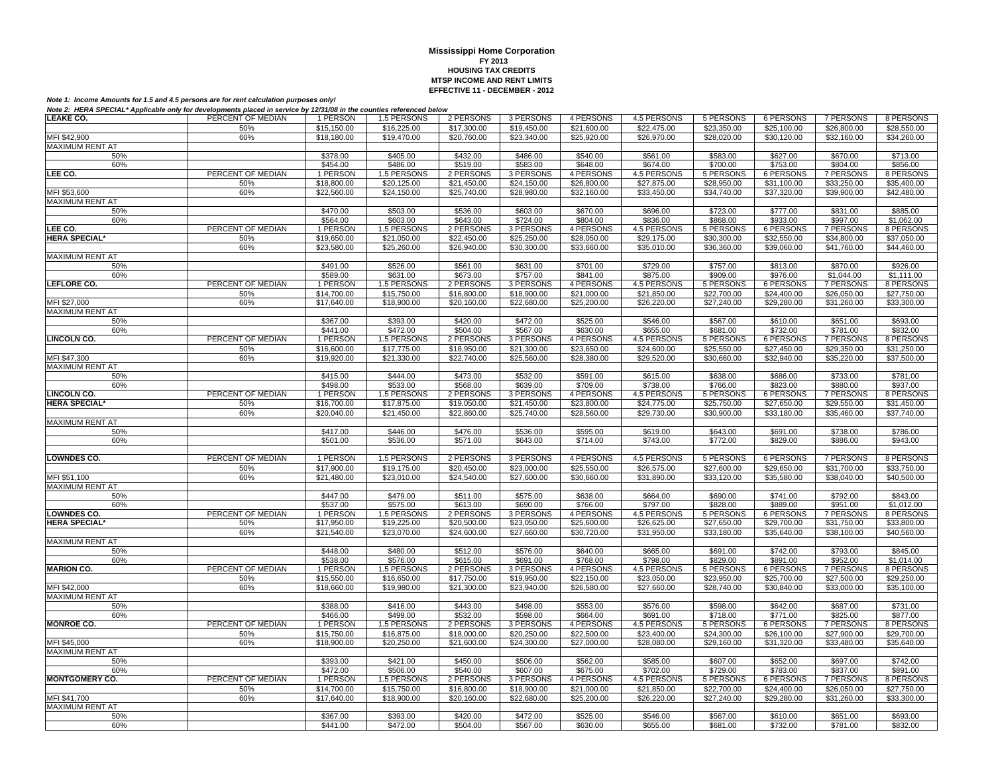| LEAKE CO.                       | ,,,,,,<br>PERCENT OF MEDIAN | 1 PERSON                | 1.5 PERSONS | 2 PERSONS             | 3 PERSONS             | 4 PERSONS             | 4.5 PERSONS             | 5 PERSONS             | 6 PERSONS                    | 7 PERSONS                    | 8 PERSONS               |
|---------------------------------|-----------------------------|-------------------------|-------------|-----------------------|-----------------------|-----------------------|-------------------------|-----------------------|------------------------------|------------------------------|-------------------------|
|                                 | 50%                         | \$15,150.00             | \$16,225.00 | \$17,300.00           | \$19,450.00           | \$21,600.00           | \$22,475.00             | \$23,350.00           | \$25,100.00                  | \$26,800.00                  | \$28,550.00             |
| MFI \$42,900                    | 60%                         | \$18,180.00             | \$19,470.00 | \$20,760.00           | \$23,340.00           | \$25,920.00           | \$26,970.00             | \$28,020,00           | \$30,120,00                  | \$32,160.00                  | \$34,260.00             |
| <b>MAXIMUM RENT AT</b>          |                             |                         |             |                       |                       |                       |                         |                       |                              |                              |                         |
| 50%                             |                             | \$378.00                | \$405.00    | \$432.00              | \$486.00              | \$540.00              | \$561.00                | \$583.00              | \$627.00                     | \$670.00                     | \$713.00                |
| 60%                             |                             | \$454.00                | \$486.00    | \$519.00              | \$583.00              | \$648.00              | \$674.00                | \$700.00              | \$753.00                     | \$804.00                     | \$856.00                |
| LEE CO.                         | PERCENT OF MEDIAN           | 1 PERSON                | 1.5 PERSONS | 2 PERSONS             | 3 PERSONS             | 4 PERSONS             | 4.5 PERSONS             | 5 PERSONS             | <b>6 PERSONS</b>             | <b>7 PERSONS</b>             | 8 PERSONS               |
|                                 | 50%                         | \$18,800.00             | \$20,125.00 |                       | \$24,150.00           | \$26,800.00           |                         | \$28,950.00           | \$31,100.00                  | \$33,250.00                  |                         |
|                                 |                             |                         |             | \$21,450.00           |                       |                       | \$27,875.00             |                       |                              |                              | \$35,400.00             |
| MFI \$53,600<br>MAXIMUM RENT AT | 60%                         | \$22,560.00             | \$24,150.00 | \$25,740.00           | \$28,980.00           | \$32,160.00           | \$33,450.00             | \$34,740.00           | \$37,320.00                  | \$39,900.00                  | \$42,480.00             |
|                                 |                             | \$470.00                |             |                       |                       | \$670.00              |                         |                       | \$777.00                     |                              |                         |
| 50%                             |                             |                         | \$503.00    | \$536.00              | \$603.00              |                       | \$696.00                | \$723.00              |                              | \$831.00                     | \$885.00                |
| 60%<br>LEE CO.                  | PERCENT OF MEDIAN           | \$564.00                | \$603.00    | \$643.00<br>2 PERSONS | \$724.00<br>3 PERSONS | \$804.00<br>4 PERSONS | \$836.00<br>4.5 PERSONS | \$868.00<br>5 PERSONS | \$933.00<br><b>6 PERSONS</b> | \$997.00<br><b>7 PERSONS</b> | \$1,062.00<br>8 PERSONS |
| <b>HERA SPECIAL*</b>            | 50%                         | 1 PERSON                | 1.5 PERSONS |                       | \$25,250.00           |                       |                         | \$30,300.00           |                              |                              |                         |
|                                 |                             | \$19,650.00             | \$21,050.00 | \$22,450.00           |                       | \$28,050.00           | \$29,175.00             |                       | \$32,550.00                  | \$34,800.00                  | \$37,050.00             |
|                                 | 60%                         | \$23,580.00             | \$25,260.00 | \$26,940.00           | \$30,300.00           | \$33,660.00           | \$35,010.00             | \$36,360.00           | \$39,060.00                  | \$41,760.00                  | \$44,460.00             |
| MAXIMUM RENT AT                 |                             |                         |             |                       |                       |                       |                         |                       |                              |                              |                         |
| 50%                             |                             | \$491.00                | \$526.00    | \$561.00              | \$631.00              | \$701.00              | \$729.00                | \$757.00              | \$813.00                     | \$870.00                     | \$926.00                |
| 60%                             |                             | \$589.00                | \$631.00    | \$673.00              | \$757.00              | \$841.00              | \$875.00                | \$909.00              | \$976.00                     | \$1,044.00                   | \$1.111.00              |
| LEFLORE CO.                     | PERCENT OF MEDIAN           | 1 PERSON                | 1.5 PERSONS | 2 PERSONS             | 3 PERSONS             | 4 PERSONS             | 4.5 PERSONS             | 5 PERSONS             | <b>6 PERSONS</b>             | <b>7 PERSONS</b>             | 8 PERSONS               |
|                                 | 50%                         | \$14,700.00             | \$15,750.00 | \$16,800.00           | \$18,900.00           | \$21,000.00           | \$21,850.00             | \$22,700.00           | \$24,400.00                  | \$26,050.00                  | \$27,750.00             |
| MFI \$27,000                    | 60%                         | \$17,640.00             | \$18,900.00 | \$20,160.00           | \$22,680.00           | \$25,200.00           | \$26,220.00             | \$27,240.00           | \$29,280.00                  | \$31,260.00                  | \$33,300.00             |
| <b>MAXIMUM RENT AT</b>          |                             |                         |             |                       |                       |                       |                         |                       |                              |                              |                         |
| 50%                             |                             | \$367.00                | \$393.00    | \$420.00              | \$472.00              | \$525.00              | \$546.00                | \$567.00              | \$610.00                     | \$651.00                     | \$693.00                |
| 60%                             |                             | \$441.00                | \$472.00    | \$504.00              | \$567.00              | \$630.00              | \$655.00                | \$681.00              | \$732.00                     | \$781.00                     | \$832.00                |
| LINCOLN CO.                     | PERCENT OF MEDIAN           | 1 PERSON<br>\$16,600.00 | 1.5 PERSONS | 2 PERSONS             | 3 PERSONS             | 4 PERSONS             | 4.5 PERSONS             | 5 PERSONS             | 6 PERSONS                    | 7 PERSONS                    | 8 PERSONS               |
|                                 | 50%<br>60%                  |                         | \$17,775.00 | \$18,950.00           | \$21,300.00           | \$23,650.00           | \$24,600.00             | \$25,550.00           | \$27,450.00                  | \$29,350.00                  | \$31,250.00             |
| MFI \$47,300                    |                             | \$19,920.00             | \$21,330.00 | \$22,740.00           | \$25,560.00           | \$28,380.00           | \$29,520.00             | \$30,660.00           | \$32,940.00                  | \$35,220.00                  | \$37,500.00             |
| MAXIMUM RENT AT<br>50%          |                             | \$415.00                | \$444.00    | \$473.00              | \$532.00              | \$591.00              | \$615.00                | \$638.00              | \$686.00                     | \$733.00                     | \$781.00                |
| 60%                             |                             | \$498.00                | \$533.00    | \$568.00              | \$639.00              | \$709.00              | \$738.00                | \$766.00              | \$823.00                     | \$880.00                     | \$937.00                |
| <b>LINCOLN CO.</b>              | PERCENT OF MEDIAN           | 1 PERSON                | 1.5 PERSONS | 2 PERSONS             | 3 PERSONS             | 4 PERSONS             | 4.5 PERSONS             | 5 PERSONS             | 6 PERSONS                    | <b>7 PERSONS</b>             | 8 PERSONS               |
| <b>HERA SPECIAL*</b>            | 50%                         | \$16,700.00             | \$17,875.00 | \$19,050.00           | \$21,450.00           | \$23,800.00           | \$24,775.00             | \$25,750.00           | \$27,650.00                  | \$29,550.00                  | \$31,450.00             |
|                                 | 60%                         | \$20,040.00             | \$21,450.00 | \$22,860.00           | \$25,740.00           | \$28,560.00           | \$29,730.00             | \$30,900.00           | \$33,180,00                  | \$35,460.00                  | \$37,740.00             |
| MAXIMUM RENT AT                 |                             |                         |             |                       |                       |                       |                         |                       |                              |                              |                         |
| 50%                             |                             | \$417.00                | \$446.00    | \$476.00              | \$536.00              | \$595.00              | \$619.00                | \$643.00              | \$691.00                     | \$738.00                     | \$786.00                |
| 60%                             |                             | \$501.00                | \$536.00    | \$571.00              | \$643.00              | \$714.00              | \$743.00                | \$772.00              | \$829.00                     | \$886.00                     | \$943.00                |
|                                 |                             |                         |             |                       |                       |                       |                         |                       |                              |                              |                         |
| <b>LOWNDES CO.</b>              | PERCENT OF MEDIAN           | 1 PERSON                | 1.5 PERSONS | 2 PERSONS             | 3 PERSONS             | 4 PERSONS             | 4.5 PERSONS             | 5 PERSONS             | 6 PERSONS                    | <b>7 PERSONS</b>             | 8 PERSONS               |
|                                 | 50%                         | \$17,900.00             | \$19,175.00 | \$20,450.00           | \$23,000.00           | \$25,550.00           | \$26,575.00             | \$27,600.00           | \$29,650.00                  | \$31,700.00                  | \$33,750.00             |
| MFI \$51,100                    | 60%                         | \$21,480.00             | \$23,010.00 | \$24,540.00           | \$27,600.00           | \$30,660.00           | \$31,890.00             | \$33,120.00           | \$35,580.00                  | \$38,040.00                  | \$40,500.00             |
| <b>MAXIMUM RENT AT</b>          |                             |                         |             |                       |                       |                       |                         |                       |                              |                              |                         |
| 50%                             |                             | \$447.00                | \$479.00    | \$511.00              | \$575.00              | \$638.00              | \$664.00                | \$690.00              | \$741.00                     | \$792.00                     | \$843.00                |
| 60%                             |                             | \$537.00                | \$575.00    | \$613.00              | \$690.00              | \$766.00              | \$797.00                | \$828.00              | \$889.00                     | \$951.00                     | \$1,012.00              |
| <b>LOWNDES CO.</b>              | PERCENT OF MEDIAN           | 1 PERSON                | 1.5 PERSONS | 2 PERSONS             | 3 PERSONS             | 4 PERSONS             | 4.5 PERSONS             | <b>5 PERSONS</b>      | <b>6 PERSONS</b>             | <b>7 PERSONS</b>             | 8 PERSONS               |
| <b>HERA SPECIAL*</b>            | 50%                         | \$17,950.00             | \$19,225.00 | \$20,500.00           | \$23,050.00           | \$25,600.00           | \$26,625.00             | \$27,650.00           | \$29,700.00                  | \$31,750.00                  | \$33,800.00             |
|                                 | 60%                         | \$21,540.00             | \$23,070.00 | \$24,600.00           | \$27,660.00           | \$30,720.00           | \$31,950.00             | \$33,180.00           | \$35,640.00                  | \$38,100.00                  | \$40,560.00             |
| <b>MAXIMUM RENT AT</b>          |                             |                         |             |                       |                       |                       |                         |                       |                              |                              |                         |
| 50%                             |                             | \$448.00                | \$480.00    | \$512.00              | \$576.00              | \$640.00              | \$665.00                | \$691.00              | \$742.00                     | \$793.00                     | \$845.00                |
| 60%                             |                             | \$538.00                | \$576.00    | \$615.00              | \$691.00              | \$768.00              | \$798.00                | \$829.00              | \$891.00                     | \$952.00                     | \$1,014.00              |
| <b>MARION CO.</b>               | PERCENT OF MEDIAN           | 1 PERSON                | 1.5 PERSONS | 2 PERSONS             | 3 PERSONS             | 4 PERSONS             | 4.5 PERSONS             | 5 PERSONS             | 6 PERSONS                    | 7 PERSONS                    | 8 PERSONS               |
|                                 | 50%                         | \$15,550.00             | \$16,650.00 | \$17,750.00           | \$19,950.00           | \$22,150.00           | \$23,050.00             | \$23,950.00           | \$25,700.00                  | \$27,500.00                  | \$29,250.00             |
| MFI \$42,000                    | 60%                         | $\overline{$}18,660.00$ | \$19,980.00 | \$21,300.00           | \$23,940.00           | \$26,580.00           | \$27,660.00             | \$28,740.00           | \$30,840.00                  | \$33,000.00                  | \$35,100.00             |
| <b>MAXIMUM RENT AT</b>          |                             |                         |             |                       |                       |                       |                         |                       |                              |                              |                         |
| 50%                             |                             | \$388.00                | \$416.00    | \$443.00              | \$498.00              | \$553.00              | \$576.00                | \$598.00              | \$642.00                     | \$687.00                     | \$731.00                |
| 60%                             |                             | \$466.00                | \$499.00    | \$532.00              | \$598.00              | \$664.00              | \$691.00                | \$718.00              | \$771.00                     | \$825.00                     | \$877.00                |
| <b>MONROE CO.</b>               | PERCENT OF MEDIAN           | 1 PERSON                | 1.5 PERSONS | 2 PERSONS             | 3 PERSONS             | 4 PERSONS             | 4.5 PERSONS             | 5 PERSONS             | 6 PERSONS                    | <b>7 PERSONS</b>             | 8 PERSONS               |
|                                 | 50%                         | \$15,750.00             | \$16,875.00 | \$18,000.00           | \$20,250.00           | \$22,500.00           | \$23,400.00             | \$24,300.00           | \$26,100.00                  | \$27,900.00                  | \$29,700.00             |
| MFI \$45,000                    | 60%                         | \$18,900.00             | \$20,250.00 | \$21,600.00           | \$24,300.00           | \$27,000.00           | \$28,080.00             | \$29,160.00           | \$31,320.00                  | \$33,480.00                  | \$35,640.00             |
| <b>MAXIMUM RENT AT</b>          |                             |                         |             |                       |                       |                       |                         |                       |                              |                              |                         |
| 50%                             |                             | \$393.00                | \$421.00    | \$450.00              | \$506.00              | \$562.00              | \$585.00                | \$607.00              | \$652.00                     | \$697.00                     | \$742.00                |
| 60%                             |                             | \$472.00                | \$506.00    | \$540.00              | \$607.00              | \$675.00              | \$702.00                | \$729.00              | \$783.00                     | \$837.00                     | \$891.00                |
| <b>MONTGOMERY CO.</b>           | PERCENT OF MEDIAN           | 1 PERSON                | 1.5 PERSONS | 2 PERSONS             | 3 PERSONS             | 4 PERSONS             | 4.5 PERSONS             | 5 PERSONS             | 6 PERSONS                    | <b>7 PERSONS</b>             | 8 PERSONS               |
|                                 | 50%                         | \$14,700.00             | \$15,750.00 | \$16,800.00           | \$18,900.00           | \$21,000.00           | \$21,850.00             | \$22,700.00           | \$24,400.00                  | \$26,050.00                  | \$27,750.00             |
| MFI \$41.700                    | 60%                         | \$17,640.00             | \$18,900.00 | \$20,160.00           | \$22,680.00           | \$25,200.00           | \$26,220.00             | \$27.240.00           | \$29,280.00                  | \$31,260.00                  | \$33,300.00             |
| MAXIMUM RENT AT                 |                             |                         |             |                       |                       |                       |                         |                       |                              |                              |                         |
| 50%                             |                             | \$367.00                | \$393.00    | \$420.00              | \$472.00              | \$525.00              | \$546.00                | \$567.00              | \$610.00                     | \$651.00                     | \$693.00                |
| 60%                             |                             | \$441.00                | \$472.00    | \$504.00              | \$567.00              | \$630.00              | \$655.00                | \$681.00              | \$732.00                     | \$781.00                     | \$832.00                |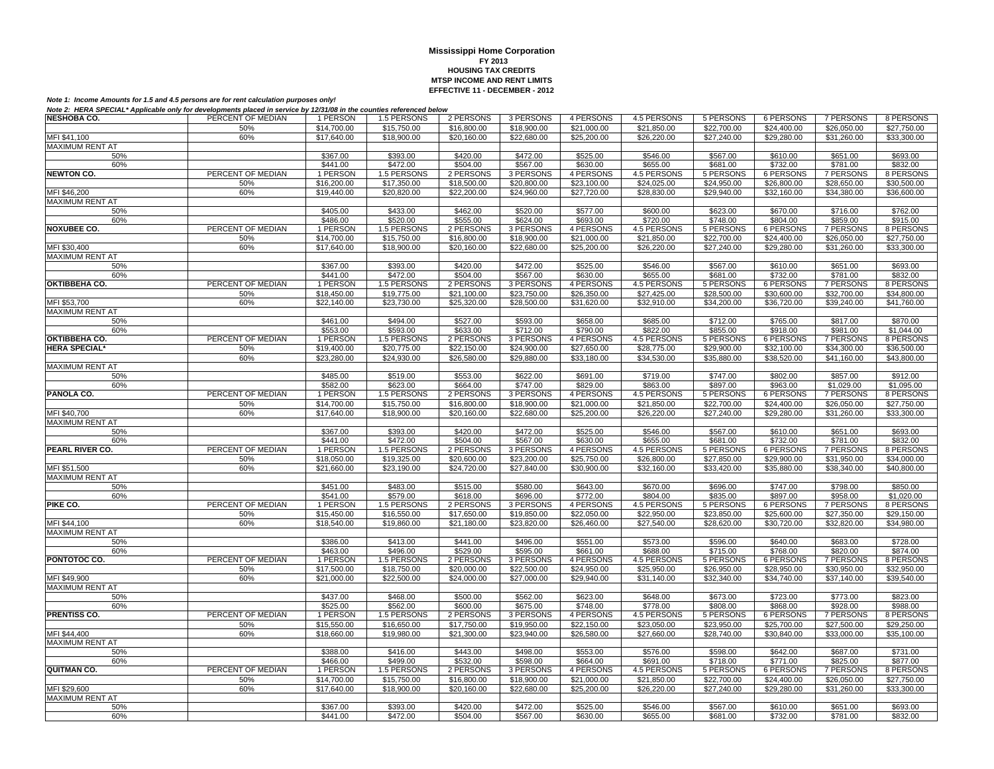| <b>NESHOBA CO.</b>                     | PERCENT OF MEDIAN        | 1 PERSON                | 1.5 PERSONS                | 2 PERSONS                | 3 PERSONS                | 4 PERSONS                | 4.5 PERSONS                | 5 PERSONS                       | 6 PERSONS                       | 7 PERSONS                | 8 PERSONS                |
|----------------------------------------|--------------------------|-------------------------|----------------------------|--------------------------|--------------------------|--------------------------|----------------------------|---------------------------------|---------------------------------|--------------------------|--------------------------|
|                                        | 50%                      | \$14,700.00             | \$15,750.00                | \$16,800.00              | \$18,900.00              | \$21,000.00              | \$21,850.00                | \$22,700.00                     | \$24,400.00                     | \$26,050.00              | \$27,750.00              |
| MFI \$41,100                           | 60%                      | \$17,640.00             | \$18,900.00                | \$20,160.00              | \$22,680.00              | \$25,200.00              | \$26,220.00                | \$27,240.00                     | \$29,280.00                     | \$31,260.00              | \$33,300.00              |
| MAXIMUM RENT AT                        |                          |                         |                            |                          |                          |                          |                            |                                 |                                 |                          |                          |
| 50%                                    |                          | \$367.00                | \$393.00                   | \$420.00                 | \$472.00                 | \$525.00                 | \$546.00                   | \$567.00                        | \$610.00                        | \$651.00                 | \$693.00                 |
| 60%                                    |                          | \$441.00                | \$472.00                   | \$504.00                 | \$567.00                 | \$630.00                 | \$655.00                   | \$681.00                        | \$732.00                        | \$781.00                 | \$832.00                 |
| <b>NEWTON CO.</b>                      | PERCENT OF MEDIAN<br>50% | 1 PERSON<br>\$16,200.00 | 1.5 PERSONS<br>\$17,350.00 | 2 PERSONS<br>\$18,500.00 | 3 PERSONS<br>\$20,800.00 | 4 PERSONS<br>\$23,100.00 | 4.5 PERSONS<br>\$24,025.00 | <b>5 PERSONS</b><br>\$24,950.00 | <b>6 PERSONS</b><br>\$26,800.00 | 7 PERSONS<br>\$28,650.00 | 8 PERSONS<br>\$30,500.00 |
| MFI \$46,200                           | 60%                      | \$19,440.00             | \$20,820.00                | \$22,200.00              | \$24,960.00              | \$27,720.00              | \$28,830.00                | \$29,940.00                     | \$32,160.00                     | \$34,380.00              | \$36,600.00              |
| MAXIMUM RENT AT                        |                          |                         |                            |                          |                          |                          |                            |                                 |                                 |                          |                          |
| 50%                                    |                          | \$405.00                | \$433.00                   | \$462.00                 | \$520.00                 | \$577.00                 | \$600.00                   | \$623.00                        | \$670.00                        | \$716.00                 | \$762.00                 |
| 60%                                    |                          | \$486.00                | \$520.00                   | \$555.00                 | \$624.00                 | \$693.00                 | \$720.00                   | \$748.00                        | \$804.00                        | \$859.00                 | \$915.00                 |
| <b>NOXUBEE CO.</b>                     | PERCENT OF MEDIAN        | 1 PERSON                | 1.5 PERSONS                | 2 PERSONS                | 3 PERSONS                | 4 PERSONS                | 4.5 PERSONS                | <b>5 PERSONS</b>                | <b>6 PERSONS</b>                | <b>7 PERSONS</b>         | 8 PERSONS                |
|                                        | 50%                      | \$14,700.00             | \$15,750.00                | \$16,800.00              | \$18,900.00              | \$21,000.00              | \$21,850.00                | \$22,700.00                     | \$24,400.00                     | \$26,050.00              | \$27,750.00              |
| MFI \$30,400                           | 60%                      | \$17,640.00             | \$18,900.00                | \$20,160,00              | \$22,680.00              | \$25,200.00              | \$26,220.00                | \$27,240.00                     | \$29,280.00                     | \$31.260.00              | \$33,300.00              |
| <b>MAXIMUM RENT AT</b>                 |                          |                         |                            |                          |                          |                          |                            |                                 |                                 |                          |                          |
| 50%                                    |                          | \$367.00                | \$393.00                   | \$420.00                 | \$472.00                 | \$525.00                 | \$546.00                   | \$567.00                        | \$610.00                        | \$651.00                 | \$693.00                 |
| 60%                                    |                          | \$441.00                | \$472.00                   | \$504.00                 | \$567.00                 | \$630.00                 | \$655.00                   | \$681.00                        | \$732.00                        | \$781.00                 | \$832.00                 |
| OKTIBBEHA CO.                          | PERCENT OF MEDIAN        | 1 PERSON                | 1.5 PERSONS                | 2 PERSONS                | 3 PERSONS                | 4 PERSONS                | 4.5 PERSONS                | <b>5 PERSONS</b>                | 6 PERSONS                       | 7 PERSONS                | 8 PERSONS                |
|                                        | 50%                      | \$18,450.00             | \$19,775.00                | \$21,100.00              | \$23,750.00              | \$26,350.00              | \$27,425.00                | \$28,500.00                     | \$30,600.00                     | \$32,700.00              | \$34,800.00              |
| MFI \$53,700<br><b>MAXIMUM RENT AT</b> | 60%                      | \$22,140.00             | \$23,730.00                | \$25,320.00              | \$28,500.00              | \$31,620.00              | \$32,910.00                | \$34,200.00                     | \$36,720.00                     | \$39,240.00              | \$41,760.00              |
| 50%                                    |                          | \$461.00                | \$494.00                   | \$527.00                 | \$593.00                 | \$658.00                 | \$685.00                   | \$712.00                        | \$765.00                        | \$817.00                 | \$870.00                 |
| 60%                                    |                          | \$553.00                | \$593.00                   | \$633.00                 | \$712.00                 | \$790.00                 | \$822.00                   | \$855.00                        | \$918.00                        | \$981.00                 | \$1,044.00               |
| <b>OKTIBBEHA CO.</b>                   | PERCENT OF MEDIAN        | 1 PERSON                | 1.5 PERSONS                | 2 PERSONS                | 3 PERSONS                | 4 PERSONS                | 4.5 PERSONS                | 5 PERSONS                       | <b>6 PERSONS</b>                | <b>7 PERSONS</b>         | 8 PERSONS                |
| <b>HERA SPECIAL*</b>                   | 50%                      | \$19,400.00             | \$20,775.00                | \$22,150.00              | \$24,900.00              | \$27,650.00              | \$28,775.00                | \$29,900.00                     | \$32,100.00                     | \$34,300.00              | \$36,500.00              |
|                                        | 60%                      | \$23,280.00             | \$24,930.00                | \$26,580.00              | \$29,880.00              | \$33,180.00              | \$34,530.00                | \$35,880.00                     | \$38,520.00                     | \$41,160.00              | \$43,800.00              |
| <b>MAXIMUM RENT AT</b>                 |                          |                         |                            |                          |                          |                          |                            |                                 |                                 |                          |                          |
| 50%                                    |                          | \$485.00                | \$519.00                   | \$553.00                 | \$622.00                 | \$691.00                 | \$719.00                   | \$747.00                        | \$802.00                        | \$857.00                 | \$912.00                 |
| 60%                                    |                          | \$582.00                | \$623.00                   | \$664.00                 | \$747.00                 | \$829.00                 | \$863.00                   | \$897.00                        | \$963.00                        | \$1,029.00               | \$1,095.00               |
| PANOLA CO.                             | PERCENT OF MEDIAN        | 1 PERSON                | 1.5 PERSONS                | 2 PERSONS                | 3 PERSONS                | 4 PERSONS                | <b>4.5 PERSONS</b>         | <b>5 PERSONS</b>                | 6 PERSONS                       | 7 PERSONS                | 8 PERSONS                |
|                                        | 50%                      | \$14,700.00             | \$15,750.00                | \$16,800.00              | \$18,900.00              | \$21,000.00              | \$21.850.00                | \$22,700.00                     | \$24,400.00                     | \$26.050.00              | \$27,750.00              |
| MFI \$40,700                           | 60%                      | \$17,640.00             | \$18,900.00                | \$20,160.00              | \$22,680.00              | \$25,200.00              | \$26,220.00                | \$27,240.00                     | \$29,280.00                     | \$31,260.00              | \$33,300.00              |
| MAXIMUM RENT AT<br>50%                 |                          | \$367.00                | \$393.00                   | \$420.00                 | \$472.00                 | \$525.00                 | \$546.00                   | \$567.00                        | \$610.00                        | \$651.00                 | \$693.00                 |
| 60%                                    |                          | \$441.00                | \$472.00                   | \$504.00                 | \$567.00                 | \$630.00                 | \$655.00                   | \$681.00                        | \$732.00                        | \$781.00                 | \$832.00                 |
| PEARL RIVER CO.                        | PERCENT OF MEDIAN        | 1 PERSON                | 1.5 PERSONS                | 2 PERSONS                | 3 PERSONS                | 4 PERSONS                | 4.5 PERSONS                | 5 PERSONS                       | 6 PERSONS                       | 7 PERSONS                | 8 PERSONS                |
|                                        | 50%                      | \$18,050.00             | \$19,325.00                | \$20,600.00              | $\overline{$23,200.00}$  | \$25,750.00              | \$26,800.00                | \$27,850.00                     | \$29,900.00                     | \$31,950.00              | $\overline{$}34,000.00$  |
| MFI \$51,500                           | 60%                      | \$21,660.00             | \$23,190.00                | \$24,720.00              | \$27,840.00              | \$30,900.00              | \$32,160.00                | \$33,420.00                     | \$35,880.00                     | \$38,340.00              | \$40,800.00              |
| <b>MAXIMUM RENT AT</b>                 |                          |                         |                            |                          |                          |                          |                            |                                 |                                 |                          |                          |
| 50%                                    |                          | \$451.00                | \$483.00                   | \$515.00                 | \$580.00                 | \$643.00                 | \$670.00                   | \$696.00                        | \$747.00                        | \$798.00                 | \$850.00                 |
| 60%                                    |                          | \$541.00                | \$579.00                   | \$618.00                 | \$696.00                 | \$772.00                 | \$804.00                   | \$835.00                        | \$897.00                        | \$958.00                 | \$1,020.00               |
| PIKE CO.                               | PERCENT OF MEDIAN        | 1 PERSON                | 1.5 PERSONS                | 2 PERSONS                | 3 PERSONS                | 4 PERSONS                | 4.5 PERSONS                | 5 PERSONS                       | 6 PERSONS                       | 7 PERSONS                | 8 PERSONS                |
|                                        | 50%                      | \$15,450.00             | \$16,550.00                | \$17,650.00              | \$19,850.00              | \$22,050.00              | \$22,950.00                | \$23,850.00                     | \$25,600.00                     | \$27,350.00              | \$29,150.00              |
| MFI \$44,100                           | 60%                      | \$18,540.00             | \$19,860.00                | \$21.180.00              | \$23,820.00              | \$26,460.00              | \$27,540.00                | \$28,620.00                     | \$30,720.00                     | \$32,820.00              | \$34,980.00              |
| <b>MAXIMUM RENT AT</b><br>50%          |                          | \$386.00                | \$413.00                   | \$441.00                 | \$496.00                 | \$551.00                 | \$573.00                   | \$596.00                        | \$640.00                        | \$683.00                 | \$728.00                 |
| 60%                                    |                          | \$463.00                | \$496.00                   | \$529.00                 | \$595.00                 | \$661.00                 | \$688.00                   | \$715.00                        | \$768.00                        | \$820.00                 | \$874.00                 |
| PONTOTOC CO.                           | PERCENT OF MEDIAN        | 1 PERSON                | 1.5 PERSONS                | 2 PERSONS                | 3 PERSONS                | 4 PERSONS                | 4.5 PERSONS                | 5 PERSONS                       | 6 PERSONS                       | 7 PERSONS                | 8 PERSONS                |
|                                        | 50%                      | \$17,500.00             | \$18,750.00                | \$20,000.00              | \$22,500.00              | \$24,950.00              | \$25,950.00                | \$26,950.00                     | \$28,950.00                     | \$30,950.00              | \$32,950.00              |
| MFI \$49,900                           | 60%                      | \$21,000.00             | \$22,500.00                | \$24,000.00              | \$27,000.00              | \$29,940.00              | \$31,140.00                | \$32,340.00                     | \$34,740.00                     | \$37,140.00              | \$39,540.00              |
| <b>MAXIMUM RENT AT</b>                 |                          |                         |                            |                          |                          |                          |                            |                                 |                                 |                          |                          |
| 50%                                    |                          | \$437.00                | \$468.00                   | \$500.00                 | \$562.00                 | \$623.00                 | \$648.00                   | \$673.00                        | \$723.00                        | \$773.00                 | \$823.00                 |
| 60%                                    |                          | \$525.00                | \$562.00                   | \$600.00                 | \$675.00                 | \$748.00                 | \$778.00                   | \$808.00                        | \$868.00                        | \$928.00                 | \$988.00                 |
| <b>PRENTISS CO.</b>                    | PERCENT OF MEDIAN        | 1 PERSON                | 1.5 PERSONS                | 2 PERSONS                | 3 PERSONS                | 4 PERSONS                | <b>4.5 PERSONS</b>         | 5 PERSONS                       | 6 PERSONS                       | 7 PERSONS                | 8 PERSONS                |
|                                        | 50%                      | \$15,550.00             | \$16,650.00                | \$17,750.00              | \$19,950.00              | \$22,150.00              | $\overline{$23,050.00}$    | \$23,950.00                     | \$25,700.00                     | \$27,500.00              | \$29,250.00              |
| MFI \$44,400<br><b>MAXIMUM RENT AT</b> | 60%                      | \$18,660.00             | \$19,980.00                | \$21,300.00              | \$23,940.00              | \$26,580.00              | \$27,660.00                | \$28,740.00                     | \$30,840.00                     | \$33,000.00              | \$35,100.00              |
| 50%                                    |                          | \$388.00                | \$416.00                   | \$443.00                 | \$498.00                 | \$553.00                 | \$576.00                   | \$598.00                        | \$642.00                        | \$687.00                 | \$731.00                 |
| 60%                                    |                          | \$466.00                | \$499.00                   | \$532.00                 | \$598.00                 | \$664.00                 | \$691.00                   | \$718.00                        | \$771.00                        | \$825.00                 | \$877.00                 |
| QUITMAN CO.                            | PERCENT OF MEDIAN        | 1 PERSON                | 1.5 PERSONS                | 2 PERSONS                | 3 PERSONS                | 4 PERSONS                | 4.5 PERSONS                | 5 PERSONS                       | <b>6 PERSONS</b>                | 7 PERSONS                | 8 PERSONS                |
|                                        | 50%                      | \$14,700.00             | \$15,750.00                | \$16,800.00              | \$18,900.00              | \$21,000.00              | \$21,850.00                | \$22,700.00                     | \$24,400.00                     | \$26,050.00              | \$27,750.00              |
| MFI \$29,600                           | 60%                      | \$17,640.00             | \$18,900.00                | \$20,160.00              | \$22,680.00              | \$25,200.00              | \$26,220.00                | \$27,240.00                     | \$29,280.00                     | \$31,260.00              | \$33,300.00              |
| <b>MAXIMUM RENT AT</b>                 |                          |                         |                            |                          |                          |                          |                            |                                 |                                 |                          |                          |
| 50%                                    |                          | \$367.00                | \$393.00                   | \$420.00                 | \$472.00                 | \$525.00                 | \$546.00                   | \$567.00                        | \$610.00                        | \$651.00                 | \$693.00                 |
| 60%                                    |                          | \$441.00                | \$472.00                   | \$504.00                 | \$567.00                 | \$630.00                 | \$655.00                   | \$681.00                        | \$732.00                        | \$781.00                 | \$832.00                 |
|                                        |                          |                         |                            |                          |                          |                          |                            |                                 |                                 |                          |                          |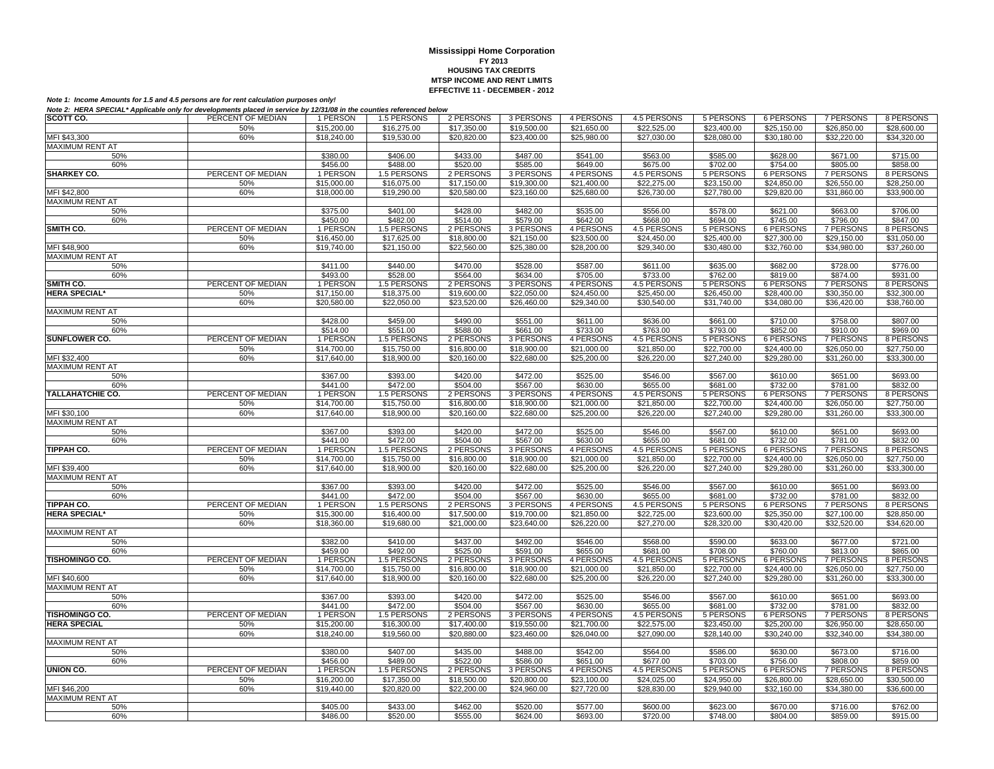| SCOTT CO.               | PERCENT OF MEDIAN | 1 PERSON             | 1.5 PERSONS | 2 PERSONS   | 3 PERSONS               | 4 PERSONS               | 4.5 PERSONS             | 5 PERSONS   | 6 PERSONS               | 7 PERSONS        | 8 PERSONS               |
|-------------------------|-------------------|----------------------|-------------|-------------|-------------------------|-------------------------|-------------------------|-------------|-------------------------|------------------|-------------------------|
|                         | 50%               | \$15,200.00          | \$16,275.00 | \$17,350.00 | \$19,500.00             | $\overline{$21,650.00}$ | \$22,525.00             | \$23,400.00 | \$25,150.00             | \$26,850.00      | \$28,600.00             |
| MFI \$43,300            | 60%               | \$18,240.00          | \$19,530.00 | \$20,820.00 | \$23,400.00             | \$25,980.00             | \$27,030.00             | \$28,080.00 | \$30,180.00             | \$32,220.00      | \$34,320.00             |
| MAXIMUM RENT AT         |                   |                      |             |             |                         |                         |                         |             |                         |                  |                         |
| 50%                     |                   | \$380.00             | \$406.00    | \$433.00    | \$487.00                | \$541.00                | \$563.00                | \$585.00    | \$628.00                | \$671.00         | \$715.00                |
| 60%                     |                   | \$456.00             | \$488.00    | \$520.00    | \$585.00                | \$649.00                | \$675.00                | \$702.00    | \$754.00                | \$805.00         | \$858.00                |
| <b>SHARKEY CO.</b>      | PERCENT OF MEDIAN | 1 PERSON             | 1.5 PERSONS | 2 PERSONS   | 3 PERSONS               | 4 PERSONS               | 4.5 PERSONS             | 5 PERSONS   | 6 PERSONS               | 7 PERSONS        | 8 PERSONS               |
|                         | 50%               | \$15,000.00          | \$16,075.00 | \$17.150.00 | $\overline{$}19,300.00$ | \$21,400.00             | \$22,275.00             | \$23,150.00 | $\overline{$24,850.00}$ | \$26,550.00      | \$28,250.00             |
| MFI \$42,800            | 60%               | \$18,000.00          | \$19,290.00 | \$20,580.00 | \$23,160.00             | \$25,680.00             | \$26,730.00             | \$27,780.00 | \$29,820.00             | \$31,860.00      | \$33,900.00             |
| MAXIMUM RENT AT         |                   |                      |             |             |                         |                         |                         |             |                         |                  |                         |
|                         |                   |                      |             |             |                         |                         |                         |             |                         |                  |                         |
| 50%                     |                   | \$375.00             | \$401.00    | \$428.00    | \$482.00                | \$535.00                | \$556.00                | \$578.00    | \$621.00                | \$663.00         | \$706.00                |
| 60%                     |                   | \$450.00             | \$482.00    | \$514.00    | \$579.00                | \$642.00                | \$668.00                | \$694.00    | \$745.00                | \$796.00         | \$847.00                |
| SMITH CO.               | PERCENT OF MEDIAN | 1 PERSON             | 1.5 PERSONS | 2 PERSONS   | 3 PERSONS               | 4 PERSONS               | 4.5 PERSONS             | 5 PERSONS   | 6 PERSONS               | 7 PERSONS        | 8 PERSONS               |
|                         | 50%               | \$16,450.00          | \$17,625.00 | \$18,800.00 | \$21,150.00             | \$23,500.00             | \$24,450.00             | \$25,400.00 | \$27,300.00             | \$29,150.00      | \$31,050.00             |
| MFI \$48,900            | 60%               | \$19,740.00          | \$21,150.00 | \$22,560.00 | \$25,380.00             | \$28,200.00             | \$29,340.00             | \$30,480.00 | \$32,760.00             | \$34,980.00      | \$37,260.00             |
| <b>MAXIMUM RENT AT</b>  |                   |                      |             |             |                         |                         |                         |             |                         |                  |                         |
| 50%                     |                   | \$411.00             | \$440.00    | \$470.00    | \$528.00                | \$587.00                | \$611.00                | \$635.00    | \$682.00                | \$728.00         | \$776.00                |
| 60%                     |                   | \$493.00             | \$528.00    | \$564.00    | \$634.00                | \$705.00                | \$733.00                | \$762.00    | \$819.00                | \$874.00         | \$931.00                |
| SMITH CO.               | PERCENT OF MEDIAN | 1 PERSON             | 1.5 PERSONS | 2 PERSONS   | 3 PERSONS               | 4 PERSONS               | 4.5 PERSONS             | 5 PERSONS   | <b>6 PERSONS</b>        | <b>7 PERSONS</b> | 8 PERSONS               |
| <b>HERA SPECIAL*</b>    | 50%               | \$17,150.00          | \$18,375.00 | \$19,600.00 | \$22,050.00             | \$24,450.00             | \$25,450.00             | \$26,450.00 | \$28,400.00             | \$30,350.00      | \$32,300.00             |
|                         | 60%               | \$20,580.00          | \$22,050.00 | \$23,520.00 | \$26,460.00             | \$29,340.00             | \$30,540.00             | \$31,740.00 | \$34,080.00             | \$36,420.00      | \$38,760.00             |
| <b>MAXIMUM RENT AT</b>  |                   |                      |             |             |                         |                         |                         |             |                         |                  |                         |
| 50%                     |                   | \$428.00             | \$459.00    | \$490.00    | \$551.00                | \$611.00                | \$636.00                | \$661.00    | \$710.00                | \$758.00         | \$807.00                |
| 60%                     |                   | \$514.00             | \$551.00    | \$588.00    | \$661.00                | \$733.00                | \$763.00                | \$793.00    | \$852.00                | \$910.00         | \$969.00                |
| SUNFLOWER CO.           | PERCENT OF MEDIAN | 1 PERSON             | 1.5 PERSONS | 2 PERSONS   | 3 PERSONS               | 4 PERSONS               | 4.5 PERSONS             | 5 PERSONS   | <b>6 PERSONS</b>        | 7 PERSONS        | 8 PERSONS               |
|                         | 50%               | \$14,700.00          | \$15,750.00 | \$16,800.00 | \$18,900.00             | \$21,000.00             | \$21,850.00             | \$22,700.00 | \$24,400.00             | \$26,050.00      | \$27,750.00             |
| MFI \$32,400            | 60%               | \$17,640.00          | \$18,900.00 | \$20,160.00 | \$22,680.00             | \$25,200.00             | \$26,220.00             | \$27,240.00 | \$29,280.00             | \$31,260.00      | \$33,300.00             |
| <b>MAXIMUM RENT AT</b>  |                   |                      |             |             |                         |                         |                         |             |                         |                  |                         |
| 50%                     |                   | \$367.00             | \$393.00    | \$420.00    | \$472.00                | \$525.00                | \$546.00                | \$567.00    | \$610.00                | \$651.00         | \$693.00                |
| 60%                     |                   | \$441.00             | \$472.00    | \$504.00    | \$567.00                | \$630.00                | \$655.00                | \$681.00    |                         | \$781.00         | \$832.00                |
| <b>TALLAHATCHIE CO.</b> | PERCENT OF MEDIAN |                      |             |             |                         |                         |                         |             | \$732.00                |                  |                         |
|                         |                   | 1 PERSON             | 1.5 PERSONS | 2 PERSONS   | 3 PERSONS               | 4 PERSONS               | 4.5 PERSONS             | 5 PERSONS   | <b>6 PERSONS</b>        | 7 PERSONS        | 8 PERSONS               |
|                         | 50%               | \$14,700.00          | \$15,750.00 | \$16,800.00 | \$18,900.00             | \$21,000.00             | \$21,850.00             | \$22,700.00 | \$24,400.00             | \$26,050.00      | \$27,750.00             |
| MFI \$30,100            | 60%               | \$17,640.00          | \$18,900.00 | \$20,160.00 | \$22,680.00             | \$25,200.00             | \$26,220.00             | \$27,240.00 | \$29,280.00             | \$31,260.00      | \$33,300.00             |
| MAXIMUM RENT AT         |                   |                      |             |             |                         |                         |                         |             |                         |                  |                         |
| 50%                     |                   | \$367.00             | \$393.00    | \$420.00    | \$472.00                | \$525.00                | \$546.00                | \$567.00    | \$610.00                | \$651.00         | \$693.00                |
| 60%                     |                   | \$441.00             | \$472.00    | \$504.00    | \$567.00                | \$630.00                | \$655.00                | \$681.00    | \$732.00                | \$781.00         | \$832.00                |
| <b>TIPPAH CO.</b>       | PERCENT OF MEDIAN | 1 PERSON             | 1.5 PERSONS | 2 PERSONS   | 3 PERSONS               | 4 PERSONS               | 4.5 PERSONS             | 5 PERSONS   | <b>6 PERSONS</b>        | 7 PERSONS        | 8 PERSONS               |
|                         | 50%               | \$14,700.00          | \$15,750.00 | \$16,800.00 | \$18,900.00             | \$21,000.00             | $\overline{$}21,850.00$ | \$22,700.00 | \$24,400.00             | \$26,050.00      | $\overline{$27,750.00}$ |
| MFI \$39,400            | 60%               | \$17,640.00          | \$18,900.00 | \$20,160.00 | \$22,680.00             | \$25,200.00             | \$26,220.00             | \$27,240.00 | \$29,280.00             | \$31,260.00      | \$33,300.00             |
| <b>MAXIMUM RENT AT</b>  |                   |                      |             |             |                         |                         |                         |             |                         |                  |                         |
| 50%                     |                   | \$367.00             | \$393.00    | \$420.00    | \$472.00                | \$525.00                | \$546.00                | \$567.00    | \$610.00                | \$651.00         | \$693.00                |
| 60%                     |                   | $\overline{$441.00}$ | \$472.00    | \$504.00    | \$567.00                | \$630.00                | \$655.00                | \$681.00    | \$732.00                | \$781.00         | \$832.00                |
| <b>TIPPAH CO.</b>       | PERCENT OF MEDIAN | 1 PERSON             | 1.5 PERSONS | 2 PERSONS   | 3 PERSONS               | 4 PERSONS               | 4.5 PERSONS             | 5 PERSONS   | 6 PERSONS               | 7 PERSONS        | 8 PERSONS               |
| <b>HERA SPECIAL*</b>    | 50%               | \$15,300.00          | \$16,400.00 | \$17,500.00 | \$19,700.00             | \$21,850.00             | \$22,725.00             | \$23,600.00 | \$25,350.00             | \$27,100.00      | \$28,850.00             |
|                         | 60%               | \$18,360.00          | \$19,680.00 | \$21,000.00 | \$23,640.00             | \$26,220.00             | \$27,270.00             | \$28,320.00 | \$30,420.00             | \$32,520.00      | \$34,620.00             |
| <b>MAXIMUM RENT AT</b>  |                   |                      |             |             |                         |                         |                         |             |                         |                  |                         |
| 50%                     |                   | \$382.00             | \$410.00    | \$437.00    | \$492.00                | \$546.00                | \$568.00                | \$590.00    | \$633.00                | \$677.00         | \$721.00                |
| 60%                     |                   | \$459.00             | \$492.00    | \$525.00    | \$591.00                | \$655.00                | \$681.00                | \$708.00    | \$760.00                | \$813.00         | \$865.00                |
| TISHOMINGO CO.          | PERCENT OF MEDIAN | 1 PERSON             | 1.5 PERSONS | 2 PERSONS   | 3 PERSONS               | 4 PERSONS               | 4.5 PERSONS             | 5 PERSONS   | 6 PERSONS               | 7 PERSONS        | 8 PERSONS               |
|                         | 50%               | \$14,700.00          | \$15,750.00 | \$16,800.00 | \$18,900.00             | \$21,000.00             | \$21,850.00             | \$22,700.00 | \$24,400.00             | \$26,050.00      | \$27,750.00             |
| MFI \$40,600            | 60%               | \$17,640.00          | \$18,900.00 | \$20,160.00 | \$22,680.00             | \$25,200.00             | \$26,220.00             | \$27,240.00 | \$29,280,00             | \$31,260.00      | \$33,300.00             |
| <b>MAXIMUM RENT AT</b>  |                   |                      |             |             |                         |                         |                         |             |                         |                  |                         |
| 50%                     |                   | \$367.00             | \$393.00    | \$420.00    | \$472.00                | \$525.00                | \$546.00                | \$567.00    | \$610.00                | \$651.00         | \$693.00                |
| 60%                     |                   | \$441.00             | \$472.00    | \$504.00    | \$567.00                | \$630.00                | \$655.00                | \$681.00    | \$732.00                | \$781.00         | \$832.00                |
| TISHOMINGO CO.          | PERCENT OF MEDIAN | 1 PERSON             | 1.5 PERSONS | 2 PERSONS   | 3 PERSONS               | 4 PERSONS               | 4.5 PERSONS             | 5 PERSONS   | <b>6 PERSONS</b>        | <b>7 PERSONS</b> | 8 PERSONS               |
|                         |                   |                      |             |             |                         |                         |                         |             |                         |                  |                         |
| <b>HERA SPECIAL</b>     | 50%               | \$15,200.00          | \$16,300.00 | \$17,400.00 | \$19,550.00             | \$21,700.00             | \$22,575.00             | \$23,450.00 | \$25,200.00             | \$26,950.00      | \$28,650.00             |
|                         | 60%               | \$18,240.00          | \$19,560.00 | \$20,880.00 | \$23,460.00             | \$26,040.00             | \$27,090.00             | \$28,140.00 | \$30,240.00             | \$32,340.00      | \$34,380.00             |
| <b>MAXIMUM RENT AT</b>  |                   |                      |             |             |                         |                         |                         |             |                         |                  |                         |
| 50%                     |                   | \$380.00             | \$407.00    | \$435.00    | \$488.00                | \$542.00                | \$564.00                | \$586.00    | \$630.00                | \$673.00         | \$716.00                |
| 60%                     |                   | \$456.00             | \$489.00    | \$522.00    | \$586.00                | \$651.00                | \$677.00                | \$703.00    | \$756.00                | \$808.00         | \$859.00                |
| UNION CO.               | PERCENT OF MEDIAN | 1 PERSON             | 1.5 PERSONS | 2 PERSONS   | 3 PERSONS               | 4 PERSONS               | 4.5 PERSONS             | 5 PERSONS   | <b>6 PERSONS</b>        | <b>7 PERSONS</b> | 8 PERSONS               |
|                         | 50%               | \$16,200.00          | \$17,350.00 | \$18,500.00 | \$20,800.00             | \$23,100.00             | \$24,025.00             | \$24,950.00 | \$26,800.00             | \$28,650.00      | \$30,500.00             |
| MFI \$46,200            | 60%               | \$19,440.00          | \$20,820,00 | \$22,200.00 | \$24,960.00             | \$27,720.00             | \$28,830,00             | \$29,940.00 | \$32,160.00             | \$34,380.00      | \$36,600.00             |
| <b>MAXIMUM RENT AT</b>  |                   |                      |             |             |                         |                         |                         |             |                         |                  |                         |
| 50%                     |                   | \$405.00             | \$433.00    | \$462.00    | \$520.00                | \$577.00                | \$600.00                | \$623.00    | \$670.00                | \$716.00         | \$762.00                |
| 60%                     |                   | \$486.00             | \$520.00    | \$555.00    | \$624.00                | \$693.00                | \$720.00                | \$748.00    | \$804.00                | \$859.00         | \$915.00                |
|                         |                   |                      |             |             |                         |                         |                         |             |                         |                  |                         |